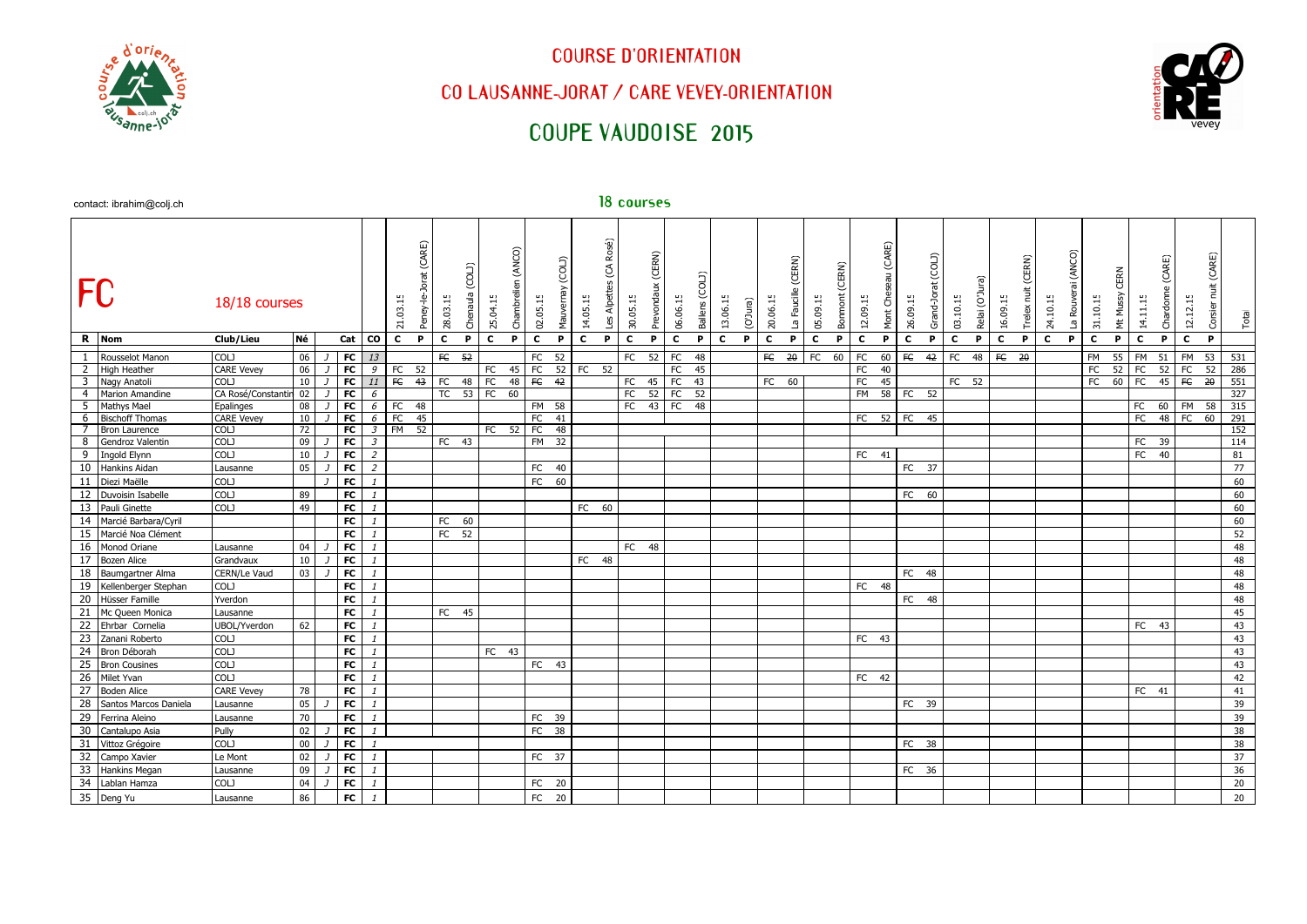

## **COURSE D'ORIENTATION**

## **CO LAUSANNE-JORAT / CARE VEVEY-ORIENTATION**

# **COUPE VAUDOISE 2015**



|                  | contact. ibrarimgooy.cm                    |                            |                 |                 |                                 |              |                              |                   |              |                     |                    |                   |              |                          | 19.0001      |                      |              |         |                      |              |                      |              |                         |              |                    |                    |              |                            |             |                       |             |                       |             |                  |                    |              |                               |              |
|------------------|--------------------------------------------|----------------------------|-----------------|-----------------|---------------------------------|--------------|------------------------------|-------------------|--------------|---------------------|--------------------|-------------------|--------------|--------------------------|--------------|----------------------|--------------|---------|----------------------|--------------|----------------------|--------------|-------------------------|--------------|--------------------|--------------------|--------------|----------------------------|-------------|-----------------------|-------------|-----------------------|-------------|------------------|--------------------|--------------|-------------------------------|--------------|
| <b>FC</b>        |                                            | 18/18 courses              |                 |                 |                                 | 21.03.15     | CARE)<br>28.03.15<br>Peney-I | COLJ)<br>Chenaula | 25.04.15     | (ANCO)<br>Chambreli | 02.05.15           | (C0L)<br>Mauverna | 14.05.15     | Rosé)<br>G<br>Les Alpett | 30.05.15     | (CERN)<br>Prevondaux | 06.06.15     | Ballens | 13.06.15<br>(BInr.O) | 20.06.15     | CERN)<br>La Faucille | 05.09.15     | CERN)<br><b>Bonmont</b> | 12.09.15     | (CARE)<br>Mont Che | (COLI)<br>26.09.15 | Grand-Jorat  | Relai (O'Jura)<br>03.10.15 | 16.09.15    | (CERN)<br>Trelex nuit | 24.10.15    | (ANCO)<br>La Rouverai | 31.10.15    | CERN<br>Mt Mussy | CARE)<br>14.11.15  | Chardonn     | (CARE)<br>12.12.15<br>Corsier | Total        |
|                  | R Nom                                      | Club/Lieu                  | Né              | Cat             | co                              | $\mathbf{C}$ | P<br>$\mathbf{C}$            | P                 | $\mathbf{c}$ | P                   | $\mathbf{C}$       | P                 | $\mathbf{C}$ | P.                       | $\mathbf{C}$ | P.                   | $\mathbf{c}$ | P.      | $\mathbf{c}$<br>P.   | $\mathbf{C}$ | P.                   | $\mathbf{c}$ | P                       | $\mathbf{c}$ | P                  | $\mathbf{C}$<br>P  | $\mathbf{C}$ | P.                         | $\mathbf c$ | P.                    | $\mathbf c$ | P.                    | $\mathbf c$ | P.               | $\mathbf{c}$<br>P. | $\mathbf{c}$ | Þ                             |              |
| 1                | Rousselot Manon                            | COLJ                       | 06              | F <sub>C</sub>  | 13                              |              | $\overline{E}$               | $\overline{52}$   |              |                     | FC                 | 52                |              |                          | FC           | 52                   | FC           | 48      |                      | F C          | $\overline{20}$      | FC           | 60                      | FC           | 60                 | F<br>$-42$         | FC           | 48                         | F           | $-20$                 |             |                       | FM          | 55               | FM<br>51           | FM           | 53                            | 531          |
| 2                | <b>High Heather</b>                        | <b>CARE Vevey</b>          | 06              | F <sub>C</sub>  | 9                               | FC           | 52                           |                   | FC           | 45                  | FC                 |                   | 52 FC 52     |                          |              |                      | FC           | 45      |                      |              |                      |              |                         | FC           | 40                 |                    |              |                            |             |                       |             |                       | FC          | 52               | FC                 | $52$ FC      | 52                            | 286          |
|                  | 3 Nagy Anatoli                             | COLI                       | 10              | $\overline{r}$  | 11                              | F            | 43<br>FC                     |                   | 48 FC        | 48                  | FC                 | 42                |              |                          | FC           | 45                   | FC           | 43      |                      | $FC$ 60      |                      |              |                         | FC           | 45                 |                    |              | $FC$ 52                    |             |                       |             |                       | FC          | 60               | FC                 | $45$ FC      | $\overline{20}$               | 551          |
|                  | 4 Marion Amandine                          | CA Rosé/Constantin         | 02              | FC              | $6\overline{6}$                 |              |                              |                   | TC 53 FC 60  |                     |                    |                   |              |                          | FC           | 52                   | FC           | 52      |                      |              |                      |              |                         | FM 58 FC 52  |                    |                    |              |                            |             |                       |             |                       |             |                  |                    |              |                               | 327          |
| $5^{\circ}$      | Mathys Mael                                | Epalinges                  | $\overline{08}$ | FC              | $6\overline{6}$                 | FC 48        |                              |                   |              |                     | FM 58              |                   |              |                          | FC           | 43 FC                |              | $-48$   |                      |              |                      |              |                         |              |                    |                    |              |                            |             |                       |             |                       |             |                  | FC                 |              |                               | 60 FM 58 315 |
| 6                | <b>Bischoff Thomas</b>                     | <b>CARE Vevey</b>          | 10              | $F$ C           | 6                               | FC           | 45                           |                   |              |                     | $\overline{FC}$ 41 |                   |              |                          |              |                      |              |         |                      |              |                      |              |                         | FC 52 FC 45  |                    |                    |              |                            |             |                       |             |                       |             |                  | FC 48 FC 60        |              |                               | 291          |
| $7^{\circ}$<br>8 | <b>Bron Laurence</b><br>Gendroz Valentin   | <b>COLJ</b><br><b>COLJ</b> | 72<br>09        | FC<br>FC        | $\mathfrak{Z}$                  | FM           | 52                           | $FC$ 43           | FC 52        |                     | <b>FC</b><br>FM 32 | 48                |              |                          |              |                      |              |         |                      |              |                      |              |                         |              |                    |                    |              |                            |             |                       |             |                       |             |                  | FC 39              |              |                               | 152<br>114   |
| 9                | Ingold Elynn                               | <b>COLJ</b>                |                 | <b>FC</b>       | $\mathcal{Z}$<br>$\overline{2}$ |              |                              |                   |              |                     |                    |                   |              |                          |              |                      |              |         |                      |              |                      |              |                         | FC 41        |                    |                    |              |                            |             |                       |             |                       |             |                  | FC<br>40           |              |                               |              |
| 10               | Hankins Aidan                              | Lausanne                   | 10<br>05        | FC              | $\overline{2}$                  |              |                              |                   |              |                     | FC                 | - 40              |              |                          |              |                      |              |         |                      |              |                      |              |                         |              |                    | FC 37              |              |                            |             |                       |             |                       |             |                  |                    |              |                               | 81<br>77     |
| 11               | Diezi Maëlle                               | COLJ                       |                 | F <sub>C</sub>  | $\mathbf{1}$                    |              |                              |                   |              |                     | $FC$ 60            |                   |              |                          |              |                      |              |         |                      |              |                      |              |                         |              |                    |                    |              |                            |             |                       |             |                       |             |                  |                    |              |                               | 60           |
| 12               | Duvoisin Isabelle                          | <b>COLJ</b>                | 89              | <b>FC</b>       | $\mathbf{1}$                    |              |                              |                   |              |                     |                    |                   |              |                          |              |                      |              |         |                      |              |                      |              |                         |              |                    |                    |              |                            |             |                       |             |                       |             |                  |                    |              |                               | 60           |
| 13               | Pauli Ginette                              | COLJ                       | 49              |                 | $\mathbf{1}$                    |              |                              |                   |              |                     |                    |                   |              |                          |              |                      |              |         |                      |              |                      |              |                         |              |                    | FC 60              |              |                            |             |                       |             |                       |             |                  |                    |              |                               |              |
| 14               |                                            |                            |                 | <b>FC</b><br>FC |                                 |              |                              |                   |              |                     |                    |                   | FC 60        |                          |              |                      |              |         |                      |              |                      |              |                         |              |                    |                    |              |                            |             |                       |             |                       |             |                  |                    |              |                               | 60           |
| 15               | Marcié Barbara/Cyril<br>Marcié Noa Clément |                            |                 | <b>FC</b>       |                                 |              | FC                           | 60<br>FC 52       |              |                     |                    |                   |              |                          |              |                      |              |         |                      |              |                      |              |                         |              |                    |                    |              |                            |             |                       |             |                       |             |                  |                    |              |                               | 60           |
| 16               |                                            |                            | 04              | F <sub>C</sub>  | $\mathbf{1}$<br>$\mathbf{1}$    |              |                              |                   |              |                     |                    |                   |              |                          |              |                      |              |         |                      |              |                      |              |                         |              |                    |                    |              |                            |             |                       |             |                       |             |                  |                    |              |                               | 52           |
| 17               | Monod Oriane<br><b>Bozen Alice</b>         | Lausanne<br>Grandvaux      | 10              | FC              | $\mathbf{1}$                    |              |                              |                   |              |                     |                    |                   | FC 48        |                          | FC 48        |                      |              |         |                      |              |                      |              |                         |              |                    |                    |              |                            |             |                       |             |                       |             |                  |                    |              |                               | 48<br>48     |
| 18               |                                            | CERN/Le Vaud               |                 | FC              | $\mathbf{1}$                    |              |                              |                   |              |                     |                    |                   |              |                          |              |                      |              |         |                      |              |                      |              |                         |              |                    | FC 48              |              |                            |             |                       |             |                       |             |                  |                    |              |                               |              |
| 19               | Baumgartner Alma<br>Kellenberger Stephan   | COLJ                       | 03              | <b>FC</b>       | $\mathbf{1}$                    |              |                              |                   |              |                     |                    |                   |              |                          |              |                      |              |         |                      |              |                      |              |                         | FC 48        |                    |                    |              |                            |             |                       |             |                       |             |                  |                    |              |                               | 48<br>48     |
|                  | 20 Hüsser Famille                          | Yverdon                    |                 | <b>FC</b>       | $\mathbf{1}$                    |              |                              |                   |              |                     |                    |                   |              |                          |              |                      |              |         |                      |              |                      |              |                         |              |                    | FC 48              |              |                            |             |                       |             |                       |             |                  |                    |              |                               | 48           |
| 21               | Mc Queen Monica                            | Lausanne                   |                 | <b>FC</b>       | $\mathbf{1}$                    |              |                              | FC 45             |              |                     |                    |                   |              |                          |              |                      |              |         |                      |              |                      |              |                         |              |                    |                    |              |                            |             |                       |             |                       |             |                  |                    |              |                               | 45           |
| 22               | Ehrbar Cornelia                            | UBOL/Yverdon               | 62              | FC              |                                 |              |                              |                   |              |                     |                    |                   |              |                          |              |                      |              |         |                      |              |                      |              |                         |              |                    |                    |              |                            |             |                       |             |                       |             |                  | FC 43              |              |                               | 43           |
| 23               | Zanani Roberto                             | <b>COLJ</b>                |                 | <b>FC</b>       | $\mathbf{1}$                    |              |                              |                   |              |                     |                    |                   |              |                          |              |                      |              |         |                      |              |                      |              |                         | FC 43        |                    |                    |              |                            |             |                       |             |                       |             |                  |                    |              |                               | 43           |
| 24               | Bron Déborah                               | <b>COLJ</b>                |                 | FC              | $\mathbf{1}$                    |              |                              |                   | FC 43        |                     |                    |                   |              |                          |              |                      |              |         |                      |              |                      |              |                         |              |                    |                    |              |                            |             |                       |             |                       |             |                  |                    |              |                               | 43           |
| 25               | <b>Bron Cousines</b>                       | <b>COLJ</b>                |                 | <b>FC</b>       |                                 |              |                              |                   |              |                     | FC 43              |                   |              |                          |              |                      |              |         |                      |              |                      |              |                         |              |                    |                    |              |                            |             |                       |             |                       |             |                  |                    |              |                               | 43           |
| 26               | Milet Yvan                                 | COLJ                       |                 | <b>FC</b>       | $\mathbf{1}$                    |              |                              |                   |              |                     |                    |                   |              |                          |              |                      |              |         |                      |              |                      |              |                         | FC 42        |                    |                    |              |                            |             |                       |             |                       |             |                  |                    |              |                               | 42           |
|                  | 27 Boden Alice                             | <b>CARE Vevev</b>          | 78              | <b>FC</b>       | $\mathbf{1}$                    |              |                              |                   |              |                     |                    |                   |              |                          |              |                      |              |         |                      |              |                      |              |                         |              |                    |                    |              |                            |             |                       |             |                       |             |                  | FC 41              |              |                               | 41           |
| 28               | Santos Marcos Daniela                      | Lausanne                   | 05              | FC              | $\mathbf{1}$                    |              |                              |                   |              |                     |                    |                   |              |                          |              |                      |              |         |                      |              |                      |              |                         |              |                    | FC 39              |              |                            |             |                       |             |                       |             |                  |                    |              |                               | 39           |
| 29               | Ferrina Aleino                             | Lausanne                   | 70              | <b>FC</b>       | $\mathbf{1}$                    |              |                              |                   |              |                     | FC 39              |                   |              |                          |              |                      |              |         |                      |              |                      |              |                         |              |                    |                    |              |                            |             |                       |             |                       |             |                  |                    |              |                               | 39           |
|                  | 30 Cantalupo Asia                          | Pully                      | 02              | <b>FC</b>       | $\mathbf{1}$                    |              |                              |                   |              |                     | FC 38              |                   |              |                          |              |                      |              |         |                      |              |                      |              |                         |              |                    |                    |              |                            |             |                       |             |                       |             |                  |                    |              |                               | 38           |
| 31               | Vittoz Grégoire                            | <b>COLJ</b>                | $00\,$          | <b>FC</b>       | $\mathbf{1}$                    |              |                              |                   |              |                     |                    |                   |              |                          |              |                      |              |         |                      |              |                      |              |                         |              |                    | FC 38              |              |                            |             |                       |             |                       |             |                  |                    |              |                               | 38           |
| 32               | Campo Xavier                               | Le Mont                    | 02              | <b>FC</b>       | $\mathbf{1}$                    |              |                              |                   |              |                     | FC 37              |                   |              |                          |              |                      |              |         |                      |              |                      |              |                         |              |                    |                    |              |                            |             |                       |             |                       |             |                  |                    |              |                               | 37           |
| 33               | Hankins Megan                              | Lausanne                   | 09              | FC              | $\mathbf{1}$                    |              |                              |                   |              |                     |                    |                   |              |                          |              |                      |              |         |                      |              |                      |              |                         |              |                    | FC 36              |              |                            |             |                       |             |                       |             |                  |                    |              |                               | 36           |
| 34               | Lablan Hamza                               | <b>COLJ</b>                | 04              | <b>FC</b>       | $\mathbf{1}$                    |              |                              |                   |              |                     | FC 20              |                   |              |                          |              |                      |              |         |                      |              |                      |              |                         |              |                    |                    |              |                            |             |                       |             |                       |             |                  |                    |              |                               | 20           |
|                  | 35 Deng Yu                                 | Lausanne                   | 86              | <b>FC</b>       | $\mathbf{1}$                    |              |                              |                   |              |                     | FC 20              |                   |              |                          |              |                      |              |         |                      |              |                      |              |                         |              |                    |                    |              |                            |             |                       |             |                       |             |                  |                    |              |                               | 20           |
|                  |                                            |                            |                 |                 |                                 |              |                              |                   |              |                     |                    |                   |              |                          |              |                      |              |         |                      |              |                      |              |                         |              |                    |                    |              |                            |             |                       |             |                       |             |                  |                    |              |                               |              |

contact: ibrahim@colj.ch **18 courses**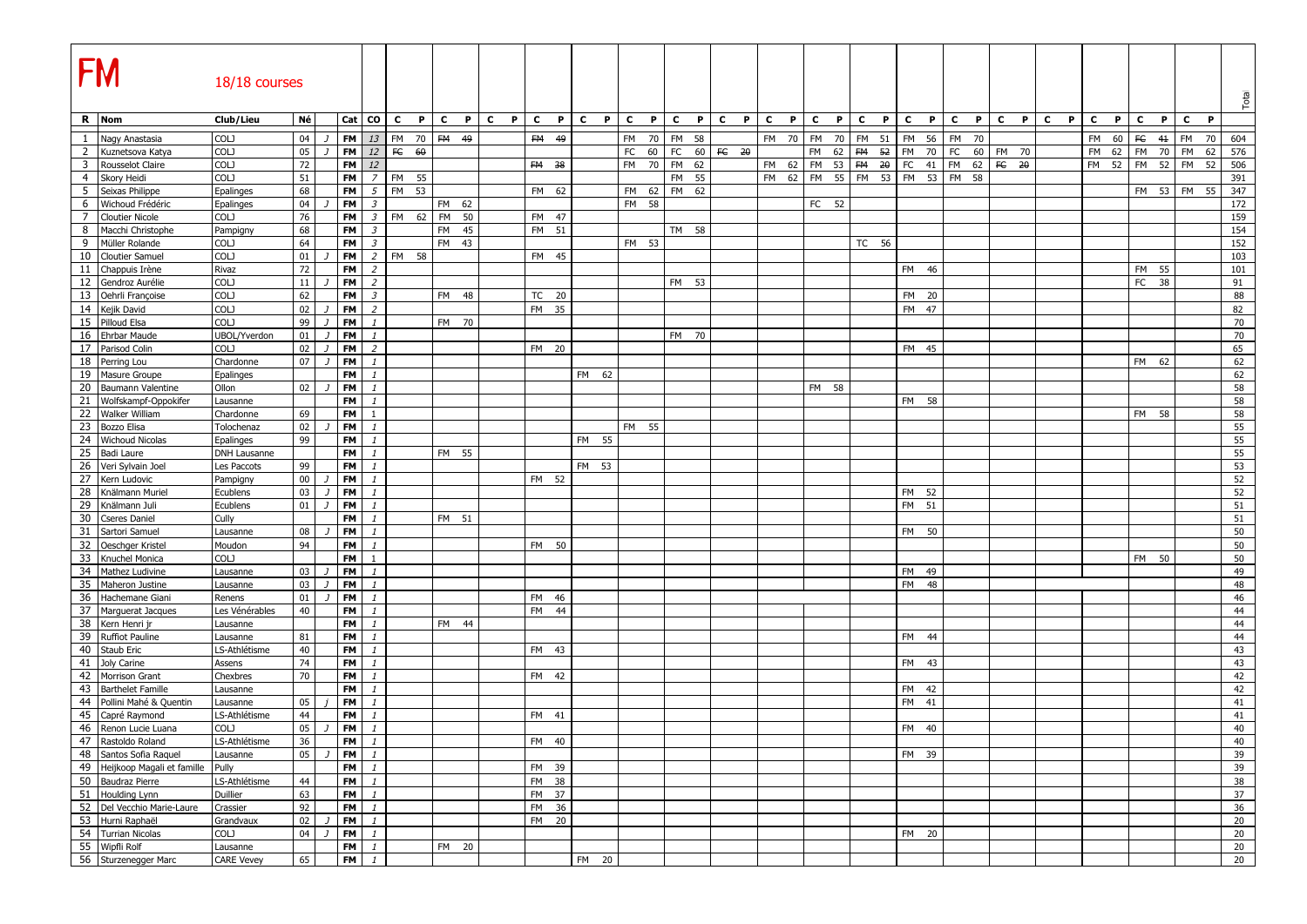| R Nom<br>Né<br>CO<br>P<br>$\mathbf{c}$<br>P C<br>$\mathbf{c}$<br>P<br>$\mathbf{c}$<br>P<br>$\mathbf{c}$<br>$\mathbf{c}$<br>$\mathbf{P}$<br>$\mathbf{c}$<br>$\mathbf{P}$<br>$\mathbf c$<br>$\mathbf{P}$<br>$\mathbf c$<br>P.<br>$\mathbf{c}$<br>P<br>$\mathbf{c}$<br>P<br>$\mathbf{c}$<br>$\mathbf{c}$<br>Club/Lieu<br>Cat<br>C<br>P<br><b>C</b><br>P<br>C<br>P.<br>P<br>P.<br>P.<br>C<br>P<br>C<br>P<br>$\overline{1}$<br>04<br><b>FM</b><br>13<br>FM<br>FM 70<br><b>FM</b><br>58<br>56<br>60<br>F C<br>FM<br>Nagy Anastasia<br>COLJ<br>70<br>FM 49<br><b>FM</b><br>49<br>FM 70<br><b>FM</b><br>70<br>FM 51<br><b>FM</b><br>FM<br>70<br><b>FM</b><br>41<br>604<br>70<br>- 7<br>$\overline{2}$<br>COLJ<br>05<br><b>FM</b><br>12<br>FE<br>$FC$<br>FM<br>FC<br><b>FM</b><br>Kuznetsova Katya<br>60<br>FC<br>60<br>60<br>FC 20<br><b>FM</b><br>62<br>FM 52<br>70<br>60 FM 70<br>FM<br>62<br>70<br>FM<br>62<br>576<br>- 7<br>12<br><b>FM</b><br>$20$ FC<br>$\overline{\mathbf{3}}$<br>COLJ<br>72<br>FM 70<br>62<br>FM 62<br>FM 53<br><b>FM</b><br>FM<br>62 $\overline{FC}$ 20<br>52<br><b>FM</b><br>52<br><b>FM</b><br>52<br>506<br>Rousselot Claire<br><b>FM</b><br>FM 38<br>41<br><b>FM</b><br>51<br>FM 62<br>FM 55 FM 53 FM 53 FM 58<br>COLJ<br>$\overline{z}$<br><b>FM</b><br>55<br>FM 55<br>$\overline{4}$<br>Skory Heidi<br><b>FM</b><br>391<br>5<br>68<br><b>FM</b><br>5<br><b>FM</b><br>53<br>FM 62<br>347<br>Seixas Philippe<br>Epalinges<br>FM 62<br>FM 62<br>FM 53 FM 55<br>6<br>$\mathfrak{Z}$<br>Wichoud Frédéric<br>04<br><b>FM</b><br>FM 62<br>FM 58<br>FC 52<br>172<br>Epalinges<br>$7\overline{ }$<br>COLJ<br>76<br>$\mathfrak{Z}$<br>FM<br><b>Cloutier Nicole</b><br><b>FM</b><br><b>FM</b><br>62<br>50<br>FM 47<br>159<br>8<br>68<br>154<br>Macchi Christophe<br><b>FM</b><br>$\mathfrak{Z}$<br><b>FM</b><br>45<br>FM 51<br>TM 58<br>Pampigny<br>9<br>64<br>$\mathfrak{Z}$<br>43<br>Müller Rolande<br>COLJ<br><b>FM</b><br>FM<br>FM 53<br>TC 56<br>152<br>10<br>COLJ<br>01<br><b>FM</b><br>2 <sup>1</sup><br>FM 58<br>103<br>Cloutier Samuel<br>FM<br>45<br>11<br>72<br><b>FM</b><br>$\overline{2}$<br>101<br>Chappuis Irène<br>Rivaz<br>FM 46<br>FM 55<br>12<br>COLJ<br>11<br><b>FM</b><br>$\overline{2}$<br>Gendroz Aurélie<br>FM 53<br>FC<br>38<br>91<br>13<br>COLJ<br>62<br><b>FM</b><br>88<br>Oehrli Françoise<br>$\mathfrak{Z}$<br>FM 48<br>TC 20<br>FM 20<br>14<br>COLJ<br><b>FM</b><br>$\overline{2}$<br>FM 47<br>82<br>Kejik David<br>02<br>FM 35<br>J.<br>15 Pilloud Elsa<br>COLJ<br>99<br>70<br><b>FM</b><br>FM 70<br>$\mathbf{1}$<br>16 Ehrbar Maude<br>01<br><b>FM</b><br>70<br><b>UBOL/Yverdon</b><br>$\mathbf{1}$<br>FM 70<br>- 7<br>17<br>Parisod Colin<br>COLJ<br>02<br><b>FM</b><br>$\overline{2}$<br>65<br>FM 20<br>FM 45<br>- 7<br>18<br>07<br><b>FM</b><br>62<br>Perring Lou<br>Chardonne<br>FM<br>62<br>$\mathbf{1}$<br>19<br>62<br>Masure Groupe<br>Epalinges<br><b>FM</b><br>FM 62<br>$\mathbf{1}$<br>20<br>Baumann Valentine<br>Ollon<br>02<br><b>FM</b><br>FM 58<br>58<br>21<br><b>FM</b><br>58<br>Wolfskampf-Oppokifer<br>FM 58<br>Lausanne<br>22<br><b>FM</b><br>58<br><b>Walker William</b><br>Chardonne<br>69<br>FM 58<br>$\mathbf{1}$<br>$\overline{23}$<br>55<br>02<br><b>FM</b><br>Bozzo Elisa<br>FM 55<br>Tolochenaz<br>$\mathbf{1}$<br>- 7<br>24<br>99<br><b>FM</b><br>55<br><b>Wichoud Nicolas</b><br>Epalinges<br>FM 55<br>$\mathbf{1}$<br>25<br>55<br><b>FM</b><br>FM 55<br>Badi Laure<br>DNH Lausanne<br>$\mathbf{1}$<br>26<br>53<br>99<br><b>FM</b><br>Veri Sylvain Joel<br>Les Paccots<br>FM 53<br>$\mathbf{1}$<br>27<br>$00\,$<br><b>FM</b><br>52<br>Kern Ludovic<br>$\mathbf{1}$<br>FM 52<br>Pampigny<br>J.<br>$\overline{28}$<br>52<br>Knälmann Muriel<br>03<br><b>FM</b><br>FM 52<br>Ecublens<br>$\mathbf{1}$<br>29<br>Knälmann Juli<br>Ecublens<br>01<br><b>FM</b><br>FM 51<br>51<br>$\overline{1}$<br>$\mathbf{1}$<br>30<br><b>Cseres Daniel</b><br>Cully<br><b>FM</b><br>FM 51<br>51<br>$\mathbf{1}$<br>31<br>Sartori Samuel<br>08<br><b>FM</b><br>FM 50<br>50<br>Lausanne<br>$\mathbf{1}$<br>32<br>94<br>50<br><b>FM</b><br>Oeschger Kristel<br>Moudon<br>$\mathbf{1}$<br>FM 50<br>33<br>COLJ<br><b>FM</b><br>50<br>Knuchel Monica<br>FM 50<br>$\mathbf{1}$<br>34<br>Mathez Ludivine<br>03<br><b>FM</b><br>49<br>Lausanne<br>$\mathbf{1}$<br>FM 49<br>$\overline{J}$<br>35<br><b>FM</b><br><b>FM</b><br>48<br>Maheron Justine<br>03<br>48<br>Lausanne<br>- 7<br>$\mathbf{1}$<br>36<br>46<br>Hachemane Giani<br>01<br><b>FM</b><br>Renens<br>$\mathbf{1}$<br>FM 46<br>- 1<br>37<br>Marguerat Jacques<br>40<br><b>FM</b><br><b>FM</b><br>44<br>44<br>Les Vénérables<br>$\mathbf{1}$<br>38<br><b>FM</b><br>44<br>Kern Henri jr<br>$\mathbf{1}$<br>FM 44<br>Lausanne<br>39<br>44<br><b>Ruffiot Pauline</b><br>81<br><b>FM</b><br>$\mathbf{1}$<br>Lausanne<br>FM<br>-44<br>40<br>40<br><b>FM</b><br>43<br>FM 43<br>Staub Eric<br>LS-Athlétisme<br>$\mathbf{1}$<br>41<br>74<br>43<br>Joly Carine<br>Assens<br><b>FM</b><br>FM 43<br>$\mathbf{1}$<br>42<br>Morrison Grant<br>70<br><b>FM</b><br>42<br>Chexbres<br>$\mathbf{1}$<br>FM 42<br>$-43$<br><b>FM</b><br>42<br>FM 42<br><b>Barthelet Famille</b><br>Lausanne<br>$\mathbf{1}$<br>44<br><b>FM</b><br>Pollini Mahé & Quentin<br>05<br><b>FM</b><br>41<br>41<br>Lausanne<br>$\mathbf{1}$<br>45<br>41<br>44<br><b>FM</b><br>Capré Raymond<br>LS-Athlétisme<br>$\mathbf{1}$<br>FM 41<br>46<br>COLJ<br>05<br><b>FM</b><br>40<br>Renon Lucie Luana<br>$\mathbf{1}$<br>FM 40<br>J<br>47 Rastoldo Roland<br>LS-Athlétisme<br>$FM$ $1$<br>FM 40<br>40<br>36<br>48 Santos Sofia Raquel<br>$FM$ $1$<br>FM 39<br>39<br>05<br>Lausanne<br>- 7<br>49 Heijkoop Magali et famille<br>$FM$ $1$<br>39<br>Pully<br>FM 39<br>50 Baudraz Pierre<br>FM<br>$\mathbf{1}$<br>FM 38<br>38<br>LS-Athlétisme<br>44<br>51 Houlding Lynn<br>63<br>Duillier<br>FM<br>$\mathbf{1}$<br>FM 37<br>37<br>52 Del Vecchio Marie-Laure<br>92<br>FM<br>FM 36<br>36<br>Crassier<br>$\mathbf{1}$<br>53 Hurni Raphaël<br>02<br><b>FM</b><br>FM 20<br>20<br>Grandvaux<br>$\mathbf{1}$<br>54 Turrian Nicolas<br>COLJ<br>04<br><b>FM</b><br>20<br>$\mathbf{1}$<br>FM 20<br>J<br>55 Wipfli Rolf<br><b>FM</b><br>20<br>$\mathbf{1}$<br>FM 20<br>Lausanne<br>56 Sturzenegger Marc<br>FM  <br>$\mathbf{1}$<br>FM 20 | <b>FM</b> | 18/18 courses     |    |  |  |  |  |  |  |  |  |  |  |  |  |  |  |  | Total |
|---------------------------------------------------------------------------------------------------------------------------------------------------------------------------------------------------------------------------------------------------------------------------------------------------------------------------------------------------------------------------------------------------------------------------------------------------------------------------------------------------------------------------------------------------------------------------------------------------------------------------------------------------------------------------------------------------------------------------------------------------------------------------------------------------------------------------------------------------------------------------------------------------------------------------------------------------------------------------------------------------------------------------------------------------------------------------------------------------------------------------------------------------------------------------------------------------------------------------------------------------------------------------------------------------------------------------------------------------------------------------------------------------------------------------------------------------------------------------------------------------------------------------------------------------------------------------------------------------------------------------------------------------------------------------------------------------------------------------------------------------------------------------------------------------------------------------------------------------------------------------------------------------------------------------------------------------------------------------------------------------------------------------------------------------------------------------------------------------------------------------------------------------------------------------------------------------------------------------------------------------------------------------------------------------------------------------------------------------------------------------------------------------------------------------------------------------------------------------------------------------------------------------------------------------------------------------------------------------------------------------------------------------------------------------------------------------------------------------------------------------------------------------------------------------------------------------------------------------------------------------------------------------------------------------------------------------------------------------------------------------------------------------------------------------------------------------------------------------------------------------------------------------------------------------------------------------------------------------------------------------------------------------------------------------------------------------------------------------------------------------------------------------------------------------------------------------------------------------------------------------------------------------------------------------------------------------------------------------------------------------------------------------------------------------------------------------------------------------------------------------------------------------------------------------------------------------------------------------------------------------------------------------------------------------------------------------------------------------------------------------------------------------------------------------------------------------------------------------------------------------------------------------------------------------------------------------------------------------------------------------------------------------------------------------------------------------------------------------------------------------------------------------------------------------------------------------------------------------------------------------------------------------------------------------------------------------------------------------------------------------------------------------------------------------------------------------------------------------------------------------------------------------------------------------------------------------------------------------------------------------------------------------------------------------------------------------------------------------------------------------------------------------------------------------------------------------------------------------------------------------------------------------------------------------------------------------------------------------------------------------------------------------------------------------------------------------------------------------------------------------------------------------------------------------------------------------------------------------------------------------------------------------------------------------------------------------------------------------------------------------------------------------------------------------------------------------------------------------------------------------------------------------------------------------------------------------------------------------------------------------------------------------------------------------------------------------------------------------------------------------------------------------------------------------------------------------------------------------------------------------------------------------------------------------------------------------------------------------------------------------------------------------------|-----------|-------------------|----|--|--|--|--|--|--|--|--|--|--|--|--|--|--|--|-------|
|                                                                                                                                                                                                                                                                                                                                                                                                                                                                                                                                                                                                                                                                                                                                                                                                                                                                                                                                                                                                                                                                                                                                                                                                                                                                                                                                                                                                                                                                                                                                                                                                                                                                                                                                                                                                                                                                                                                                                                                                                                                                                                                                                                                                                                                                                                                                                                                                                                                                                                                                                                                                                                                                                                                                                                                                                                                                                                                                                                                                                                                                                                                                                                                                                                                                                                                                                                                                                                                                                                                                                                                                                                                                                                                                                                                                                                                                                                                                                                                                                                                                                                                                                                                                                                                                                                                                                                                                                                                                                                                                                                                                                                                                                                                                                                                                                                                                                                                                                                                                                                                                                                                                                                                                                                                                                                                                                                                                                                                                                                                                                                                                                                                                                                                                                                                                                                                                                                                                                                                                                                                                                                                                                                                                                                                                                 |           |                   |    |  |  |  |  |  |  |  |  |  |  |  |  |  |  |  |       |
|                                                                                                                                                                                                                                                                                                                                                                                                                                                                                                                                                                                                                                                                                                                                                                                                                                                                                                                                                                                                                                                                                                                                                                                                                                                                                                                                                                                                                                                                                                                                                                                                                                                                                                                                                                                                                                                                                                                                                                                                                                                                                                                                                                                                                                                                                                                                                                                                                                                                                                                                                                                                                                                                                                                                                                                                                                                                                                                                                                                                                                                                                                                                                                                                                                                                                                                                                                                                                                                                                                                                                                                                                                                                                                                                                                                                                                                                                                                                                                                                                                                                                                                                                                                                                                                                                                                                                                                                                                                                                                                                                                                                                                                                                                                                                                                                                                                                                                                                                                                                                                                                                                                                                                                                                                                                                                                                                                                                                                                                                                                                                                                                                                                                                                                                                                                                                                                                                                                                                                                                                                                                                                                                                                                                                                                                                 |           |                   |    |  |  |  |  |  |  |  |  |  |  |  |  |  |  |  |       |
|                                                                                                                                                                                                                                                                                                                                                                                                                                                                                                                                                                                                                                                                                                                                                                                                                                                                                                                                                                                                                                                                                                                                                                                                                                                                                                                                                                                                                                                                                                                                                                                                                                                                                                                                                                                                                                                                                                                                                                                                                                                                                                                                                                                                                                                                                                                                                                                                                                                                                                                                                                                                                                                                                                                                                                                                                                                                                                                                                                                                                                                                                                                                                                                                                                                                                                                                                                                                                                                                                                                                                                                                                                                                                                                                                                                                                                                                                                                                                                                                                                                                                                                                                                                                                                                                                                                                                                                                                                                                                                                                                                                                                                                                                                                                                                                                                                                                                                                                                                                                                                                                                                                                                                                                                                                                                                                                                                                                                                                                                                                                                                                                                                                                                                                                                                                                                                                                                                                                                                                                                                                                                                                                                                                                                                                                                 |           |                   |    |  |  |  |  |  |  |  |  |  |  |  |  |  |  |  |       |
|                                                                                                                                                                                                                                                                                                                                                                                                                                                                                                                                                                                                                                                                                                                                                                                                                                                                                                                                                                                                                                                                                                                                                                                                                                                                                                                                                                                                                                                                                                                                                                                                                                                                                                                                                                                                                                                                                                                                                                                                                                                                                                                                                                                                                                                                                                                                                                                                                                                                                                                                                                                                                                                                                                                                                                                                                                                                                                                                                                                                                                                                                                                                                                                                                                                                                                                                                                                                                                                                                                                                                                                                                                                                                                                                                                                                                                                                                                                                                                                                                                                                                                                                                                                                                                                                                                                                                                                                                                                                                                                                                                                                                                                                                                                                                                                                                                                                                                                                                                                                                                                                                                                                                                                                                                                                                                                                                                                                                                                                                                                                                                                                                                                                                                                                                                                                                                                                                                                                                                                                                                                                                                                                                                                                                                                                                 |           |                   |    |  |  |  |  |  |  |  |  |  |  |  |  |  |  |  |       |
|                                                                                                                                                                                                                                                                                                                                                                                                                                                                                                                                                                                                                                                                                                                                                                                                                                                                                                                                                                                                                                                                                                                                                                                                                                                                                                                                                                                                                                                                                                                                                                                                                                                                                                                                                                                                                                                                                                                                                                                                                                                                                                                                                                                                                                                                                                                                                                                                                                                                                                                                                                                                                                                                                                                                                                                                                                                                                                                                                                                                                                                                                                                                                                                                                                                                                                                                                                                                                                                                                                                                                                                                                                                                                                                                                                                                                                                                                                                                                                                                                                                                                                                                                                                                                                                                                                                                                                                                                                                                                                                                                                                                                                                                                                                                                                                                                                                                                                                                                                                                                                                                                                                                                                                                                                                                                                                                                                                                                                                                                                                                                                                                                                                                                                                                                                                                                                                                                                                                                                                                                                                                                                                                                                                                                                                                                 |           |                   |    |  |  |  |  |  |  |  |  |  |  |  |  |  |  |  |       |
|                                                                                                                                                                                                                                                                                                                                                                                                                                                                                                                                                                                                                                                                                                                                                                                                                                                                                                                                                                                                                                                                                                                                                                                                                                                                                                                                                                                                                                                                                                                                                                                                                                                                                                                                                                                                                                                                                                                                                                                                                                                                                                                                                                                                                                                                                                                                                                                                                                                                                                                                                                                                                                                                                                                                                                                                                                                                                                                                                                                                                                                                                                                                                                                                                                                                                                                                                                                                                                                                                                                                                                                                                                                                                                                                                                                                                                                                                                                                                                                                                                                                                                                                                                                                                                                                                                                                                                                                                                                                                                                                                                                                                                                                                                                                                                                                                                                                                                                                                                                                                                                                                                                                                                                                                                                                                                                                                                                                                                                                                                                                                                                                                                                                                                                                                                                                                                                                                                                                                                                                                                                                                                                                                                                                                                                                                 |           |                   |    |  |  |  |  |  |  |  |  |  |  |  |  |  |  |  |       |
|                                                                                                                                                                                                                                                                                                                                                                                                                                                                                                                                                                                                                                                                                                                                                                                                                                                                                                                                                                                                                                                                                                                                                                                                                                                                                                                                                                                                                                                                                                                                                                                                                                                                                                                                                                                                                                                                                                                                                                                                                                                                                                                                                                                                                                                                                                                                                                                                                                                                                                                                                                                                                                                                                                                                                                                                                                                                                                                                                                                                                                                                                                                                                                                                                                                                                                                                                                                                                                                                                                                                                                                                                                                                                                                                                                                                                                                                                                                                                                                                                                                                                                                                                                                                                                                                                                                                                                                                                                                                                                                                                                                                                                                                                                                                                                                                                                                                                                                                                                                                                                                                                                                                                                                                                                                                                                                                                                                                                                                                                                                                                                                                                                                                                                                                                                                                                                                                                                                                                                                                                                                                                                                                                                                                                                                                                 |           |                   |    |  |  |  |  |  |  |  |  |  |  |  |  |  |  |  |       |
|                                                                                                                                                                                                                                                                                                                                                                                                                                                                                                                                                                                                                                                                                                                                                                                                                                                                                                                                                                                                                                                                                                                                                                                                                                                                                                                                                                                                                                                                                                                                                                                                                                                                                                                                                                                                                                                                                                                                                                                                                                                                                                                                                                                                                                                                                                                                                                                                                                                                                                                                                                                                                                                                                                                                                                                                                                                                                                                                                                                                                                                                                                                                                                                                                                                                                                                                                                                                                                                                                                                                                                                                                                                                                                                                                                                                                                                                                                                                                                                                                                                                                                                                                                                                                                                                                                                                                                                                                                                                                                                                                                                                                                                                                                                                                                                                                                                                                                                                                                                                                                                                                                                                                                                                                                                                                                                                                                                                                                                                                                                                                                                                                                                                                                                                                                                                                                                                                                                                                                                                                                                                                                                                                                                                                                                                                 |           |                   |    |  |  |  |  |  |  |  |  |  |  |  |  |  |  |  |       |
|                                                                                                                                                                                                                                                                                                                                                                                                                                                                                                                                                                                                                                                                                                                                                                                                                                                                                                                                                                                                                                                                                                                                                                                                                                                                                                                                                                                                                                                                                                                                                                                                                                                                                                                                                                                                                                                                                                                                                                                                                                                                                                                                                                                                                                                                                                                                                                                                                                                                                                                                                                                                                                                                                                                                                                                                                                                                                                                                                                                                                                                                                                                                                                                                                                                                                                                                                                                                                                                                                                                                                                                                                                                                                                                                                                                                                                                                                                                                                                                                                                                                                                                                                                                                                                                                                                                                                                                                                                                                                                                                                                                                                                                                                                                                                                                                                                                                                                                                                                                                                                                                                                                                                                                                                                                                                                                                                                                                                                                                                                                                                                                                                                                                                                                                                                                                                                                                                                                                                                                                                                                                                                                                                                                                                                                                                 |           |                   |    |  |  |  |  |  |  |  |  |  |  |  |  |  |  |  |       |
|                                                                                                                                                                                                                                                                                                                                                                                                                                                                                                                                                                                                                                                                                                                                                                                                                                                                                                                                                                                                                                                                                                                                                                                                                                                                                                                                                                                                                                                                                                                                                                                                                                                                                                                                                                                                                                                                                                                                                                                                                                                                                                                                                                                                                                                                                                                                                                                                                                                                                                                                                                                                                                                                                                                                                                                                                                                                                                                                                                                                                                                                                                                                                                                                                                                                                                                                                                                                                                                                                                                                                                                                                                                                                                                                                                                                                                                                                                                                                                                                                                                                                                                                                                                                                                                                                                                                                                                                                                                                                                                                                                                                                                                                                                                                                                                                                                                                                                                                                                                                                                                                                                                                                                                                                                                                                                                                                                                                                                                                                                                                                                                                                                                                                                                                                                                                                                                                                                                                                                                                                                                                                                                                                                                                                                                                                 |           |                   |    |  |  |  |  |  |  |  |  |  |  |  |  |  |  |  |       |
|                                                                                                                                                                                                                                                                                                                                                                                                                                                                                                                                                                                                                                                                                                                                                                                                                                                                                                                                                                                                                                                                                                                                                                                                                                                                                                                                                                                                                                                                                                                                                                                                                                                                                                                                                                                                                                                                                                                                                                                                                                                                                                                                                                                                                                                                                                                                                                                                                                                                                                                                                                                                                                                                                                                                                                                                                                                                                                                                                                                                                                                                                                                                                                                                                                                                                                                                                                                                                                                                                                                                                                                                                                                                                                                                                                                                                                                                                                                                                                                                                                                                                                                                                                                                                                                                                                                                                                                                                                                                                                                                                                                                                                                                                                                                                                                                                                                                                                                                                                                                                                                                                                                                                                                                                                                                                                                                                                                                                                                                                                                                                                                                                                                                                                                                                                                                                                                                                                                                                                                                                                                                                                                                                                                                                                                                                 |           |                   |    |  |  |  |  |  |  |  |  |  |  |  |  |  |  |  |       |
|                                                                                                                                                                                                                                                                                                                                                                                                                                                                                                                                                                                                                                                                                                                                                                                                                                                                                                                                                                                                                                                                                                                                                                                                                                                                                                                                                                                                                                                                                                                                                                                                                                                                                                                                                                                                                                                                                                                                                                                                                                                                                                                                                                                                                                                                                                                                                                                                                                                                                                                                                                                                                                                                                                                                                                                                                                                                                                                                                                                                                                                                                                                                                                                                                                                                                                                                                                                                                                                                                                                                                                                                                                                                                                                                                                                                                                                                                                                                                                                                                                                                                                                                                                                                                                                                                                                                                                                                                                                                                                                                                                                                                                                                                                                                                                                                                                                                                                                                                                                                                                                                                                                                                                                                                                                                                                                                                                                                                                                                                                                                                                                                                                                                                                                                                                                                                                                                                                                                                                                                                                                                                                                                                                                                                                                                                 |           |                   |    |  |  |  |  |  |  |  |  |  |  |  |  |  |  |  |       |
|                                                                                                                                                                                                                                                                                                                                                                                                                                                                                                                                                                                                                                                                                                                                                                                                                                                                                                                                                                                                                                                                                                                                                                                                                                                                                                                                                                                                                                                                                                                                                                                                                                                                                                                                                                                                                                                                                                                                                                                                                                                                                                                                                                                                                                                                                                                                                                                                                                                                                                                                                                                                                                                                                                                                                                                                                                                                                                                                                                                                                                                                                                                                                                                                                                                                                                                                                                                                                                                                                                                                                                                                                                                                                                                                                                                                                                                                                                                                                                                                                                                                                                                                                                                                                                                                                                                                                                                                                                                                                                                                                                                                                                                                                                                                                                                                                                                                                                                                                                                                                                                                                                                                                                                                                                                                                                                                                                                                                                                                                                                                                                                                                                                                                                                                                                                                                                                                                                                                                                                                                                                                                                                                                                                                                                                                                 |           |                   |    |  |  |  |  |  |  |  |  |  |  |  |  |  |  |  |       |
|                                                                                                                                                                                                                                                                                                                                                                                                                                                                                                                                                                                                                                                                                                                                                                                                                                                                                                                                                                                                                                                                                                                                                                                                                                                                                                                                                                                                                                                                                                                                                                                                                                                                                                                                                                                                                                                                                                                                                                                                                                                                                                                                                                                                                                                                                                                                                                                                                                                                                                                                                                                                                                                                                                                                                                                                                                                                                                                                                                                                                                                                                                                                                                                                                                                                                                                                                                                                                                                                                                                                                                                                                                                                                                                                                                                                                                                                                                                                                                                                                                                                                                                                                                                                                                                                                                                                                                                                                                                                                                                                                                                                                                                                                                                                                                                                                                                                                                                                                                                                                                                                                                                                                                                                                                                                                                                                                                                                                                                                                                                                                                                                                                                                                                                                                                                                                                                                                                                                                                                                                                                                                                                                                                                                                                                                                 |           |                   |    |  |  |  |  |  |  |  |  |  |  |  |  |  |  |  |       |
|                                                                                                                                                                                                                                                                                                                                                                                                                                                                                                                                                                                                                                                                                                                                                                                                                                                                                                                                                                                                                                                                                                                                                                                                                                                                                                                                                                                                                                                                                                                                                                                                                                                                                                                                                                                                                                                                                                                                                                                                                                                                                                                                                                                                                                                                                                                                                                                                                                                                                                                                                                                                                                                                                                                                                                                                                                                                                                                                                                                                                                                                                                                                                                                                                                                                                                                                                                                                                                                                                                                                                                                                                                                                                                                                                                                                                                                                                                                                                                                                                                                                                                                                                                                                                                                                                                                                                                                                                                                                                                                                                                                                                                                                                                                                                                                                                                                                                                                                                                                                                                                                                                                                                                                                                                                                                                                                                                                                                                                                                                                                                                                                                                                                                                                                                                                                                                                                                                                                                                                                                                                                                                                                                                                                                                                                                 |           |                   |    |  |  |  |  |  |  |  |  |  |  |  |  |  |  |  |       |
|                                                                                                                                                                                                                                                                                                                                                                                                                                                                                                                                                                                                                                                                                                                                                                                                                                                                                                                                                                                                                                                                                                                                                                                                                                                                                                                                                                                                                                                                                                                                                                                                                                                                                                                                                                                                                                                                                                                                                                                                                                                                                                                                                                                                                                                                                                                                                                                                                                                                                                                                                                                                                                                                                                                                                                                                                                                                                                                                                                                                                                                                                                                                                                                                                                                                                                                                                                                                                                                                                                                                                                                                                                                                                                                                                                                                                                                                                                                                                                                                                                                                                                                                                                                                                                                                                                                                                                                                                                                                                                                                                                                                                                                                                                                                                                                                                                                                                                                                                                                                                                                                                                                                                                                                                                                                                                                                                                                                                                                                                                                                                                                                                                                                                                                                                                                                                                                                                                                                                                                                                                                                                                                                                                                                                                                                                 |           |                   |    |  |  |  |  |  |  |  |  |  |  |  |  |  |  |  |       |
|                                                                                                                                                                                                                                                                                                                                                                                                                                                                                                                                                                                                                                                                                                                                                                                                                                                                                                                                                                                                                                                                                                                                                                                                                                                                                                                                                                                                                                                                                                                                                                                                                                                                                                                                                                                                                                                                                                                                                                                                                                                                                                                                                                                                                                                                                                                                                                                                                                                                                                                                                                                                                                                                                                                                                                                                                                                                                                                                                                                                                                                                                                                                                                                                                                                                                                                                                                                                                                                                                                                                                                                                                                                                                                                                                                                                                                                                                                                                                                                                                                                                                                                                                                                                                                                                                                                                                                                                                                                                                                                                                                                                                                                                                                                                                                                                                                                                                                                                                                                                                                                                                                                                                                                                                                                                                                                                                                                                                                                                                                                                                                                                                                                                                                                                                                                                                                                                                                                                                                                                                                                                                                                                                                                                                                                                                 |           |                   |    |  |  |  |  |  |  |  |  |  |  |  |  |  |  |  |       |
|                                                                                                                                                                                                                                                                                                                                                                                                                                                                                                                                                                                                                                                                                                                                                                                                                                                                                                                                                                                                                                                                                                                                                                                                                                                                                                                                                                                                                                                                                                                                                                                                                                                                                                                                                                                                                                                                                                                                                                                                                                                                                                                                                                                                                                                                                                                                                                                                                                                                                                                                                                                                                                                                                                                                                                                                                                                                                                                                                                                                                                                                                                                                                                                                                                                                                                                                                                                                                                                                                                                                                                                                                                                                                                                                                                                                                                                                                                                                                                                                                                                                                                                                                                                                                                                                                                                                                                                                                                                                                                                                                                                                                                                                                                                                                                                                                                                                                                                                                                                                                                                                                                                                                                                                                                                                                                                                                                                                                                                                                                                                                                                                                                                                                                                                                                                                                                                                                                                                                                                                                                                                                                                                                                                                                                                                                 |           |                   |    |  |  |  |  |  |  |  |  |  |  |  |  |  |  |  |       |
|                                                                                                                                                                                                                                                                                                                                                                                                                                                                                                                                                                                                                                                                                                                                                                                                                                                                                                                                                                                                                                                                                                                                                                                                                                                                                                                                                                                                                                                                                                                                                                                                                                                                                                                                                                                                                                                                                                                                                                                                                                                                                                                                                                                                                                                                                                                                                                                                                                                                                                                                                                                                                                                                                                                                                                                                                                                                                                                                                                                                                                                                                                                                                                                                                                                                                                                                                                                                                                                                                                                                                                                                                                                                                                                                                                                                                                                                                                                                                                                                                                                                                                                                                                                                                                                                                                                                                                                                                                                                                                                                                                                                                                                                                                                                                                                                                                                                                                                                                                                                                                                                                                                                                                                                                                                                                                                                                                                                                                                                                                                                                                                                                                                                                                                                                                                                                                                                                                                                                                                                                                                                                                                                                                                                                                                                                 |           |                   |    |  |  |  |  |  |  |  |  |  |  |  |  |  |  |  |       |
|                                                                                                                                                                                                                                                                                                                                                                                                                                                                                                                                                                                                                                                                                                                                                                                                                                                                                                                                                                                                                                                                                                                                                                                                                                                                                                                                                                                                                                                                                                                                                                                                                                                                                                                                                                                                                                                                                                                                                                                                                                                                                                                                                                                                                                                                                                                                                                                                                                                                                                                                                                                                                                                                                                                                                                                                                                                                                                                                                                                                                                                                                                                                                                                                                                                                                                                                                                                                                                                                                                                                                                                                                                                                                                                                                                                                                                                                                                                                                                                                                                                                                                                                                                                                                                                                                                                                                                                                                                                                                                                                                                                                                                                                                                                                                                                                                                                                                                                                                                                                                                                                                                                                                                                                                                                                                                                                                                                                                                                                                                                                                                                                                                                                                                                                                                                                                                                                                                                                                                                                                                                                                                                                                                                                                                                                                 |           |                   |    |  |  |  |  |  |  |  |  |  |  |  |  |  |  |  |       |
|                                                                                                                                                                                                                                                                                                                                                                                                                                                                                                                                                                                                                                                                                                                                                                                                                                                                                                                                                                                                                                                                                                                                                                                                                                                                                                                                                                                                                                                                                                                                                                                                                                                                                                                                                                                                                                                                                                                                                                                                                                                                                                                                                                                                                                                                                                                                                                                                                                                                                                                                                                                                                                                                                                                                                                                                                                                                                                                                                                                                                                                                                                                                                                                                                                                                                                                                                                                                                                                                                                                                                                                                                                                                                                                                                                                                                                                                                                                                                                                                                                                                                                                                                                                                                                                                                                                                                                                                                                                                                                                                                                                                                                                                                                                                                                                                                                                                                                                                                                                                                                                                                                                                                                                                                                                                                                                                                                                                                                                                                                                                                                                                                                                                                                                                                                                                                                                                                                                                                                                                                                                                                                                                                                                                                                                                                 |           |                   |    |  |  |  |  |  |  |  |  |  |  |  |  |  |  |  |       |
|                                                                                                                                                                                                                                                                                                                                                                                                                                                                                                                                                                                                                                                                                                                                                                                                                                                                                                                                                                                                                                                                                                                                                                                                                                                                                                                                                                                                                                                                                                                                                                                                                                                                                                                                                                                                                                                                                                                                                                                                                                                                                                                                                                                                                                                                                                                                                                                                                                                                                                                                                                                                                                                                                                                                                                                                                                                                                                                                                                                                                                                                                                                                                                                                                                                                                                                                                                                                                                                                                                                                                                                                                                                                                                                                                                                                                                                                                                                                                                                                                                                                                                                                                                                                                                                                                                                                                                                                                                                                                                                                                                                                                                                                                                                                                                                                                                                                                                                                                                                                                                                                                                                                                                                                                                                                                                                                                                                                                                                                                                                                                                                                                                                                                                                                                                                                                                                                                                                                                                                                                                                                                                                                                                                                                                                                                 |           |                   |    |  |  |  |  |  |  |  |  |  |  |  |  |  |  |  |       |
|                                                                                                                                                                                                                                                                                                                                                                                                                                                                                                                                                                                                                                                                                                                                                                                                                                                                                                                                                                                                                                                                                                                                                                                                                                                                                                                                                                                                                                                                                                                                                                                                                                                                                                                                                                                                                                                                                                                                                                                                                                                                                                                                                                                                                                                                                                                                                                                                                                                                                                                                                                                                                                                                                                                                                                                                                                                                                                                                                                                                                                                                                                                                                                                                                                                                                                                                                                                                                                                                                                                                                                                                                                                                                                                                                                                                                                                                                                                                                                                                                                                                                                                                                                                                                                                                                                                                                                                                                                                                                                                                                                                                                                                                                                                                                                                                                                                                                                                                                                                                                                                                                                                                                                                                                                                                                                                                                                                                                                                                                                                                                                                                                                                                                                                                                                                                                                                                                                                                                                                                                                                                                                                                                                                                                                                                                 |           |                   |    |  |  |  |  |  |  |  |  |  |  |  |  |  |  |  |       |
|                                                                                                                                                                                                                                                                                                                                                                                                                                                                                                                                                                                                                                                                                                                                                                                                                                                                                                                                                                                                                                                                                                                                                                                                                                                                                                                                                                                                                                                                                                                                                                                                                                                                                                                                                                                                                                                                                                                                                                                                                                                                                                                                                                                                                                                                                                                                                                                                                                                                                                                                                                                                                                                                                                                                                                                                                                                                                                                                                                                                                                                                                                                                                                                                                                                                                                                                                                                                                                                                                                                                                                                                                                                                                                                                                                                                                                                                                                                                                                                                                                                                                                                                                                                                                                                                                                                                                                                                                                                                                                                                                                                                                                                                                                                                                                                                                                                                                                                                                                                                                                                                                                                                                                                                                                                                                                                                                                                                                                                                                                                                                                                                                                                                                                                                                                                                                                                                                                                                                                                                                                                                                                                                                                                                                                                                                 |           |                   |    |  |  |  |  |  |  |  |  |  |  |  |  |  |  |  |       |
|                                                                                                                                                                                                                                                                                                                                                                                                                                                                                                                                                                                                                                                                                                                                                                                                                                                                                                                                                                                                                                                                                                                                                                                                                                                                                                                                                                                                                                                                                                                                                                                                                                                                                                                                                                                                                                                                                                                                                                                                                                                                                                                                                                                                                                                                                                                                                                                                                                                                                                                                                                                                                                                                                                                                                                                                                                                                                                                                                                                                                                                                                                                                                                                                                                                                                                                                                                                                                                                                                                                                                                                                                                                                                                                                                                                                                                                                                                                                                                                                                                                                                                                                                                                                                                                                                                                                                                                                                                                                                                                                                                                                                                                                                                                                                                                                                                                                                                                                                                                                                                                                                                                                                                                                                                                                                                                                                                                                                                                                                                                                                                                                                                                                                                                                                                                                                                                                                                                                                                                                                                                                                                                                                                                                                                                                                 |           |                   |    |  |  |  |  |  |  |  |  |  |  |  |  |  |  |  |       |
|                                                                                                                                                                                                                                                                                                                                                                                                                                                                                                                                                                                                                                                                                                                                                                                                                                                                                                                                                                                                                                                                                                                                                                                                                                                                                                                                                                                                                                                                                                                                                                                                                                                                                                                                                                                                                                                                                                                                                                                                                                                                                                                                                                                                                                                                                                                                                                                                                                                                                                                                                                                                                                                                                                                                                                                                                                                                                                                                                                                                                                                                                                                                                                                                                                                                                                                                                                                                                                                                                                                                                                                                                                                                                                                                                                                                                                                                                                                                                                                                                                                                                                                                                                                                                                                                                                                                                                                                                                                                                                                                                                                                                                                                                                                                                                                                                                                                                                                                                                                                                                                                                                                                                                                                                                                                                                                                                                                                                                                                                                                                                                                                                                                                                                                                                                                                                                                                                                                                                                                                                                                                                                                                                                                                                                                                                 |           |                   |    |  |  |  |  |  |  |  |  |  |  |  |  |  |  |  |       |
|                                                                                                                                                                                                                                                                                                                                                                                                                                                                                                                                                                                                                                                                                                                                                                                                                                                                                                                                                                                                                                                                                                                                                                                                                                                                                                                                                                                                                                                                                                                                                                                                                                                                                                                                                                                                                                                                                                                                                                                                                                                                                                                                                                                                                                                                                                                                                                                                                                                                                                                                                                                                                                                                                                                                                                                                                                                                                                                                                                                                                                                                                                                                                                                                                                                                                                                                                                                                                                                                                                                                                                                                                                                                                                                                                                                                                                                                                                                                                                                                                                                                                                                                                                                                                                                                                                                                                                                                                                                                                                                                                                                                                                                                                                                                                                                                                                                                                                                                                                                                                                                                                                                                                                                                                                                                                                                                                                                                                                                                                                                                                                                                                                                                                                                                                                                                                                                                                                                                                                                                                                                                                                                                                                                                                                                                                 |           |                   |    |  |  |  |  |  |  |  |  |  |  |  |  |  |  |  |       |
|                                                                                                                                                                                                                                                                                                                                                                                                                                                                                                                                                                                                                                                                                                                                                                                                                                                                                                                                                                                                                                                                                                                                                                                                                                                                                                                                                                                                                                                                                                                                                                                                                                                                                                                                                                                                                                                                                                                                                                                                                                                                                                                                                                                                                                                                                                                                                                                                                                                                                                                                                                                                                                                                                                                                                                                                                                                                                                                                                                                                                                                                                                                                                                                                                                                                                                                                                                                                                                                                                                                                                                                                                                                                                                                                                                                                                                                                                                                                                                                                                                                                                                                                                                                                                                                                                                                                                                                                                                                                                                                                                                                                                                                                                                                                                                                                                                                                                                                                                                                                                                                                                                                                                                                                                                                                                                                                                                                                                                                                                                                                                                                                                                                                                                                                                                                                                                                                                                                                                                                                                                                                                                                                                                                                                                                                                 |           |                   |    |  |  |  |  |  |  |  |  |  |  |  |  |  |  |  |       |
|                                                                                                                                                                                                                                                                                                                                                                                                                                                                                                                                                                                                                                                                                                                                                                                                                                                                                                                                                                                                                                                                                                                                                                                                                                                                                                                                                                                                                                                                                                                                                                                                                                                                                                                                                                                                                                                                                                                                                                                                                                                                                                                                                                                                                                                                                                                                                                                                                                                                                                                                                                                                                                                                                                                                                                                                                                                                                                                                                                                                                                                                                                                                                                                                                                                                                                                                                                                                                                                                                                                                                                                                                                                                                                                                                                                                                                                                                                                                                                                                                                                                                                                                                                                                                                                                                                                                                                                                                                                                                                                                                                                                                                                                                                                                                                                                                                                                                                                                                                                                                                                                                                                                                                                                                                                                                                                                                                                                                                                                                                                                                                                                                                                                                                                                                                                                                                                                                                                                                                                                                                                                                                                                                                                                                                                                                 |           |                   |    |  |  |  |  |  |  |  |  |  |  |  |  |  |  |  |       |
|                                                                                                                                                                                                                                                                                                                                                                                                                                                                                                                                                                                                                                                                                                                                                                                                                                                                                                                                                                                                                                                                                                                                                                                                                                                                                                                                                                                                                                                                                                                                                                                                                                                                                                                                                                                                                                                                                                                                                                                                                                                                                                                                                                                                                                                                                                                                                                                                                                                                                                                                                                                                                                                                                                                                                                                                                                                                                                                                                                                                                                                                                                                                                                                                                                                                                                                                                                                                                                                                                                                                                                                                                                                                                                                                                                                                                                                                                                                                                                                                                                                                                                                                                                                                                                                                                                                                                                                                                                                                                                                                                                                                                                                                                                                                                                                                                                                                                                                                                                                                                                                                                                                                                                                                                                                                                                                                                                                                                                                                                                                                                                                                                                                                                                                                                                                                                                                                                                                                                                                                                                                                                                                                                                                                                                                                                 |           |                   |    |  |  |  |  |  |  |  |  |  |  |  |  |  |  |  |       |
|                                                                                                                                                                                                                                                                                                                                                                                                                                                                                                                                                                                                                                                                                                                                                                                                                                                                                                                                                                                                                                                                                                                                                                                                                                                                                                                                                                                                                                                                                                                                                                                                                                                                                                                                                                                                                                                                                                                                                                                                                                                                                                                                                                                                                                                                                                                                                                                                                                                                                                                                                                                                                                                                                                                                                                                                                                                                                                                                                                                                                                                                                                                                                                                                                                                                                                                                                                                                                                                                                                                                                                                                                                                                                                                                                                                                                                                                                                                                                                                                                                                                                                                                                                                                                                                                                                                                                                                                                                                                                                                                                                                                                                                                                                                                                                                                                                                                                                                                                                                                                                                                                                                                                                                                                                                                                                                                                                                                                                                                                                                                                                                                                                                                                                                                                                                                                                                                                                                                                                                                                                                                                                                                                                                                                                                                                 |           |                   |    |  |  |  |  |  |  |  |  |  |  |  |  |  |  |  |       |
|                                                                                                                                                                                                                                                                                                                                                                                                                                                                                                                                                                                                                                                                                                                                                                                                                                                                                                                                                                                                                                                                                                                                                                                                                                                                                                                                                                                                                                                                                                                                                                                                                                                                                                                                                                                                                                                                                                                                                                                                                                                                                                                                                                                                                                                                                                                                                                                                                                                                                                                                                                                                                                                                                                                                                                                                                                                                                                                                                                                                                                                                                                                                                                                                                                                                                                                                                                                                                                                                                                                                                                                                                                                                                                                                                                                                                                                                                                                                                                                                                                                                                                                                                                                                                                                                                                                                                                                                                                                                                                                                                                                                                                                                                                                                                                                                                                                                                                                                                                                                                                                                                                                                                                                                                                                                                                                                                                                                                                                                                                                                                                                                                                                                                                                                                                                                                                                                                                                                                                                                                                                                                                                                                                                                                                                                                 |           |                   |    |  |  |  |  |  |  |  |  |  |  |  |  |  |  |  |       |
|                                                                                                                                                                                                                                                                                                                                                                                                                                                                                                                                                                                                                                                                                                                                                                                                                                                                                                                                                                                                                                                                                                                                                                                                                                                                                                                                                                                                                                                                                                                                                                                                                                                                                                                                                                                                                                                                                                                                                                                                                                                                                                                                                                                                                                                                                                                                                                                                                                                                                                                                                                                                                                                                                                                                                                                                                                                                                                                                                                                                                                                                                                                                                                                                                                                                                                                                                                                                                                                                                                                                                                                                                                                                                                                                                                                                                                                                                                                                                                                                                                                                                                                                                                                                                                                                                                                                                                                                                                                                                                                                                                                                                                                                                                                                                                                                                                                                                                                                                                                                                                                                                                                                                                                                                                                                                                                                                                                                                                                                                                                                                                                                                                                                                                                                                                                                                                                                                                                                                                                                                                                                                                                                                                                                                                                                                 |           |                   |    |  |  |  |  |  |  |  |  |  |  |  |  |  |  |  |       |
|                                                                                                                                                                                                                                                                                                                                                                                                                                                                                                                                                                                                                                                                                                                                                                                                                                                                                                                                                                                                                                                                                                                                                                                                                                                                                                                                                                                                                                                                                                                                                                                                                                                                                                                                                                                                                                                                                                                                                                                                                                                                                                                                                                                                                                                                                                                                                                                                                                                                                                                                                                                                                                                                                                                                                                                                                                                                                                                                                                                                                                                                                                                                                                                                                                                                                                                                                                                                                                                                                                                                                                                                                                                                                                                                                                                                                                                                                                                                                                                                                                                                                                                                                                                                                                                                                                                                                                                                                                                                                                                                                                                                                                                                                                                                                                                                                                                                                                                                                                                                                                                                                                                                                                                                                                                                                                                                                                                                                                                                                                                                                                                                                                                                                                                                                                                                                                                                                                                                                                                                                                                                                                                                                                                                                                                                                 |           |                   |    |  |  |  |  |  |  |  |  |  |  |  |  |  |  |  |       |
|                                                                                                                                                                                                                                                                                                                                                                                                                                                                                                                                                                                                                                                                                                                                                                                                                                                                                                                                                                                                                                                                                                                                                                                                                                                                                                                                                                                                                                                                                                                                                                                                                                                                                                                                                                                                                                                                                                                                                                                                                                                                                                                                                                                                                                                                                                                                                                                                                                                                                                                                                                                                                                                                                                                                                                                                                                                                                                                                                                                                                                                                                                                                                                                                                                                                                                                                                                                                                                                                                                                                                                                                                                                                                                                                                                                                                                                                                                                                                                                                                                                                                                                                                                                                                                                                                                                                                                                                                                                                                                                                                                                                                                                                                                                                                                                                                                                                                                                                                                                                                                                                                                                                                                                                                                                                                                                                                                                                                                                                                                                                                                                                                                                                                                                                                                                                                                                                                                                                                                                                                                                                                                                                                                                                                                                                                 |           |                   |    |  |  |  |  |  |  |  |  |  |  |  |  |  |  |  |       |
|                                                                                                                                                                                                                                                                                                                                                                                                                                                                                                                                                                                                                                                                                                                                                                                                                                                                                                                                                                                                                                                                                                                                                                                                                                                                                                                                                                                                                                                                                                                                                                                                                                                                                                                                                                                                                                                                                                                                                                                                                                                                                                                                                                                                                                                                                                                                                                                                                                                                                                                                                                                                                                                                                                                                                                                                                                                                                                                                                                                                                                                                                                                                                                                                                                                                                                                                                                                                                                                                                                                                                                                                                                                                                                                                                                                                                                                                                                                                                                                                                                                                                                                                                                                                                                                                                                                                                                                                                                                                                                                                                                                                                                                                                                                                                                                                                                                                                                                                                                                                                                                                                                                                                                                                                                                                                                                                                                                                                                                                                                                                                                                                                                                                                                                                                                                                                                                                                                                                                                                                                                                                                                                                                                                                                                                                                 |           |                   |    |  |  |  |  |  |  |  |  |  |  |  |  |  |  |  |       |
|                                                                                                                                                                                                                                                                                                                                                                                                                                                                                                                                                                                                                                                                                                                                                                                                                                                                                                                                                                                                                                                                                                                                                                                                                                                                                                                                                                                                                                                                                                                                                                                                                                                                                                                                                                                                                                                                                                                                                                                                                                                                                                                                                                                                                                                                                                                                                                                                                                                                                                                                                                                                                                                                                                                                                                                                                                                                                                                                                                                                                                                                                                                                                                                                                                                                                                                                                                                                                                                                                                                                                                                                                                                                                                                                                                                                                                                                                                                                                                                                                                                                                                                                                                                                                                                                                                                                                                                                                                                                                                                                                                                                                                                                                                                                                                                                                                                                                                                                                                                                                                                                                                                                                                                                                                                                                                                                                                                                                                                                                                                                                                                                                                                                                                                                                                                                                                                                                                                                                                                                                                                                                                                                                                                                                                                                                 |           |                   |    |  |  |  |  |  |  |  |  |  |  |  |  |  |  |  |       |
|                                                                                                                                                                                                                                                                                                                                                                                                                                                                                                                                                                                                                                                                                                                                                                                                                                                                                                                                                                                                                                                                                                                                                                                                                                                                                                                                                                                                                                                                                                                                                                                                                                                                                                                                                                                                                                                                                                                                                                                                                                                                                                                                                                                                                                                                                                                                                                                                                                                                                                                                                                                                                                                                                                                                                                                                                                                                                                                                                                                                                                                                                                                                                                                                                                                                                                                                                                                                                                                                                                                                                                                                                                                                                                                                                                                                                                                                                                                                                                                                                                                                                                                                                                                                                                                                                                                                                                                                                                                                                                                                                                                                                                                                                                                                                                                                                                                                                                                                                                                                                                                                                                                                                                                                                                                                                                                                                                                                                                                                                                                                                                                                                                                                                                                                                                                                                                                                                                                                                                                                                                                                                                                                                                                                                                                                                 |           |                   |    |  |  |  |  |  |  |  |  |  |  |  |  |  |  |  |       |
|                                                                                                                                                                                                                                                                                                                                                                                                                                                                                                                                                                                                                                                                                                                                                                                                                                                                                                                                                                                                                                                                                                                                                                                                                                                                                                                                                                                                                                                                                                                                                                                                                                                                                                                                                                                                                                                                                                                                                                                                                                                                                                                                                                                                                                                                                                                                                                                                                                                                                                                                                                                                                                                                                                                                                                                                                                                                                                                                                                                                                                                                                                                                                                                                                                                                                                                                                                                                                                                                                                                                                                                                                                                                                                                                                                                                                                                                                                                                                                                                                                                                                                                                                                                                                                                                                                                                                                                                                                                                                                                                                                                                                                                                                                                                                                                                                                                                                                                                                                                                                                                                                                                                                                                                                                                                                                                                                                                                                                                                                                                                                                                                                                                                                                                                                                                                                                                                                                                                                                                                                                                                                                                                                                                                                                                                                 |           |                   |    |  |  |  |  |  |  |  |  |  |  |  |  |  |  |  |       |
|                                                                                                                                                                                                                                                                                                                                                                                                                                                                                                                                                                                                                                                                                                                                                                                                                                                                                                                                                                                                                                                                                                                                                                                                                                                                                                                                                                                                                                                                                                                                                                                                                                                                                                                                                                                                                                                                                                                                                                                                                                                                                                                                                                                                                                                                                                                                                                                                                                                                                                                                                                                                                                                                                                                                                                                                                                                                                                                                                                                                                                                                                                                                                                                                                                                                                                                                                                                                                                                                                                                                                                                                                                                                                                                                                                                                                                                                                                                                                                                                                                                                                                                                                                                                                                                                                                                                                                                                                                                                                                                                                                                                                                                                                                                                                                                                                                                                                                                                                                                                                                                                                                                                                                                                                                                                                                                                                                                                                                                                                                                                                                                                                                                                                                                                                                                                                                                                                                                                                                                                                                                                                                                                                                                                                                                                                 |           |                   |    |  |  |  |  |  |  |  |  |  |  |  |  |  |  |  |       |
|                                                                                                                                                                                                                                                                                                                                                                                                                                                                                                                                                                                                                                                                                                                                                                                                                                                                                                                                                                                                                                                                                                                                                                                                                                                                                                                                                                                                                                                                                                                                                                                                                                                                                                                                                                                                                                                                                                                                                                                                                                                                                                                                                                                                                                                                                                                                                                                                                                                                                                                                                                                                                                                                                                                                                                                                                                                                                                                                                                                                                                                                                                                                                                                                                                                                                                                                                                                                                                                                                                                                                                                                                                                                                                                                                                                                                                                                                                                                                                                                                                                                                                                                                                                                                                                                                                                                                                                                                                                                                                                                                                                                                                                                                                                                                                                                                                                                                                                                                                                                                                                                                                                                                                                                                                                                                                                                                                                                                                                                                                                                                                                                                                                                                                                                                                                                                                                                                                                                                                                                                                                                                                                                                                                                                                                                                 |           |                   |    |  |  |  |  |  |  |  |  |  |  |  |  |  |  |  |       |
|                                                                                                                                                                                                                                                                                                                                                                                                                                                                                                                                                                                                                                                                                                                                                                                                                                                                                                                                                                                                                                                                                                                                                                                                                                                                                                                                                                                                                                                                                                                                                                                                                                                                                                                                                                                                                                                                                                                                                                                                                                                                                                                                                                                                                                                                                                                                                                                                                                                                                                                                                                                                                                                                                                                                                                                                                                                                                                                                                                                                                                                                                                                                                                                                                                                                                                                                                                                                                                                                                                                                                                                                                                                                                                                                                                                                                                                                                                                                                                                                                                                                                                                                                                                                                                                                                                                                                                                                                                                                                                                                                                                                                                                                                                                                                                                                                                                                                                                                                                                                                                                                                                                                                                                                                                                                                                                                                                                                                                                                                                                                                                                                                                                                                                                                                                                                                                                                                                                                                                                                                                                                                                                                                                                                                                                                                 |           |                   |    |  |  |  |  |  |  |  |  |  |  |  |  |  |  |  |       |
|                                                                                                                                                                                                                                                                                                                                                                                                                                                                                                                                                                                                                                                                                                                                                                                                                                                                                                                                                                                                                                                                                                                                                                                                                                                                                                                                                                                                                                                                                                                                                                                                                                                                                                                                                                                                                                                                                                                                                                                                                                                                                                                                                                                                                                                                                                                                                                                                                                                                                                                                                                                                                                                                                                                                                                                                                                                                                                                                                                                                                                                                                                                                                                                                                                                                                                                                                                                                                                                                                                                                                                                                                                                                                                                                                                                                                                                                                                                                                                                                                                                                                                                                                                                                                                                                                                                                                                                                                                                                                                                                                                                                                                                                                                                                                                                                                                                                                                                                                                                                                                                                                                                                                                                                                                                                                                                                                                                                                                                                                                                                                                                                                                                                                                                                                                                                                                                                                                                                                                                                                                                                                                                                                                                                                                                                                 |           |                   |    |  |  |  |  |  |  |  |  |  |  |  |  |  |  |  |       |
|                                                                                                                                                                                                                                                                                                                                                                                                                                                                                                                                                                                                                                                                                                                                                                                                                                                                                                                                                                                                                                                                                                                                                                                                                                                                                                                                                                                                                                                                                                                                                                                                                                                                                                                                                                                                                                                                                                                                                                                                                                                                                                                                                                                                                                                                                                                                                                                                                                                                                                                                                                                                                                                                                                                                                                                                                                                                                                                                                                                                                                                                                                                                                                                                                                                                                                                                                                                                                                                                                                                                                                                                                                                                                                                                                                                                                                                                                                                                                                                                                                                                                                                                                                                                                                                                                                                                                                                                                                                                                                                                                                                                                                                                                                                                                                                                                                                                                                                                                                                                                                                                                                                                                                                                                                                                                                                                                                                                                                                                                                                                                                                                                                                                                                                                                                                                                                                                                                                                                                                                                                                                                                                                                                                                                                                                                 |           |                   |    |  |  |  |  |  |  |  |  |  |  |  |  |  |  |  |       |
|                                                                                                                                                                                                                                                                                                                                                                                                                                                                                                                                                                                                                                                                                                                                                                                                                                                                                                                                                                                                                                                                                                                                                                                                                                                                                                                                                                                                                                                                                                                                                                                                                                                                                                                                                                                                                                                                                                                                                                                                                                                                                                                                                                                                                                                                                                                                                                                                                                                                                                                                                                                                                                                                                                                                                                                                                                                                                                                                                                                                                                                                                                                                                                                                                                                                                                                                                                                                                                                                                                                                                                                                                                                                                                                                                                                                                                                                                                                                                                                                                                                                                                                                                                                                                                                                                                                                                                                                                                                                                                                                                                                                                                                                                                                                                                                                                                                                                                                                                                                                                                                                                                                                                                                                                                                                                                                                                                                                                                                                                                                                                                                                                                                                                                                                                                                                                                                                                                                                                                                                                                                                                                                                                                                                                                                                                 |           |                   |    |  |  |  |  |  |  |  |  |  |  |  |  |  |  |  |       |
|                                                                                                                                                                                                                                                                                                                                                                                                                                                                                                                                                                                                                                                                                                                                                                                                                                                                                                                                                                                                                                                                                                                                                                                                                                                                                                                                                                                                                                                                                                                                                                                                                                                                                                                                                                                                                                                                                                                                                                                                                                                                                                                                                                                                                                                                                                                                                                                                                                                                                                                                                                                                                                                                                                                                                                                                                                                                                                                                                                                                                                                                                                                                                                                                                                                                                                                                                                                                                                                                                                                                                                                                                                                                                                                                                                                                                                                                                                                                                                                                                                                                                                                                                                                                                                                                                                                                                                                                                                                                                                                                                                                                                                                                                                                                                                                                                                                                                                                                                                                                                                                                                                                                                                                                                                                                                                                                                                                                                                                                                                                                                                                                                                                                                                                                                                                                                                                                                                                                                                                                                                                                                                                                                                                                                                                                                 |           |                   |    |  |  |  |  |  |  |  |  |  |  |  |  |  |  |  |       |
|                                                                                                                                                                                                                                                                                                                                                                                                                                                                                                                                                                                                                                                                                                                                                                                                                                                                                                                                                                                                                                                                                                                                                                                                                                                                                                                                                                                                                                                                                                                                                                                                                                                                                                                                                                                                                                                                                                                                                                                                                                                                                                                                                                                                                                                                                                                                                                                                                                                                                                                                                                                                                                                                                                                                                                                                                                                                                                                                                                                                                                                                                                                                                                                                                                                                                                                                                                                                                                                                                                                                                                                                                                                                                                                                                                                                                                                                                                                                                                                                                                                                                                                                                                                                                                                                                                                                                                                                                                                                                                                                                                                                                                                                                                                                                                                                                                                                                                                                                                                                                                                                                                                                                                                                                                                                                                                                                                                                                                                                                                                                                                                                                                                                                                                                                                                                                                                                                                                                                                                                                                                                                                                                                                                                                                                                                 |           |                   |    |  |  |  |  |  |  |  |  |  |  |  |  |  |  |  |       |
|                                                                                                                                                                                                                                                                                                                                                                                                                                                                                                                                                                                                                                                                                                                                                                                                                                                                                                                                                                                                                                                                                                                                                                                                                                                                                                                                                                                                                                                                                                                                                                                                                                                                                                                                                                                                                                                                                                                                                                                                                                                                                                                                                                                                                                                                                                                                                                                                                                                                                                                                                                                                                                                                                                                                                                                                                                                                                                                                                                                                                                                                                                                                                                                                                                                                                                                                                                                                                                                                                                                                                                                                                                                                                                                                                                                                                                                                                                                                                                                                                                                                                                                                                                                                                                                                                                                                                                                                                                                                                                                                                                                                                                                                                                                                                                                                                                                                                                                                                                                                                                                                                                                                                                                                                                                                                                                                                                                                                                                                                                                                                                                                                                                                                                                                                                                                                                                                                                                                                                                                                                                                                                                                                                                                                                                                                 |           |                   |    |  |  |  |  |  |  |  |  |  |  |  |  |  |  |  |       |
|                                                                                                                                                                                                                                                                                                                                                                                                                                                                                                                                                                                                                                                                                                                                                                                                                                                                                                                                                                                                                                                                                                                                                                                                                                                                                                                                                                                                                                                                                                                                                                                                                                                                                                                                                                                                                                                                                                                                                                                                                                                                                                                                                                                                                                                                                                                                                                                                                                                                                                                                                                                                                                                                                                                                                                                                                                                                                                                                                                                                                                                                                                                                                                                                                                                                                                                                                                                                                                                                                                                                                                                                                                                                                                                                                                                                                                                                                                                                                                                                                                                                                                                                                                                                                                                                                                                                                                                                                                                                                                                                                                                                                                                                                                                                                                                                                                                                                                                                                                                                                                                                                                                                                                                                                                                                                                                                                                                                                                                                                                                                                                                                                                                                                                                                                                                                                                                                                                                                                                                                                                                                                                                                                                                                                                                                                 |           |                   |    |  |  |  |  |  |  |  |  |  |  |  |  |  |  |  |       |
|                                                                                                                                                                                                                                                                                                                                                                                                                                                                                                                                                                                                                                                                                                                                                                                                                                                                                                                                                                                                                                                                                                                                                                                                                                                                                                                                                                                                                                                                                                                                                                                                                                                                                                                                                                                                                                                                                                                                                                                                                                                                                                                                                                                                                                                                                                                                                                                                                                                                                                                                                                                                                                                                                                                                                                                                                                                                                                                                                                                                                                                                                                                                                                                                                                                                                                                                                                                                                                                                                                                                                                                                                                                                                                                                                                                                                                                                                                                                                                                                                                                                                                                                                                                                                                                                                                                                                                                                                                                                                                                                                                                                                                                                                                                                                                                                                                                                                                                                                                                                                                                                                                                                                                                                                                                                                                                                                                                                                                                                                                                                                                                                                                                                                                                                                                                                                                                                                                                                                                                                                                                                                                                                                                                                                                                                                 |           |                   |    |  |  |  |  |  |  |  |  |  |  |  |  |  |  |  |       |
|                                                                                                                                                                                                                                                                                                                                                                                                                                                                                                                                                                                                                                                                                                                                                                                                                                                                                                                                                                                                                                                                                                                                                                                                                                                                                                                                                                                                                                                                                                                                                                                                                                                                                                                                                                                                                                                                                                                                                                                                                                                                                                                                                                                                                                                                                                                                                                                                                                                                                                                                                                                                                                                                                                                                                                                                                                                                                                                                                                                                                                                                                                                                                                                                                                                                                                                                                                                                                                                                                                                                                                                                                                                                                                                                                                                                                                                                                                                                                                                                                                                                                                                                                                                                                                                                                                                                                                                                                                                                                                                                                                                                                                                                                                                                                                                                                                                                                                                                                                                                                                                                                                                                                                                                                                                                                                                                                                                                                                                                                                                                                                                                                                                                                                                                                                                                                                                                                                                                                                                                                                                                                                                                                                                                                                                                                 |           |                   |    |  |  |  |  |  |  |  |  |  |  |  |  |  |  |  |       |
|                                                                                                                                                                                                                                                                                                                                                                                                                                                                                                                                                                                                                                                                                                                                                                                                                                                                                                                                                                                                                                                                                                                                                                                                                                                                                                                                                                                                                                                                                                                                                                                                                                                                                                                                                                                                                                                                                                                                                                                                                                                                                                                                                                                                                                                                                                                                                                                                                                                                                                                                                                                                                                                                                                                                                                                                                                                                                                                                                                                                                                                                                                                                                                                                                                                                                                                                                                                                                                                                                                                                                                                                                                                                                                                                                                                                                                                                                                                                                                                                                                                                                                                                                                                                                                                                                                                                                                                                                                                                                                                                                                                                                                                                                                                                                                                                                                                                                                                                                                                                                                                                                                                                                                                                                                                                                                                                                                                                                                                                                                                                                                                                                                                                                                                                                                                                                                                                                                                                                                                                                                                                                                                                                                                                                                                                                 |           | <b>CARE Vevey</b> | 65 |  |  |  |  |  |  |  |  |  |  |  |  |  |  |  | 20    |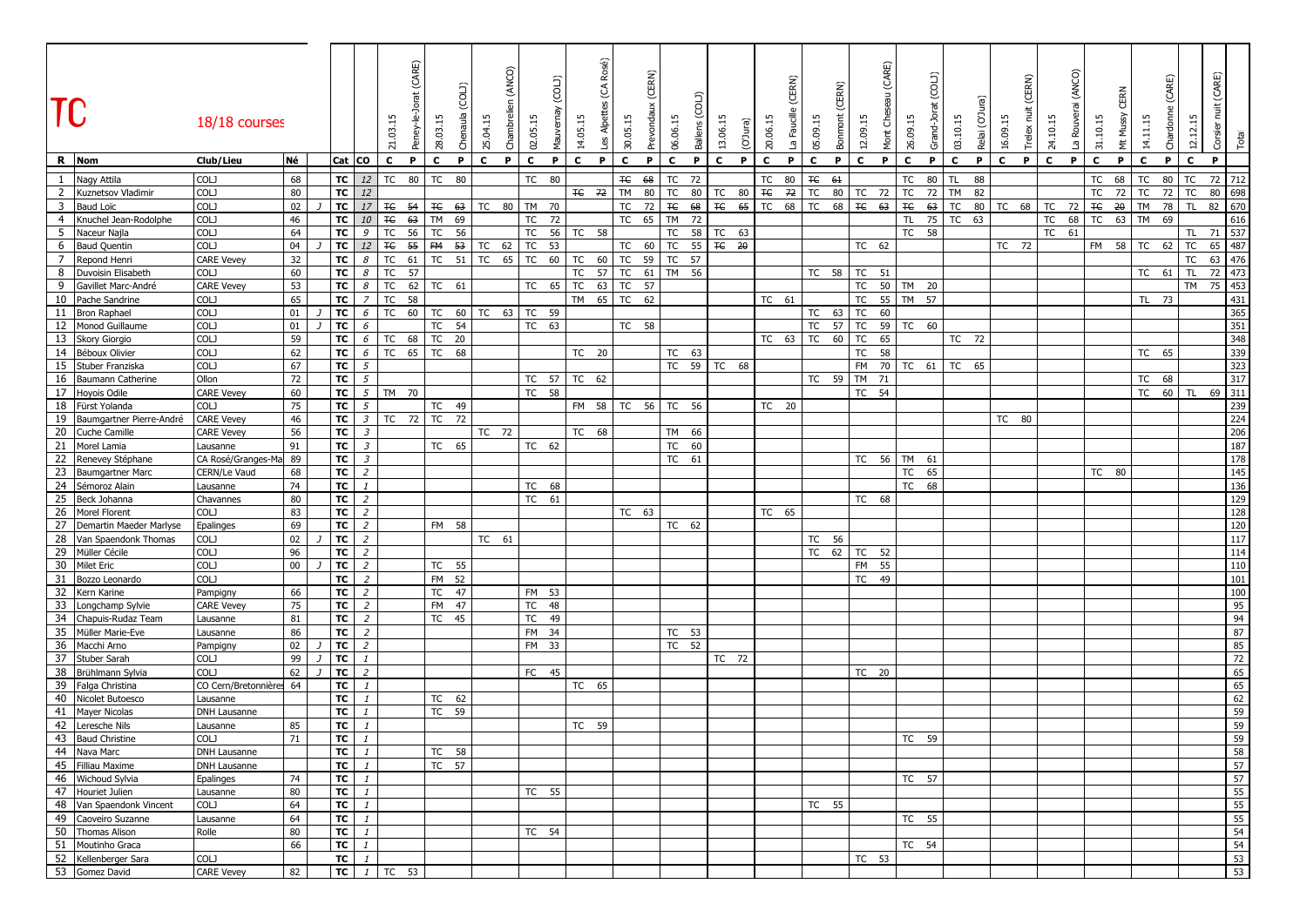| <b>TC</b>      |                                              | 18/18 courses                  |          |                 |                                  | 21.03.           | (CARE)<br>Peney-le- | 28.03.15<br>රි    | Э<br>25.04.15 | (ANCO)<br>Chambreli | 02.05.15 | (C0L)<br>Mauvernay | Rosé)<br>$\widehat{Q}$<br>Les Alpettes<br>14.05.15 | 30.05.15 | (CERN)<br>Prevondaux | 06.06.15        | Ballens (COL) | 13.06.15          | (O'Jura) | CERN)<br>20.06.15<br>ீ | 05.09.15     | ERN)<br>Bonmont | (CARE)<br>Mont Che<br>12.09.15 | 26.09.15    | (COLJ)<br>Grand-Jo | 03.10.15     | ত্ৰ<br>Relai (O'Jı | (CERN)<br>Ë<br>16.09.15<br>Trelex | 24.10.15    | (ANCO)<br>La Rouve | 31.10.15     | Mussy<br>Ë      | 14.11.15  | (CARE)<br>Chardonn | 12.12.15         | (CARE)<br>İ<br>Corsier | Total      |
|----------------|----------------------------------------------|--------------------------------|----------|-----------------|----------------------------------|------------------|---------------------|-------------------|---------------|---------------------|----------|--------------------|----------------------------------------------------|----------|----------------------|-----------------|---------------|-------------------|----------|------------------------|--------------|-----------------|--------------------------------|-------------|--------------------|--------------|--------------------|-----------------------------------|-------------|--------------------|--------------|-----------------|-----------|--------------------|------------------|------------------------|------------|
|                | R Nom                                        | Club/Lieu                      | Né       | Cat CO          |                                  | $\mathbf{c}$     | P                   | $\mathbf{C}$<br>P | $\mathbf{c}$  | P                   | c        | P                  | c<br>P                                             | c        | P                    | $\mathbf{C}$    | P             | $\mathbf c$<br>P. |          | $\mathbf{C}$<br>P      | c            | P               | c<br>P                         | $\mathbf c$ | P                  | $\mathbf{C}$ | P                  | $\mathbf c$<br>P                  | $\mathbf c$ | P.                 | $\mathbf{C}$ | P               | c         | P                  | c                | P                      |            |
| $\mathbf{1}$   | Nagy Attila                                  | COLJ                           | 68       | TC              | 12                               | TC               | 80                  | TC<br>80          |               |                     | TC       | 80                 |                                                    | ŦЄ       | 68                   | TC              | 72            |                   |          | ТC<br>80               | $\mp \infty$ | 61              |                                | TC          | 80                 | TL           | 88                 |                                   |             |                    | TC           | 68              | TC        | 80                 | TC               | 72                     | 712        |
|                | 2 Kuznetsov Vladimir                         | COLJ                           | 80       | TC              | 12                               |                  |                     |                   |               |                     |          |                    | TC 72                                              | TM       | 80                   | TC              | 80            | TC<br>80          |          | $\mp \in$<br>72        | TC           | 80              | TC<br>72                       | TC          | 72                 | <b>TM</b>    | 82                 |                                   |             |                    | TC           | 72              | TC        | 72                 | <b>TC</b>        | 80                     | 698        |
| 3              | Baud Loïc                                    | COLJ                           | 02       | TC              | $17$                             | $E_{\text{H}}$   | 54                  | <b>TC 63</b>      | TC            | 80                  | TM 70    |                    |                                                    | TC       | 72                   | $\mp \infty$    | 68            | $F_{\rm C}$<br>65 |          | TC<br>68               | <b>TC</b>    | 68              | TE<br>63                       | $\mp \in$   | 63                 | TC           | 80                 | TC<br>68                          | TC          | 72                 | $\mp \in$    | $\overline{20}$ | TM        | 78                 | <b>TL</b>        | 82                     | 670        |
| $\overline{4}$ | Knuchel Jean-Rodolphe                        | COLJ                           | 46       | TC              | 10                               | $\mp \in$        | 63                  | <b>TM</b><br>69   |               |                     | TC       | 72                 |                                                    | TC       | 65                   | <b>TM</b>       | 72            |                   |          |                        |              |                 |                                | <b>TL</b>   | 75                 | <b>TC</b>    | 63                 |                                   | <b>TC</b>   | 68                 | <b>TC</b>    | 63              | <b>TM</b> | 69                 |                  |                        | 616        |
| 5              | Naceur Najla                                 | COLJ                           | 64       | TC              | 9                                | <b>TC</b>        | 56                  | TC<br>56          |               |                     | TC       | 56                 | TC 58                                              |          |                      | TC              | 58            | TC<br>63          |          |                        |              |                 |                                | TC 58       |                    |              |                    |                                   |             | TC 61              |              |                 |           |                    | TL.              | 71                     | 537        |
| 6              | <b>Baud Quentin</b>                          | COLJ                           | 04       | TC              | 12                               | $\mp$            | 55                  | FM<br>53          | TC            | 62                  | TC<br>53 |                    |                                                    | TC       | 60                   | TC              | 55            | TC 20             |          |                        |              |                 | TC 62                          |             |                    |              |                    | TC 72                             |             |                    | FM 58        |                 | TC        | 62                 | <b>TC</b>        | 65                     | 487        |
| $\overline{7}$ | Repond Henri                                 | <b>CARE Vevey</b><br>COLJ      | 32       | TC              | 8                                | TC<br>TC         | 61                  | TC<br>51          | TC            | 65                  | TC<br>60 |                    | 60<br>TC                                           | TC       | 59                   | TC              | 57            |                   |          |                        |              |                 |                                |             |                    |              |                    |                                   |             |                    |              |                 |           |                    | <b>TC</b>        | 63                     | 476        |
| 9              | 8 Duvoisin Elisabeth                         | <b>CARE Vevey</b>              | 60<br>53 | TC<br>TC        | 8<br>8                           | TC               | 57<br>62            | TC 61             |               |                     | TC       | 65                 | 57<br>TC<br>TC<br>63                               | TC<br>TC | 61<br>57             | <b>TM</b>       | 56            |                   |          |                        | TC 58        |                 | TC<br>51<br>TC                 | 50 TM 20    |                    |              |                    |                                   |             |                    |              |                 | TC 61     |                    | TL.<br><b>TM</b> | 72 473<br>75           | 453        |
|                | Gavillet Marc-André<br>10 Pache Sandrine     | COLJ                           | 65       | TC              | $\overline{7}$                   | TC               | 58                  |                   |               |                     |          |                    | 65<br>TM                                           | TC       | 62                   |                 |               |                   |          | TC 61                  |              |                 | 55<br>TC                       | TM 57       |                    |              |                    |                                   |             |                    |              |                 | TL 73     |                    |                  |                        | 431        |
|                | 11 Bron Raphael                              | COLJ                           | 01       | TC              | 6                                | <b>TC</b>        | 60                  | TC<br>60          | TC            | 63                  | TC<br>59 |                    |                                                    |          |                      |                 |               |                   |          |                        | TC           | 63              | 60<br>TC                       |             |                    |              |                    |                                   |             |                    |              |                 |           |                    |                  |                        | 365        |
|                | 12 Monod Guillaume                           | COLJ                           | 01       | <b>TC</b>       | 6                                |                  |                     | <b>TC</b><br>54   |               |                     | TC 63    |                    |                                                    |          | TC 58                |                 |               |                   |          |                        | TC           | 57              | TC                             | 59 TC 60    |                    |              |                    |                                   |             |                    |              |                 |           |                    |                  |                        | 351        |
|                | 13 Skory Giorgio                             | COLJ                           | 59       | TC              | 6                                | TC 68            |                     | TC 20             |               |                     |          |                    |                                                    |          |                      |                 |               |                   |          | TC 63 TC               |              | 60              | TC<br>65                       |             |                    | TC 72        |                    |                                   |             |                    |              |                 |           |                    |                  |                        | 348        |
|                | 14 Béboux Olivier                            | COLJ                           | 62       | TC              | 6                                | TC 65            |                     | <b>TC</b><br>68   |               |                     |          |                    | TC 20                                              |          |                      | TC 63           |               |                   |          |                        |              |                 | <b>TC</b><br>58                |             |                    |              |                    |                                   |             |                    |              |                 | TC 65     |                    |                  |                        | 339        |
|                | 15 Stuber Franziska                          | COLJ                           | 67       | TC              | 5                                |                  |                     |                   |               |                     |          |                    |                                                    |          |                      |                 |               | TC 59 TC 68       |          |                        |              |                 | FM<br>70                       | TC 61       |                    | TC 65        |                    |                                   |             |                    |              |                 |           |                    |                  |                        | 323        |
|                | 16 Baumann Catherine                         | Ollon                          | 72       | TC              | $5\overline{5}$                  |                  |                     |                   |               |                     | TC 57    |                    | TC 62                                              |          |                      |                 |               |                   |          |                        | TC 59        |                 | <b>TM</b><br>71                |             |                    |              |                    |                                   |             |                    |              |                 | TC 68     |                    |                  |                        | 317        |
|                | 17 Hoyois Odile                              | <b>CARE Vevey</b>              | 60       | TC              |                                  | 5 TM 70          |                     |                   |               |                     | TC 58    |                    |                                                    |          |                      |                 |               |                   |          |                        |              |                 | TC 54                          |             |                    |              |                    |                                   |             |                    |              |                 | TC 60     |                    | TL               | 69 311                 |            |
|                | 18 Fürst Yolanda                             | COLJ                           | 75       | TC              | $\mathfrak{s}$                   |                  |                     | TC 49             |               |                     |          |                    | FM 58                                              | TC       | 56                   | TC              | 56            |                   |          | TC 20                  |              |                 |                                |             |                    |              |                    |                                   |             |                    |              |                 |           |                    |                  |                        | 239        |
|                | 19 Baumgartner Pierre-André                  | <b>CARE Vevey</b>              | 46       | TC              | $\mathfrak{Z}$                   | TC               | 72                  | TC<br>72          |               |                     |          |                    |                                                    |          |                      |                 |               |                   |          |                        |              |                 |                                |             |                    |              |                    | TC 80                             |             |                    |              |                 |           |                    |                  |                        | 224        |
| 21             | 20 Cuche Camille                             | <b>CARE Vevey</b>              | 56<br>91 | TC<br>TC        | $\mathfrak{Z}$<br>$\mathfrak{Z}$ |                  |                     |                   |               | TC 72               |          |                    | TC 68                                              |          |                      | <b>TM</b><br>TC | 66<br>60      |                   |          |                        |              |                 |                                |             |                    |              |                    |                                   |             |                    |              |                 |           |                    |                  |                        | 206<br>187 |
|                | Morel Lamia<br>22 Renevey Stéphane           | Lausanne<br>CA Rosé/Granges-Ma | 89       | TC              | $\mathfrak{Z}$                   |                  |                     | TC 65             |               |                     | TC 62    |                    |                                                    |          |                      | TC 61           |               |                   |          |                        |              |                 | TC 56                          | TM 61       |                    |              |                    |                                   |             |                    |              |                 |           |                    |                  |                        | 178        |
| 23             | <b>Baumgartner Marc</b>                      | CERN/Le Vaud                   | 68       | TC              | $\overline{2}$                   |                  |                     |                   |               |                     |          |                    |                                                    |          |                      |                 |               |                   |          |                        |              |                 |                                | TC          | 65                 |              |                    |                                   |             |                    | TC 80        |                 |           |                    |                  |                        | 145        |
|                | 24 Sémoroz Alain                             | Lausanne                       | 74       | TC              | $\mathbf{1}$                     |                  |                     |                   |               |                     | TC 68    |                    |                                                    |          |                      |                 |               |                   |          |                        |              |                 |                                | TC          | 68                 |              |                    |                                   |             |                    |              |                 |           |                    |                  |                        | 136        |
|                | 25 Beck Johanna                              | Chavannes                      | 80       | TC              | $\overline{z}$                   |                  |                     |                   |               |                     | TC 61    |                    |                                                    |          |                      |                 |               |                   |          |                        |              |                 | TC 68                          |             |                    |              |                    |                                   |             |                    |              |                 |           |                    |                  |                        | 129        |
|                | 26 Morel Florent                             | COLJ                           | 83       | TC              | $\overline{z}$                   |                  |                     |                   |               |                     |          |                    |                                                    |          | TC 63                |                 |               |                   |          | TC 65                  |              |                 |                                |             |                    |              |                    |                                   |             |                    |              |                 |           |                    |                  |                        | 128        |
| 27             | Demartin Maeder Marlyse                      | Epalinges                      | 69       | TC              | $\overline{2}$                   |                  |                     | FM 58             |               |                     |          |                    |                                                    |          |                      | TC 62           |               |                   |          |                        |              |                 |                                |             |                    |              |                    |                                   |             |                    |              |                 |           |                    |                  |                        | 120        |
|                | 28 Van Spaendonk Thomas                      | COLJ                           | 02       | TC              | $\overline{2}$                   |                  |                     |                   |               | TC 61               |          |                    |                                                    |          |                      |                 |               |                   |          |                        | TC 56        |                 |                                |             |                    |              |                    |                                   |             |                    |              |                 |           |                    |                  |                        | 117        |
|                | 29 Müller Cécile                             | COLJ                           | 96       | TC              | $\overline{2}$                   |                  |                     |                   |               |                     |          |                    |                                                    |          |                      |                 |               |                   |          |                        | TC           | 62              | TC 52                          |             |                    |              |                    |                                   |             |                    |              |                 |           |                    |                  |                        | 114        |
|                | 30 Milet Eric                                | COLJ                           | $00\,$   | <b>TC</b>       | $\overline{2}$                   |                  |                     | TC 55             |               |                     |          |                    |                                                    |          |                      |                 |               |                   |          |                        |              |                 | FM 55                          |             |                    |              |                    |                                   |             |                    |              |                 |           |                    |                  |                        | 110        |
|                | 31 Bozzo Leonardo                            | COLJ                           |          | TC              | $\overline{z}$                   |                  |                     | FM 52             |               |                     |          |                    |                                                    |          |                      |                 |               |                   |          |                        |              |                 | TC 49                          |             |                    |              |                    |                                   |             |                    |              |                 |           |                    |                  |                        | 101        |
|                | 32 Kern Karine                               | Pampigny                       | 66       | TC              | $\overline{2}$                   |                  |                     | TC 47             |               |                     | FM 53    |                    |                                                    |          |                      |                 |               |                   |          |                        |              |                 |                                |             |                    |              |                    |                                   |             |                    |              |                 |           |                    |                  |                        | 100        |
|                | 33 Longchamp Sylvie<br>34 Chapuis-Rudaz Team | <b>CARE Vevey</b>              | 75<br>81 | <b>TC</b><br>TC | $\overline{2}$<br>$\overline{2}$ |                  |                     | FM 47<br>TC 45    |               |                     | TC<br>TC | 48<br>49           |                                                    |          |                      |                 |               |                   |          |                        |              |                 |                                |             |                    |              |                    |                                   |             |                    |              |                 |           |                    |                  |                        | 95<br>94   |
|                | 35 Müller Marie-Eve                          | Lausanne<br>Lausanne           | 86       | TC              | $\overline{z}$                   |                  |                     |                   |               |                     | FM 34    |                    |                                                    |          |                      | TC 53           |               |                   |          |                        |              |                 |                                |             |                    |              |                    |                                   |             |                    |              |                 |           |                    |                  |                        | 87         |
|                | 36 Macchi Arno                               | Pampigny                       | 02       | TC              | $\overline{2}$                   |                  |                     |                   |               |                     | FM 33    |                    |                                                    |          |                      | TC 52           |               |                   |          |                        |              |                 |                                |             |                    |              |                    |                                   |             |                    |              |                 |           |                    |                  |                        | 85         |
|                | 37 Stuber Sarah                              | COLJ                           | 99       | TC              | 1                                |                  |                     |                   |               |                     |          |                    |                                                    |          |                      |                 |               | TC 72             |          |                        |              |                 |                                |             |                    |              |                    |                                   |             |                    |              |                 |           |                    |                  |                        | 72         |
|                | 38 Brühlmann Sylvia                          | <b>COLJ</b>                    | 62       | TC              | $\overline{2}$                   |                  |                     |                   |               |                     | FC 45    |                    |                                                    |          |                      |                 |               |                   |          |                        |              |                 | TC 20                          |             |                    |              |                    |                                   |             |                    |              |                 |           |                    |                  |                        | 65         |
|                | 39 Falga Christina                           | CO Cern/Bretonnière            | 64       | TC              | $\mathbf{1}$                     |                  |                     |                   |               |                     |          |                    | TC 65                                              |          |                      |                 |               |                   |          |                        |              |                 |                                |             |                    |              |                    |                                   |             |                    |              |                 |           |                    |                  |                        | 65         |
|                | 40 Nicolet Butoesco                          | Lausanne                       |          | TC              | $\mathbf{1}$                     |                  |                     | TC 62             |               |                     |          |                    |                                                    |          |                      |                 |               |                   |          |                        |              |                 |                                |             |                    |              |                    |                                   |             |                    |              |                 |           |                    |                  |                        | 62         |
|                | 41 Mayer Nicolas                             | DNH Lausanne                   |          | тc              |                                  |                  |                     | TC 59             |               |                     |          |                    |                                                    |          |                      |                 |               |                   |          |                        |              |                 |                                |             |                    |              |                    |                                   |             |                    |              |                 |           |                    |                  |                        | 59         |
|                | 42 Leresche Nils                             | Lausanne                       | 85       | TC              | $\mathbf{1}$                     |                  |                     |                   |               |                     |          |                    | TC 59                                              |          |                      |                 |               |                   |          |                        |              |                 |                                |             |                    |              |                    |                                   |             |                    |              |                 |           |                    |                  |                        | 59         |
|                | 43 Baud Christine<br>44 Nava Marc            | COLJ                           | 71       | TC              |                                  |                  |                     |                   |               |                     |          |                    |                                                    |          |                      |                 |               |                   |          |                        |              |                 |                                | TC 59       |                    |              |                    |                                   |             |                    |              |                 |           |                    |                  |                        | 59         |
|                | 45 Filliau Maxime                            | DNH Lausanne<br>DNH Lausanne   |          | TC<br>TC        | $\mathbf{1}$<br>$\mathbf{1}$     |                  |                     | TC 58<br>TC 57    |               |                     |          |                    |                                                    |          |                      |                 |               |                   |          |                        |              |                 |                                |             |                    |              |                    |                                   |             |                    |              |                 |           |                    |                  |                        | 58<br>57   |
|                | 46 Wichoud Sylvia                            | Epalinges                      | 74       | TC              | $\mathbf{1}$                     |                  |                     |                   |               |                     |          |                    |                                                    |          |                      |                 |               |                   |          |                        |              |                 |                                | TC 57       |                    |              |                    |                                   |             |                    |              |                 |           |                    |                  |                        | 57         |
|                | 47 Houriet Julien                            | Lausanne                       | 80       | TC              | $\mathbf{1}$                     |                  |                     |                   |               |                     | TC 55    |                    |                                                    |          |                      |                 |               |                   |          |                        |              |                 |                                |             |                    |              |                    |                                   |             |                    |              |                 |           |                    |                  |                        | 55         |
|                | 48 Van Spaendonk Vincent                     | COLJ                           | 64       | TC              | $\mathbf{1}$                     |                  |                     |                   |               |                     |          |                    |                                                    |          |                      |                 |               |                   |          |                        | TC 55        |                 |                                |             |                    |              |                    |                                   |             |                    |              |                 |           |                    |                  |                        | 55         |
|                | 49 Caoveiro Suzanne                          | Lausanne                       | 64       | TC              | $\mathbf{1}$                     |                  |                     |                   |               |                     |          |                    |                                                    |          |                      |                 |               |                   |          |                        |              |                 |                                | TC 55       |                    |              |                    |                                   |             |                    |              |                 |           |                    |                  |                        | 55         |
|                | 50 Thomas Alison                             | Rolle                          | 80       | TC              | $\mathbf{1}$                     |                  |                     |                   |               |                     | TC 54    |                    |                                                    |          |                      |                 |               |                   |          |                        |              |                 |                                |             |                    |              |                    |                                   |             |                    |              |                 |           |                    |                  |                        | 54         |
|                | 51 Moutinho Graca                            |                                | 66       | TC              | $\mathbf{1}$                     |                  |                     |                   |               |                     |          |                    |                                                    |          |                      |                 |               |                   |          |                        |              |                 |                                | TC 54       |                    |              |                    |                                   |             |                    |              |                 |           |                    |                  |                        | 54         |
|                | 52 Kellenberger Sara                         | COLJ                           |          | TC              | $\mathbf{1}$                     |                  |                     |                   |               |                     |          |                    |                                                    |          |                      |                 |               |                   |          |                        |              |                 | TC 53                          |             |                    |              |                    |                                   |             |                    |              |                 |           |                    |                  |                        | 53         |
|                | 53 Gomez David                               | <b>CARE Vevey</b>              | 82       |                 |                                  | $TC$ $1$ $TC$ 53 |                     |                   |               |                     |          |                    |                                                    |          |                      |                 |               |                   |          |                        |              |                 |                                |             |                    |              |                    |                                   |             |                    |              |                 |           |                    |                  |                        | 53         |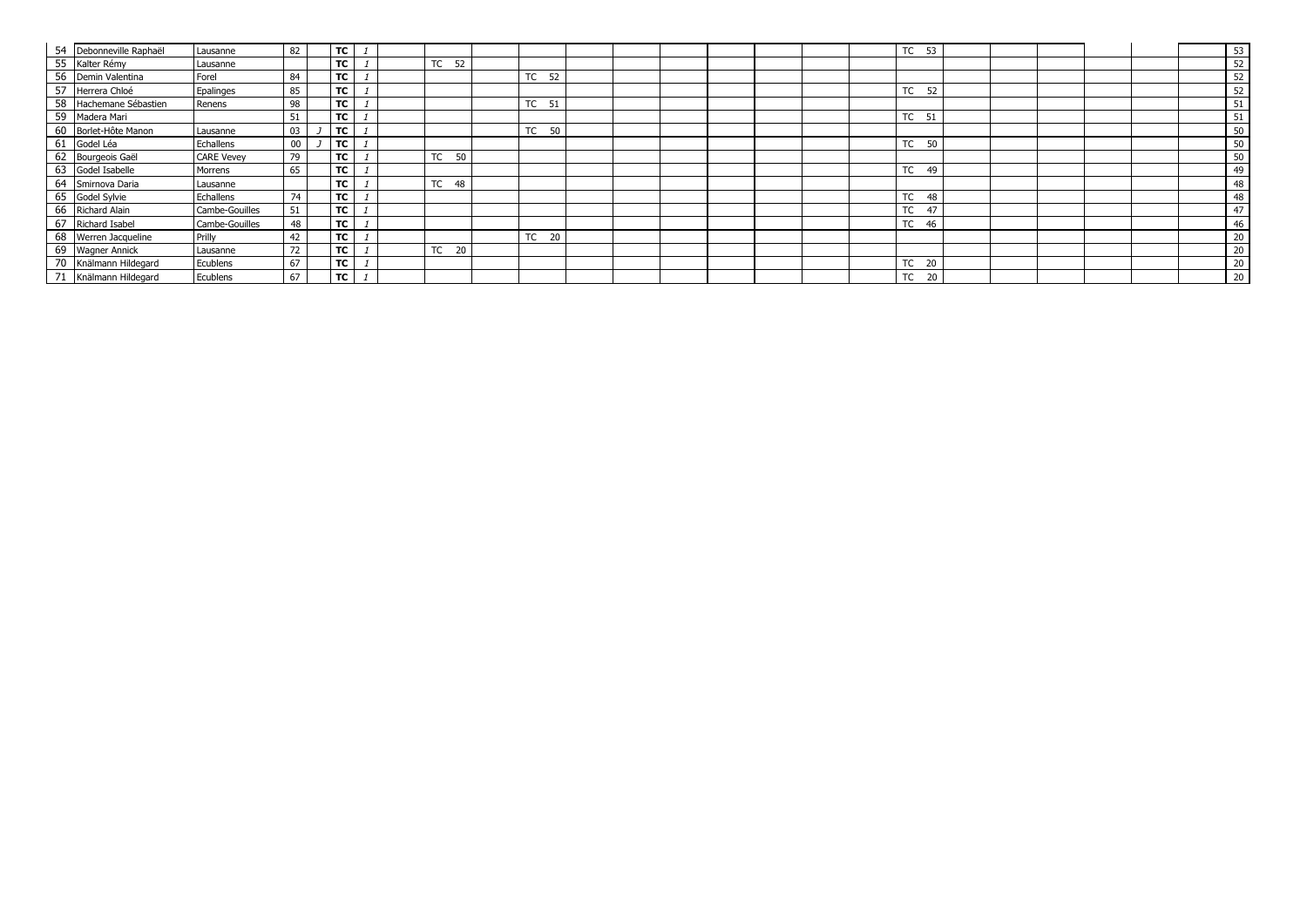|    | 54 Debonneville Raphaël | Lausanne          | 82 | <b>TC</b> |  |                 |                   |  |  |  | TC 53           |  |  | 53 |
|----|-------------------------|-------------------|----|-----------|--|-----------------|-------------------|--|--|--|-----------------|--|--|----|
|    | 55 Kalter Rémy          | Lausanne          |    | TC        |  | TC<br>52        |                   |  |  |  |                 |  |  | 52 |
| 56 | Demin Valentina         | Forel             | 84 | TC        |  |                 | TC 52             |  |  |  |                 |  |  | 52 |
| 57 | Herrera Chloé           | Epalinges         | 85 | <b>TC</b> |  |                 |                   |  |  |  | TC<br>52        |  |  | 52 |
| 58 | Hachemane Sébastien     | Renens            | 98 | TC        |  |                 | TC 51             |  |  |  |                 |  |  | 51 |
| 59 | Madera Mari             |                   | 51 | TC        |  |                 |                   |  |  |  | TC 51           |  |  | 51 |
|    | Borlet-Hôte Manon       | Lausanne          | 03 | <b>TC</b> |  |                 | TC 50             |  |  |  |                 |  |  | 50 |
| 61 | Godel Léa               | Echallens         | 00 | тc        |  |                 |                   |  |  |  | TC<br>- 50      |  |  | 50 |
| 62 | Bourgeois Gaël          | <b>CARE Vevey</b> | 79 | TC        |  | TC 50           |                   |  |  |  |                 |  |  | 50 |
| 63 | Godel Isabelle          | Morrens           | 65 | TC        |  |                 |                   |  |  |  | TC<br>49        |  |  | 49 |
| 64 | Smirnova Daria          | Lausanne          |    | TC        |  | TC<br>48        |                   |  |  |  |                 |  |  | 48 |
| 65 | Godel Sylvie            | Echallens         | 74 | <b>TC</b> |  |                 |                   |  |  |  | TC<br>48        |  |  | 48 |
| 66 | Richard Alain           | Cambe-Gouilles    | 51 | TC        |  |                 |                   |  |  |  | TC<br>47        |  |  | 47 |
| 67 | Richard Isabel          | Cambe-Gouilles    | 48 | TC        |  |                 |                   |  |  |  | <b>TC</b><br>46 |  |  | 46 |
| 68 | Werren Jacqueline       | Prilly            | 42 | <b>TC</b> |  |                 | <b>TC</b><br>- 20 |  |  |  |                 |  |  | 20 |
| 69 | <b>Wagner Annick</b>    | Lausanne          | 72 | TC        |  | <b>TC</b><br>20 |                   |  |  |  |                 |  |  | 20 |
| 70 | Knälmann Hildegard      | Ecublens          | 67 | TC        |  |                 |                   |  |  |  | TC 20           |  |  | 20 |
|    | Knälmann Hildegard      | Ecublens          | 67 | тc        |  |                 |                   |  |  |  | TC<br>20        |  |  | 20 |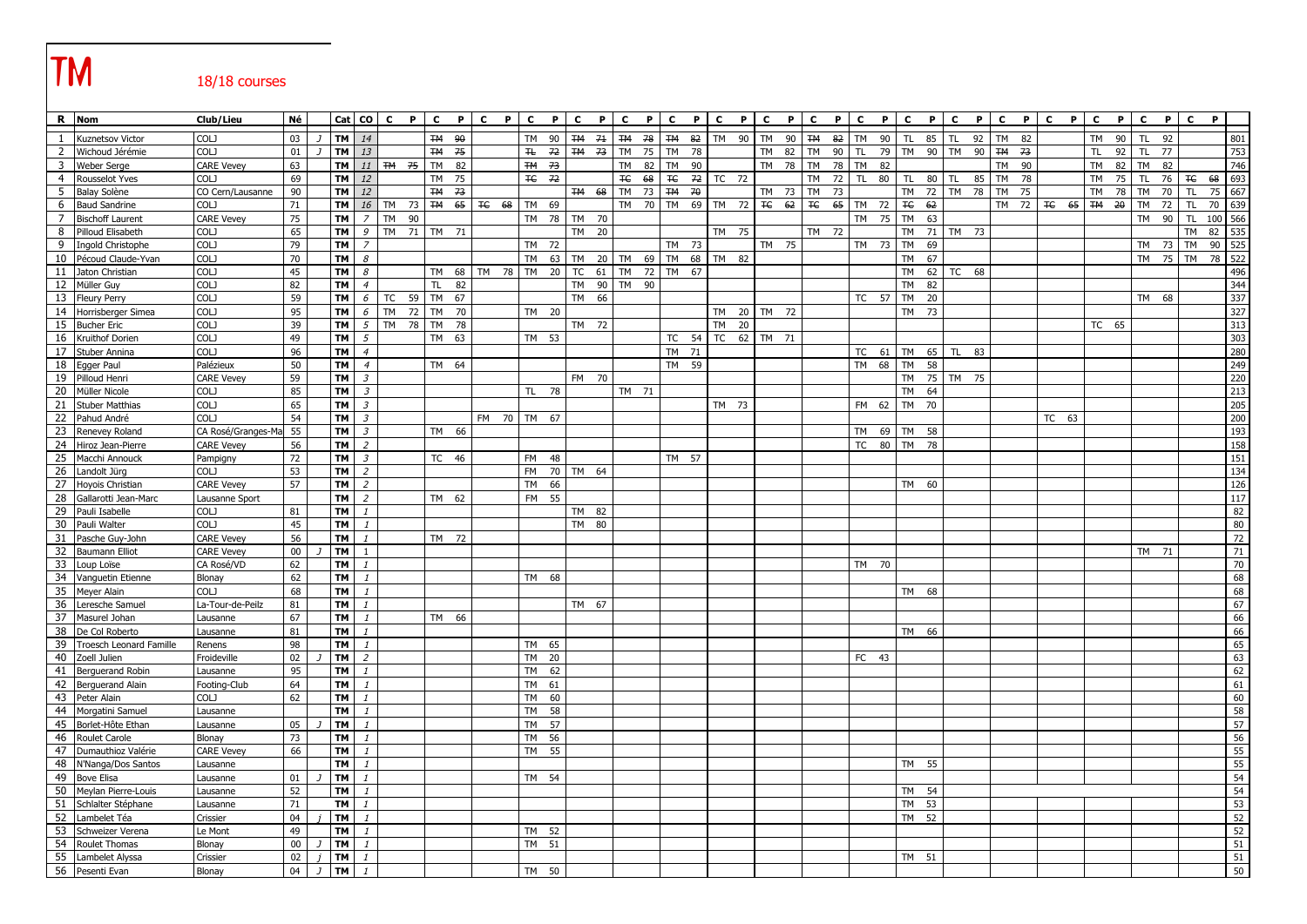# **TM** 18/18 courses

|                         | R Nom                              | Club/Lieu                       | Né           |                |                        | Cat CO                       | $\mathbf{c}$ | $\mathbf{P}$ | P<br>$\mathbf{c}$ | $\mathbf{c}$<br>P        | $\mathbf{c}$ | $\mathbf{P}$ | $\mathbf{c}$ | $\mathbf{P}$ | $\mathbf{c}$        | P<br>$\mathbf{C}$ | P.              | $\mathbf{c}$<br>P.    | $\mathbf{c}$ | P     | $\mathbf{c}$    | P     | $\mathbf{c}$    | P<br>$\mathbf{c}$         | $\mathbf{P}$    | $\mathbf{c}$ | P     | $\mathbf{C}$ | P. | $\mathbf{c}$ | P. | $\mathbf{c}$ | P               | $\mathbf{c}$ | $\mathbf{P}$ | c<br>P          |          |
|-------------------------|------------------------------------|---------------------------------|--------------|----------------|------------------------|------------------------------|--------------|--------------|-------------------|--------------------------|--------------|--------------|--------------|--------------|---------------------|-------------------|-----------------|-----------------------|--------------|-------|-----------------|-------|-----------------|---------------------------|-----------------|--------------|-------|--------------|----|--------------|----|--------------|-----------------|--------------|--------------|-----------------|----------|
| 1                       | Kuznetsov Victor                   | <b>COLJ</b>                     | 03           |                | <b>TM</b>              | 14                           |              |              | TM 90             |                          | <b>TM</b>    | 90           | TM 71        |              | <b>TM 78</b>        |                   | <b>TM 82</b>    | TM 90                 | <b>TM</b>    | 90    | <b>TM</b>       | 82    | <b>TM</b>       | 90<br><b>TL</b>           | 85              | <b>TL</b>    | 92    | <b>TM</b>    | 82 |              |    | <b>TM</b>    | 90              | TL.          | 92           |                 | 801      |
| $\overline{2}$          | Wichoud Jérémie                    | COLJ                            | 01           | $\overline{J}$ | <b>TM</b>              | 13                           |              |              | <b>TM</b><br>75   |                          | <b>TL</b>    | 72           | <b>TM 73</b> |              | <b>TM</b><br>75     |                   | <b>TM</b><br>78 |                       | TM           | 82    | <b>TM</b>       | 90    | TL.             | 79<br>TM                  | 90              | <b>TM</b>    | 90    | <b>TM</b>    | 73 |              |    | TL.          | 92              | TL.          | 77           |                 | 753      |
| $\overline{\mathbf{3}}$ | <b>Weber Serge</b>                 | <b>CARE Vevey</b>               | 63           |                | <b>TM</b>              | 11                           | <b>TM 75</b> |              | <b>TM</b><br>82   |                          | <b>TM</b>    | 73           |              |              | <b>TM</b><br>82     |                   | <b>TM</b><br>90 |                       | <b>TM</b>    | 78    | <b>TM</b>       | 78    | <b>TM</b>       | 82                        |                 |              |       | <b>TM</b>    | 90 |              |    | <b>TM</b>    | 82              | <b>TM</b>    | 82           |                 | 746      |
| $\overline{4}$          | Rousselot Yves                     | <b>COLJ</b>                     | 69           |                | <b>TM</b>              | 12                           |              |              | TM<br>75          |                          | <b>TC</b> 72 |              |              |              | $\mathsf{TC}$<br>68 |                   | TC<br>72        | TC 72                 |              |       | TM              | 72    | TL.             | 80<br><b>TL</b>           | 80              | TL.          | 85    | <b>TM</b>    | 78 |              |    | TM           | 75              | TL.          | 76           | <b>TC</b><br>68 | 693      |
| 5                       | Balay Solène                       | CO Cern/Lausanne                | 90           |                | TM                     | 12                           |              |              | <b>TM</b><br>73   |                          |              |              | TM 68        |              | <b>TM</b><br>73     |                   | <b>TM</b><br>70 |                       |              | TM 73 | TM              | 73    |                 | TM                        | 72              | <b>TM</b>    | 78    | <b>TM</b>    | 75 |              |    | TM           | 78              | TM           | 70           | 75<br><b>TL</b> | 667      |
| 6                       | <b>Baud Sandrine</b>               | <b>COLJ</b>                     | 71           |                | <b>TM</b>              | 16                           | <b>TM</b>    | 73           | T M               | $65$ $\overline{+}$ $68$ | <b>TM</b>    | 69           |              |              | <b>TM</b><br>70     |                   | <b>TM</b><br>69 | TM 72                 |              | TC 62 | $\overline{+e}$ |       | 65 TM 72        | $\mathop{\text{\rm \#C}}$ | 62              |              |       | TM           | 72 | $F_{\rm c}$  | 65 | T M          | $\overline{20}$ | <b>TM</b>    | 72           | 70<br><b>TL</b> | 639      |
| $\overline{7}$          | <b>Bischoff Laurent</b>            | <b>CARE Vevey</b>               | 75           |                | TM                     | $\overline{z}$               | <b>TM</b>    | 90           |                   |                          | TM 78        |              | TM 70        |              |                     |                   |                 |                       |              |       |                 |       | TM 75           | <b>TM</b>                 | 63              |              |       |              |    |              |    |              |                 | <b>TM</b>    | 90           | <b>TL</b>       | 100 566  |
| 8                       | Pilloud Elisabeth                  | <b>COLJ</b>                     | 65           |                | TM                     | 9                            | TM 71        |              | TM 71             |                          |              |              | TM 20        |              |                     |                   |                 | TM 75                 |              |       |                 | TM 72 |                 | <b>TM</b>                 | 71              |              | TM 73 |              |    |              |    |              |                 |              |              | <b>TM</b><br>82 | 535      |
| 9                       | Ingold Christophe                  | <b>COLJ</b>                     | 79           |                | <b>TM</b>              | $\overline{7}$               |              |              |                   |                          | TM 72        |              |              |              |                     |                   | 73<br><b>TM</b> |                       |              | TM 75 |                 |       | TM 73           | <b>TM</b>                 | 69              |              |       |              |    |              |    |              |                 | <b>TM</b>    | 73           | <b>TM</b><br>90 | 525      |
| 10                      | Pécoud Claude-Yvan                 | COLJ                            | 70           |                | <b>TM</b>              | 8                            |              |              |                   |                          | <b>TM</b>    | 63           | TM 20        |              | <b>TM</b><br>69     |                   | <b>TM</b><br>68 | TM 82                 |              |       |                 |       |                 | <b>TM</b>                 | 67              |              |       |              |    |              |    |              |                 | <b>TM</b>    | 75           | <b>TM</b><br>78 | 522      |
| 11                      | Jaton Christian                    | COLJ                            | 45           |                | TM                     | 8                            |              |              | TM 68             | TM 78                    | <b>TM</b>    | 20           | TC 61        |              | TM 72               |                   | TM 67           |                       |              |       |                 |       |                 | TM                        | 62              |              | TC 68 |              |    |              |    |              |                 |              |              |                 | 496      |
|                         | 12 Müller Guy                      | COLJ                            | 82           |                | TM                     | $\overline{4}$               |              |              | TL.<br>82         |                          |              |              | TM 90        |              | TM 90               |                   |                 |                       |              |       |                 |       |                 | TM                        | 82              |              |       |              |    |              |    |              |                 |              |              |                 | 344      |
|                         | 13 Fleury Perry                    | COLJ                            | 59           |                | TM                     | 6                            | <b>TC</b>    | 59           | TM 67             |                          |              |              | TM 66        |              |                     |                   |                 |                       |              |       |                 |       | TC 57           | <b>TM</b>                 | 20              |              |       |              |    |              |    |              |                 | TM 68        |              |                 | 337      |
|                         | 14 Horrisberger Simea              | COLJ                            | 95           |                | TM                     | 6                            | <b>TM</b>    | 72           | <b>TM</b><br>70   |                          | TM 20        |              |              |              |                     |                   |                 | TM<br>20 <sub>1</sub> |              | TM 72 |                 |       |                 |                           | 73<br>TM        |              |       |              |    |              |    |              |                 |              |              |                 | 327      |
|                         | 15 Bucher Eric                     | COLJ                            | 39           |                | <b>TM</b>              | 5                            | <b>TM</b>    | 78           | <b>TM</b><br>78   |                          |              |              | TM 72        |              |                     |                   |                 | <b>TM</b><br>20       |              |       |                 |       |                 |                           |                 |              |       |              |    |              |    | TC 65        |                 |              |              |                 | 313      |
|                         | 16 Kruithof Dorien                 | COLJ                            | 49           |                | <b>TM</b>              | $\mathfrak{s}$               |              |              | TM 63             |                          | TM 53        |              |              |              |                     |                   | TC 54           | TC<br>62              |              | TM 71 |                 |       |                 |                           |                 |              |       |              |    |              |    |              |                 |              |              |                 | 303      |
|                         | 17 Stuber Annina                   | COLJ                            | 96           |                | <b>TM</b>              | $\overline{4}$               |              |              |                   |                          |              |              |              |              |                     |                   | TM 71           |                       |              |       |                 |       | TC 61           | <b>TM</b>                 | 65              |              | TL 83 |              |    |              |    |              |                 |              |              |                 | 280      |
|                         | 18 Egger Paul                      | Palézieux                       | 50           |                | <b>TM</b>              | $\overline{4}$               |              |              | TM 64             |                          |              |              |              |              |                     |                   | TM 59           |                       |              |       |                 |       | <b>TM</b><br>68 | <b>TM</b>                 | 58              |              |       |              |    |              |    |              |                 |              |              |                 | 249      |
|                         | 19 Pilloud Henri                   | <b>CARE Vevey</b>               | 59           |                | <b>TM</b>              | $\mathfrak{Z}$               |              |              |                   |                          |              |              | FM 70        |              |                     |                   |                 |                       |              |       |                 |       |                 | TM                        | 75              |              | TM 75 |              |    |              |    |              |                 |              |              |                 | 220      |
|                         | 20 Müller Nicole                   | <b>COLJ</b>                     | 85           |                | <b>TM</b>              | $\mathfrak{Z}$               |              |              |                   |                          | TL.          | 78           |              |              | TM 71               |                   |                 |                       |              |       |                 |       |                 | <b>TM</b>                 | 64              |              |       |              |    |              |    |              |                 |              |              |                 | 213      |
|                         | 21 Stuber Matthias                 | <b>COLJ</b>                     | 65           |                | <b>TM</b>              | $\mathcal{Z}$                |              |              |                   |                          |              |              |              |              |                     |                   |                 | TM 73                 |              |       |                 |       | FM 62           |                           | TM 70           |              |       |              |    |              |    |              |                 |              |              |                 | 205      |
|                         | 22 Pahud André                     | <b>COLJ</b>                     | 54           |                | TM                     | $\mathfrak{Z}$               |              |              |                   | FM 70 TM 67              |              |              |              |              |                     |                   |                 |                       |              |       |                 |       |                 |                           |                 |              |       |              |    | TC 63        |    |              |                 |              |              |                 | 200      |
|                         | 23 Renevey Roland                  | CA Rosé/Granges-M               | 55           |                | <b>TM</b>              | $\mathcal{Z}$                |              |              | TM 66             |                          |              |              |              |              |                     |                   |                 |                       |              |       |                 |       | <b>TM</b>       | 69<br><b>TM</b>           | 58              |              |       |              |    |              |    |              |                 |              |              |                 | 193      |
|                         | 24 Hiroz Jean-Pierre               | <b>CARE Vevey</b>               | 56           |                | TM                     | $\overline{2}$               |              |              |                   |                          |              |              |              |              |                     |                   |                 |                       |              |       |                 |       | <b>TC</b>       | 80                        | TM 78           |              |       |              |    |              |    |              |                 |              |              |                 | 158      |
| 25                      | Macchi Annouck                     | Pampigny                        | 72           |                | TM                     | $\mathfrak{Z}$               |              |              | TC 46             |                          | <b>FM</b>    | 48           |              |              |                     |                   | TM 57           |                       |              |       |                 |       |                 |                           |                 |              |       |              |    |              |    |              |                 |              |              |                 | 151      |
| 26                      | Landolt Jürg                       | COLJ                            | 53           |                | TM                     | $\overline{2}$               |              |              |                   |                          | <b>FM</b>    | 70           | TM 64        |              |                     |                   |                 |                       |              |       |                 |       |                 |                           |                 |              |       |              |    |              |    |              |                 |              |              |                 | 134      |
|                         | 27 Hoyois Christian                | <b>CARE Vevey</b>               | 57           |                | <b>TM</b>              | $\overline{2}$               |              |              |                   |                          | <b>TM</b>    | 66           |              |              |                     |                   |                 |                       |              |       |                 |       |                 |                           | TM 60           |              |       |              |    |              |    |              |                 |              |              |                 | 126      |
| 28                      | Gallarotti Jean-Marc               | Lausanne Sport                  |              |                | <b>TM</b>              | $\overline{2}$               |              |              | TM 62             |                          | <b>FM</b>    | 55           |              |              |                     |                   |                 |                       |              |       |                 |       |                 |                           |                 |              |       |              |    |              |    |              |                 |              |              |                 | 117      |
|                         | 29 Pauli Isabelle                  | <b>COLJ</b>                     | 81           |                | TM                     | $\mathbf{1}$                 |              |              |                   |                          |              |              | TM 82        |              |                     |                   |                 |                       |              |       |                 |       |                 |                           |                 |              |       |              |    |              |    |              |                 |              |              |                 | 82       |
|                         | 30 Pauli Walter                    | COLJ                            | 45           |                | <b>TM</b>              | $\mathbf{1}$                 |              |              |                   |                          |              |              | TM 80        |              |                     |                   |                 |                       |              |       |                 |       |                 |                           |                 |              |       |              |    |              |    |              |                 |              |              |                 | 80       |
|                         | 31 Pasche Guy-John                 | <b>CARE Vevey</b>               | 56           |                | <b>TM</b>              | $\mathbf{1}$                 |              |              | TM 72             |                          |              |              |              |              |                     |                   |                 |                       |              |       |                 |       |                 |                           |                 |              |       |              |    |              |    |              |                 |              |              |                 | 72       |
| 33                      | 32 Baumann Elliot                  | <b>CARE Vevey</b><br>CA Rosé/VD | $00\,$<br>62 |                | <b>TM</b><br><b>TM</b> | $\mathbf{1}$<br>$\mathbf{1}$ |              |              |                   |                          |              |              |              |              |                     |                   |                 |                       |              |       |                 |       | TM 70           |                           |                 |              |       |              |    |              |    |              |                 | TM 71        |              |                 | 71<br>70 |
|                         | Loup Loïse<br>34 Vanquetin Etienne | Blonay                          | 62           |                | TM                     | $\mathbf{1}$                 |              |              |                   |                          | TM 68        |              |              |              |                     |                   |                 |                       |              |       |                 |       |                 |                           |                 |              |       |              |    |              |    |              |                 |              |              |                 |          |
| 35                      | Mever Alain                        | <b>COLJ</b>                     | 68           |                | <b>TM</b>              | $\mathbf{1}$                 |              |              |                   |                          |              |              |              |              |                     |                   |                 |                       |              |       |                 |       |                 |                           | TM 68           |              |       |              |    |              |    |              |                 |              |              |                 | 68<br>68 |
| 36                      | Leresche Samuel                    | La-Tour-de-Peilz                | 81           |                | <b>TM</b>              | $\mathbf{1}$                 |              |              |                   |                          |              |              | TM 67        |              |                     |                   |                 |                       |              |       |                 |       |                 |                           |                 |              |       |              |    |              |    |              |                 |              |              |                 | 67       |
|                         | 37 Masurel Johan                   | Lausanne                        | 67           |                | TM                     | $\mathbf{1}$                 |              |              | TM 66             |                          |              |              |              |              |                     |                   |                 |                       |              |       |                 |       |                 |                           |                 |              |       |              |    |              |    |              |                 |              |              |                 | 66       |
| 38                      | De Col Roberto                     | Lausanne                        | 81           |                | <b>TM</b>              | $\mathbf{1}$                 |              |              |                   |                          |              |              |              |              |                     |                   |                 |                       |              |       |                 |       |                 |                           | TM 66           |              |       |              |    |              |    |              |                 |              |              |                 | 66       |
| 39                      | Troesch Leonard Famille            | Renens                          | 98           |                | TM                     | $\mathbf{1}$                 |              |              |                   |                          | <b>TM</b>    | 65           |              |              |                     |                   |                 |                       |              |       |                 |       |                 |                           |                 |              |       |              |    |              |    |              |                 |              |              |                 | 65       |
| 40                      | Zoell Julien                       | Froideville                     | 02           |                | <b>TM</b>              | $\overline{2}$               |              |              |                   |                          | TM 20        |              |              |              |                     |                   |                 |                       |              |       |                 |       | FC 43           |                           |                 |              |       |              |    |              |    |              |                 |              |              |                 | 63       |
| 41                      | Berguerand Robin                   | Lausanne                        | 95           |                | <b>TM</b>              | $\mathbf{1}$                 |              |              |                   |                          | TM           | 62           |              |              |                     |                   |                 |                       |              |       |                 |       |                 |                           |                 |              |       |              |    |              |    |              |                 |              |              |                 | 62       |
|                         | 42 Berguerand Alain                | Footing-Club                    | 64           |                | TM                     | $\mathbf{1}$                 |              |              |                   |                          | TM           | 61           |              |              |                     |                   |                 |                       |              |       |                 |       |                 |                           |                 |              |       |              |    |              |    |              |                 |              |              |                 | 61       |
|                         | 43 Peter Alain                     | <b>COLJ</b>                     | 62           |                | <b>TM</b>              | $\mathbf{1}$                 |              |              |                   |                          | <b>TM</b>    | 60           |              |              |                     |                   |                 |                       |              |       |                 |       |                 |                           |                 |              |       |              |    |              |    |              |                 |              |              |                 | 60       |
|                         | 44 Morgatini Samuel                | Lausanne                        |              |                | TM                     | $\mathbf{1}$                 |              |              |                   |                          | <b>TM</b>    | 58           |              |              |                     |                   |                 |                       |              |       |                 |       |                 |                           |                 |              |       |              |    |              |    |              |                 |              |              |                 | 58       |
| 45                      | Borlet-Hôte Ethan                  | Lausanne                        | 05           |                | <b>TM</b>              |                              |              |              |                   |                          | <b>TM</b>    | 57           |              |              |                     |                   |                 |                       |              |       |                 |       |                 |                           |                 |              |       |              |    |              |    |              |                 |              |              |                 | 57       |
| 46                      | Roulet Carole                      | Blonay                          | 73           |                | TM                     | $\mathbf{1}$                 |              |              |                   |                          | TM 56        |              |              |              |                     |                   |                 |                       |              |       |                 |       |                 |                           |                 |              |       |              |    |              |    |              |                 |              |              |                 | 56       |
| 47                      | Dumauthioz Valérie                 | <b>CARE Vevey</b>               | 66           |                | <b>TM</b>              | $\mathbf{1}$                 |              |              |                   |                          | TM 55        |              |              |              |                     |                   |                 |                       |              |       |                 |       |                 |                           |                 |              |       |              |    |              |    |              |                 |              |              |                 | 55       |
| 48                      | N'Nanga/Dos Santos                 | Lausanne                        |              |                | <b>TM</b>              | $\mathbf{1}$                 |              |              |                   |                          |              |              |              |              |                     |                   |                 |                       |              |       |                 |       |                 |                           | TM 55           |              |       |              |    |              |    |              |                 |              |              |                 | 55       |
| 49                      | <b>Bove Elisa</b>                  | Lausanne                        | 01           |                | <b>TM</b>              | $\mathbf{1}$                 |              |              |                   |                          | TM 54        |              |              |              |                     |                   |                 |                       |              |       |                 |       |                 |                           |                 |              |       |              |    |              |    |              |                 |              |              |                 | 54       |
| 50                      | Meylan Pierre-Louis                | Lausanne                        | 52           |                | <b>TM</b>              | $\mathbf{1}$                 |              |              |                   |                          |              |              |              |              |                     |                   |                 |                       |              |       |                 |       |                 |                           | TM 54           |              |       |              |    |              |    |              |                 |              |              |                 | 54       |
|                         | 51 Schlalter Stéphane              | Lausanne                        | 71           |                | <b>TM</b>              | $\mathbf{1}$                 |              |              |                   |                          |              |              |              |              |                     |                   |                 |                       |              |       |                 |       |                 |                           | <b>TM</b><br>53 |              |       |              |    |              |    |              |                 |              |              |                 | 53       |
|                         | 52 Lambelet Téa                    | Crissier                        | 04           |                | <b>TM</b>              | $\mathbf{1}$                 |              |              |                   |                          |              |              |              |              |                     |                   |                 |                       |              |       |                 |       |                 |                           | TM 52           |              |       |              |    |              |    |              |                 |              |              |                 | 52       |
| 53                      | Schweizer Verena                   | Le Mont                         | 49           |                | <b>TM</b>              |                              |              |              |                   |                          | TM 52        |              |              |              |                     |                   |                 |                       |              |       |                 |       |                 |                           |                 |              |       |              |    |              |    |              |                 |              |              |                 | 52       |
|                         | 54 Roulet Thomas                   | Blonay                          | $00\,$       |                | <b>TM</b>              | $\mathbf{1}$                 |              |              |                   |                          | TM 51        |              |              |              |                     |                   |                 |                       |              |       |                 |       |                 |                           |                 |              |       |              |    |              |    |              |                 |              |              |                 | 51       |
|                         | 55 Lambelet Alyssa                 | Crissier                        | 02           |                | <b>TM</b>              |                              |              |              |                   |                          |              |              |              |              |                     |                   |                 |                       |              |       |                 |       |                 |                           | TM 51           |              |       |              |    |              |    |              |                 |              |              |                 | 51       |
|                         | 56 Pesenti Evan                    | Blonay                          | 04           | J              | <b>TM</b>              | $\mathbf{1}$                 |              |              |                   |                          | TM 50        |              |              |              |                     |                   |                 |                       |              |       |                 |       |                 |                           |                 |              |       |              |    |              |    |              |                 |              |              |                 | 50       |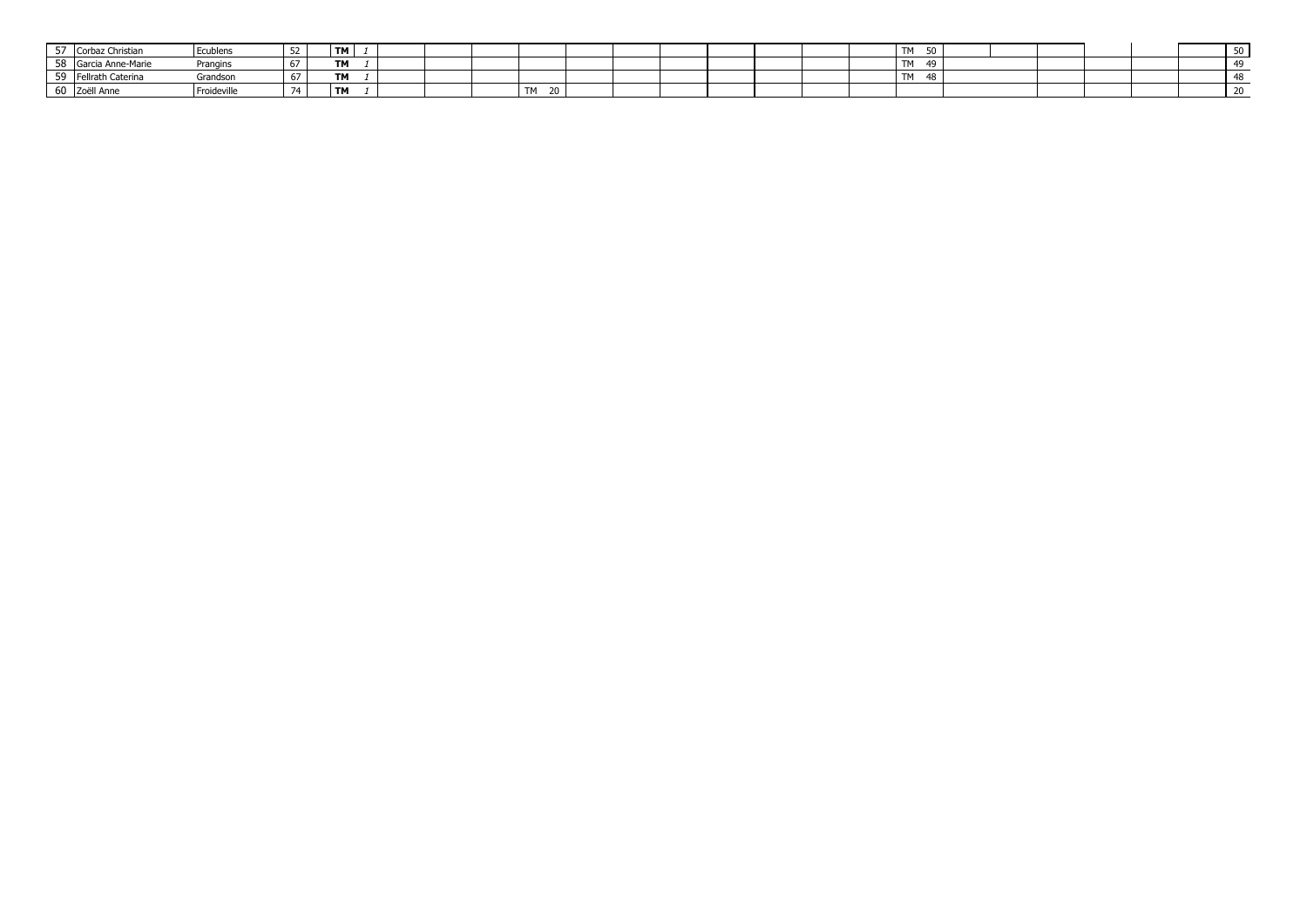| $- -$ | Corbaz Christian  | Ecublens    |      | <b>TM</b> |  |  |                                  |  |  |  | T <sub>AA</sub><br>ັບເ<br>. | 50 |  |  |  | ັ |
|-------|-------------------|-------------|------|-----------|--|--|----------------------------------|--|--|--|-----------------------------|----|--|--|--|---|
|       | Garcia Anne-Marie | Prangins    | $-$  | TM        |  |  |                                  |  |  |  | $T^{\ast}$<br>.             | 40 |  |  |  |   |
|       | Fellrath Caterina | Grandson    |      | <b>TM</b> |  |  |                                  |  |  |  | $T^*$<br>.                  | 48 |  |  |  |   |
|       | JU Zoëll Anne     | Froideville | $-1$ | <b>TM</b> |  |  | <b>TM</b><br>$\mathcal{L}$<br>ZU |  |  |  |                             |    |  |  |  |   |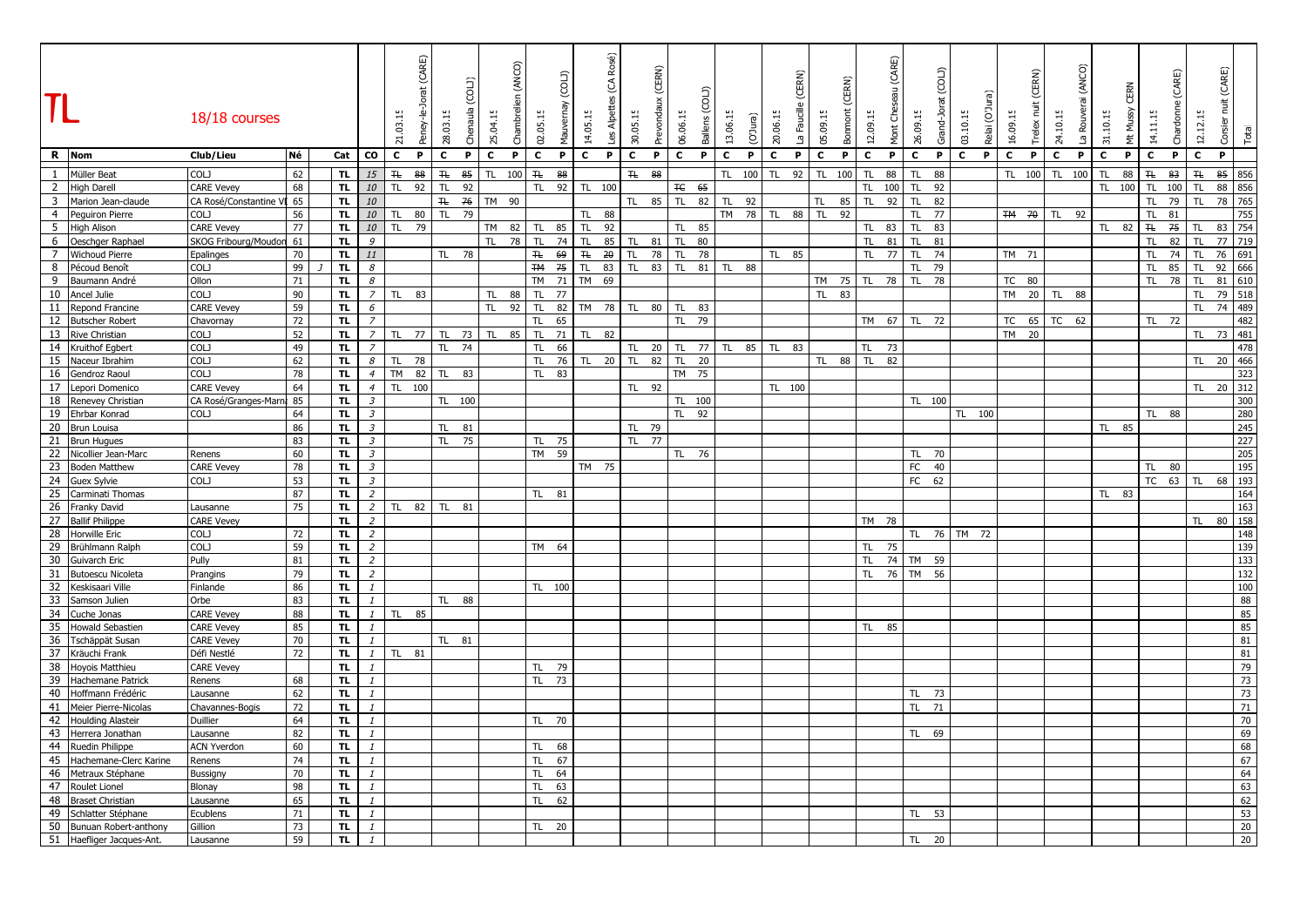|                 |                           | 18/18 courses             |          |            |                             | (CARE)<br>Peney-le-Jorat<br>21.03.15 | 28.03.15           | (LIOC<br>Chenaula | 25.04.15     | (ANCO)<br>Chambreli | 02.05.15            | (COLI)<br>Mauvernay | (CA Rosé)<br>Les Alpettes<br>14.05.15 |              | (CERN)<br>Prevondaux<br>30.05.15 | 06.06.15     | Ballens      | 13.06.15     | (O'Jura) | 20.06.15     | (CERN)<br>La Faucille | 05.09.15     | (CERN)<br>Bonmont | 12.09.15     | (CARE)<br>Mont Cheseau | (COLI)<br>Grand-Jorat<br>26.09.15 | 03.10.15     | ල<br>Relai (O'J | 16.09.15       | (CERN)<br>Ĕ<br>Trelex | 24.10.15     | (ANCO)<br>La Rouverai | 31.10.15     | CERN<br>Mt Mussy | 14.11.15                  | (CARE)<br>Chardonne | (CARE)<br>$\overline{\Xi}$<br>12.12.15 | Total         |
|-----------------|---------------------------|---------------------------|----------|------------|-----------------------------|--------------------------------------|--------------------|-------------------|--------------|---------------------|---------------------|---------------------|---------------------------------------|--------------|----------------------------------|--------------|--------------|--------------|----------|--------------|-----------------------|--------------|-------------------|--------------|------------------------|-----------------------------------|--------------|-----------------|----------------|-----------------------|--------------|-----------------------|--------------|------------------|---------------------------|---------------------|----------------------------------------|---------------|
|                 | R Nom                     | Club/Lieu                 | Né       | Cat        | CO<br>c                     | P                                    | $\mathbf{c}$       | P                 | $\mathbf{c}$ | P                   | $\mathbf{c}$<br>P   |                     | $\mathbf{c}$<br>P.                    | $\mathbf{c}$ | P.                               | $\mathbf{c}$ | $\mathbf{P}$ | $\mathbf{c}$ | P.       | $\mathbf{c}$ | $\mathbf{P}$          | $\mathbf{c}$ | P                 | $\mathbf{c}$ | P                      | $\mathbf{C}$<br>P.                | $\mathbf{c}$ | P.              | $\overline{c}$ | P                     | $\mathbf{c}$ | P                     | $\mathbf{c}$ | P.               | $\mathbf{c}$              | P                   | $\mathbf{C}$<br>P                      |               |
| $\mathbf{1}$    | Müller Beat               | COLJ                      | 62       | TL.        | 15<br>H                     | 88                                   | $\mathbf{\bar{H}}$ | 85                | TL.          | 100                 | 88<br>$\mathsf{TL}$ |                     |                                       | H            | 88                               |              |              | TL.          | 100      | TL.          | 92                    | TL.          | 100               | TL           | 88                     | TL.<br>88                         |              |                 | TL.            | 100                   | TL.          | 100                   | <b>TL</b>    | 88               | $\mathbf{H}_{\mathbf{t}}$ | 83                  | $\mathbf{H}_\mathbf{t}$<br>85          | 856           |
|                 | 2 High Darell             | <b>CARE Vevey</b>         | 68       | TL.        | 10<br>TL.                   | 92                                   | TL.                | 92                |              |                     | 92<br>TL.           |                     | TL 100                                |              |                                  | ŦЄ           | 65           |              |          |              |                       |              |                   | TL.          | 100                    | TL.<br>92                         |              |                 |                |                       |              |                       | TL 100       |                  | TL.                       | 100                 | TL.<br>88                              | 856           |
|                 | 3 Marion Jean-claude      | CA Rosé/Constantine VI 65 |          | <b>TL</b>  | 10                          |                                      | H <sub>L</sub>     | 76                | TM 90        |                     |                     |                     |                                       | TL.          | 85                               | TL.          | 82           | TL.          | 92       |              |                       | TL.          | 85                | TL.          | 92                     | 82<br><b>TL</b>                   |              |                 |                |                       |              |                       |              |                  | TL.                       | 79                  | 78<br>TL                               | 765           |
|                 | 4 Peguiron Pierre         | <b>COLJ</b>               | 56       | <b>TL</b>  | 10<br>TL.                   | 80                                   | TL.                | 79                |              |                     |                     |                     | 88<br>TL.                             |              |                                  |              |              | <b>TM</b>    | 78 TL    |              | 88                    | <b>TL</b>    | 92                |              |                        | <b>TL</b><br>77                   |              |                 |                |                       | TM 70 TL 92  |                       |              |                  | TL.                       | 81                  |                                        | 755           |
|                 | 5 High Alison             | <b>CARE Vevey</b>         | 77       | <b>TL</b>  | 10                          | 79<br>TL.                            |                    |                   | TM 82        |                     | 85<br><b>TL</b>     |                     | $\mathsf{TL}$<br>92                   |              |                                  | TL.          | 85           |              |          |              |                       |              |                   | TL.          | 83                     | <b>TL</b><br>83                   |              |                 |                |                       |              |                       | TL           | 82               | H                         | 75                  | 83<br><b>TL</b>                        | 754           |
|                 | 6 Oeschger Raphael        | SKOG Fribourg/Moudor      | 61       | TL.        | 9                           |                                      |                    |                   | TL.          | 78                  | TL<br>74            |                     | TL<br>85                              | TL.          | 81                               | TL.          | 80           |              |          |              |                       |              |                   | TL.          | 81                     | TL.<br>81                         |              |                 |                |                       |              |                       |              |                  | TL.                       | 82                  | TL.                                    | 77 719        |
| $7^{\circ}$     | <b>Wichoud Pierre</b>     | Epalinges                 | 70       | TL.        | 11                          |                                      | TL.                | 78                |              |                     | 69<br>ŦŁ            |                     | 20<br>$\mp$                           | TL.          | 78                               | TL.          | 78           |              |          | <b>TL</b>    | 85                    |              |                   | TL.          | 77                     | <b>TL</b><br>74                   |              |                 | TM 71          |                       |              |                       |              |                  | TL.                       | 74                  | 76<br><b>TL</b>                        | 691           |
| 8               | Pécoud Benoît             | COLJ                      | 99       | <b>TL</b>  | 8                           |                                      |                    |                   |              |                     | <b>TM</b><br>75     |                     | TL.<br>83                             | TL.          | 83                               | TL.          | 81           | TL.          | 88       |              |                       |              |                   |              |                        | TL<br>79                          |              |                 |                |                       |              |                       |              |                  | TL.                       | 85                  | 92<br><b>TL</b>                        | 666           |
| 9               | Baumann André             | Ollon                     | 71       | TL.        | 8                           |                                      |                    |                   |              |                     | <b>TM</b><br>71     |                     | <b>TM</b><br>69                       |              |                                  |              |              |              |          |              |                       | TM 75        |                   | <b>TL</b>    | 78                     | TL.<br>78                         |              |                 | TC 80          |                       |              |                       |              |                  | TL.                       | 78                  | <b>TL</b>                              | 81 610        |
|                 | 10 Ancel Julie            | COLJ                      | 90       | <b>TL</b>  | $\overline{z}$<br>TL.       | 83                                   |                    |                   | TL.          | 88                  | TL.<br>77           |                     |                                       |              |                                  |              |              |              |          |              |                       | TL.          | 83                |              |                        |                                   |              |                 | <b>TM</b>      |                       | 20 TL        | 88                    |              |                  |                           |                     | <b>TL</b>                              | 79 518        |
|                 | 11 Repond Francine        | <b>CARE Vevey</b>         | 59       | TL.        | 6                           |                                      |                    |                   | TL.          | 92                  | 82<br>TL.           |                     | 78<br>TM                              | TL.          | 80                               | TL.          | 83           |              |          |              |                       |              |                   |              |                        |                                   |              |                 |                |                       |              |                       |              |                  |                           |                     | 74<br><b>TL</b>                        | 489           |
|                 | 12 Butscher Robert        | Chavornay                 | 72       | <b>TL</b>  | $\overline{z}$              |                                      |                    |                   |              |                     | 65<br><b>TL</b>     |                     |                                       |              |                                  | TL.          | 79           |              |          |              |                       |              |                   | TM 67        |                        | TL 72                             |              |                 | TC             | 65                    | <b>TC</b>    | 62                    |              |                  | TL 72                     |                     |                                        | 482           |
|                 | 13 Rive Christian         | <b>COLJ</b>               | 52       | TL.        | $\overline{z}$<br>TL.       | 77                                   | TL.                | 73                | TL.          | 85                  | 71<br>TL.           |                     | 82<br>TL.                             |              |                                  |              |              |              |          |              |                       |              |                   |              |                        |                                   |              |                 | <b>TM</b>      | 20                    |              |                       |              |                  |                           |                     | TL.                                    | 73 481        |
|                 | 14 Kruithof Egbert        | COLJ                      | 49       | <b>TL</b>  | $\overline{z}$              |                                      | TL.                | 74                |              |                     | TL<br>66            |                     |                                       | TL.          | 20                               | TL.          | 77           | TL.          | 85       | TL.          | 83                    |              |                   | TL.          | 73                     |                                   |              |                 |                |                       |              |                       |              |                  |                           |                     |                                        | 478           |
|                 | 15 Naceur Ibrahim         | COLJ                      | 62       | TL.        | 8<br>TL.                    | 78                                   |                    |                   |              |                     | 76<br>TL.           |                     | 20<br>TL.                             | TL.          | 82                               | TL.          | 20           |              |          |              |                       | TL 88        |                   | TL.          | 82                     |                                   |              |                 |                |                       |              |                       |              |                  |                           |                     | TL.                                    | 20 466        |
|                 | 16 Gendroz Raoul          | COLJ                      | 78       | <b>TL</b>  | $\overline{4}$<br><b>TM</b> | 82                                   | TL <sub>1</sub>    | 83                |              |                     | TL.<br>83           |                     |                                       |              |                                  | TM 75        |              |              |          |              |                       |              |                   |              |                        |                                   |              |                 |                |                       |              |                       |              |                  |                           |                     |                                        | 323           |
|                 | 17 Lepori Domenico        | <b>CARE Vevey</b>         | 64       | TL.        | $\overline{4}$              | TL 100                               |                    |                   |              |                     |                     |                     |                                       | TL.          | 92                               |              |              |              |          | TL 100       |                       |              |                   |              |                        |                                   |              |                 |                |                       |              |                       |              |                  |                           |                     | TL 20 312                              |               |
|                 | 18 Renevey Christian      | CA Rosé/Granges-Marna     | 85       | TL.        | $\mathcal{Z}$               |                                      |                    | TL 100            |              |                     |                     |                     |                                       |              |                                  | TL 100       |              |              |          |              |                       |              |                   |              |                        | TL 100                            |              |                 |                |                       |              |                       |              |                  |                           |                     |                                        | 300           |
|                 | 19 Ehrbar Konrad          | COLJ                      | 64       | TL.        | $\mathfrak{Z}$              |                                      |                    |                   |              |                     |                     |                     |                                       |              |                                  |              | TL 92        |              |          |              |                       |              |                   |              |                        |                                   |              | TL 100          |                |                       |              |                       |              |                  | TL 88                     |                     |                                        | 280           |
|                 | 20 Brun Louisa            |                           | 86       | TL.        | $\mathcal{Z}$               |                                      | TL.                | 81                |              |                     |                     |                     |                                       |              | TL 79                            |              |              |              |          |              |                       |              |                   |              |                        |                                   |              |                 |                |                       |              |                       | TL 85        |                  |                           |                     |                                        | 245           |
|                 | 21 Brun Hugues            |                           | 83       | TL.        | $\mathfrak{Z}$              |                                      | TL.                | 75                |              |                     | TL 75               |                     |                                       |              | TL 77                            |              |              |              |          |              |                       |              |                   |              |                        |                                   |              |                 |                |                       |              |                       |              |                  |                           |                     |                                        | 227           |
|                 | 22 Nicollier Jean-Marc    | Renens                    | 60       | TL.        | $\mathfrak{Z}$              |                                      |                    |                   |              |                     | TM 59               |                     |                                       |              |                                  | TL.          | 76           |              |          |              |                       |              |                   |              |                        | 70<br>TL.                         |              |                 |                |                       |              |                       |              |                  |                           |                     |                                        | 205           |
|                 | 23 Boden Matthew          | <b>CARE Vevey</b>         | 78       | <b>TL</b>  | $\overline{3}$              |                                      |                    |                   |              |                     |                     |                     | TM 75                                 |              |                                  |              |              |              |          |              |                       |              |                   |              |                        | FC<br>40                          |              |                 |                |                       |              |                       |              |                  | TL.                       | 80                  |                                        | 195           |
|                 | 24 Guex Sylvie            | <b>COLJ</b>               |          | TL.        | $\mathfrak{Z}$              |                                      |                    |                   |              |                     |                     |                     |                                       |              |                                  |              |              |              |          |              |                       |              |                   |              |                        | FC 62                             |              |                 |                |                       |              |                       |              |                  | <b>TC</b>                 | 63                  | TL.<br>68                              | 193           |
|                 | 25 Carminati Thomas       |                           | 53<br>87 | <b>TL</b>  | $\overline{2}$              |                                      |                    |                   |              |                     |                     |                     |                                       |              |                                  |              |              |              |          |              |                       |              |                   |              |                        |                                   |              |                 |                |                       |              |                       | TL 83        |                  |                           |                     |                                        |               |
|                 |                           |                           |          |            | $\overline{2}$              | 82                                   |                    |                   |              |                     | TL 81               |                     |                                       |              |                                  |              |              |              |          |              |                       |              |                   |              |                        |                                   |              |                 |                |                       |              |                       |              |                  |                           |                     |                                        | 164           |
|                 | 26 Franky David           | Lausanne                  | 75       | TL.<br>TL. | $\overline{2}$              | TL.                                  | TL 81              |                   |              |                     |                     |                     |                                       |              |                                  |              |              |              |          |              |                       |              |                   | TM 78        |                        |                                   |              |                 |                |                       |              |                       |              |                  |                           |                     | TL.                                    | 163<br>80 158 |
|                 | 27 Ballif Philippe        | <b>CARE Vevey</b>         |          |            |                             |                                      |                    |                   |              |                     |                     |                     |                                       |              |                                  |              |              |              |          |              |                       |              |                   |              |                        |                                   |              |                 |                |                       |              |                       |              |                  |                           |                     |                                        |               |
|                 | 28 Horwille Eric          | COLJ                      | 72       | TL.        | $\overline{c}$              |                                      |                    |                   |              |                     |                     |                     |                                       |              |                                  |              |              |              |          |              |                       |              |                   |              |                        | TL.                               | 76 TM 72     |                 |                |                       |              |                       |              |                  |                           |                     |                                        | 148           |
|                 | 29 Brühlmann Ralph        | COLJ                      | 59       | TL.        | $\overline{2}$              |                                      |                    |                   |              |                     | TM 64               |                     |                                       |              |                                  |              |              |              |          |              |                       |              |                   | TL.          | 75                     |                                   |              |                 |                |                       |              |                       |              |                  |                           |                     |                                        | 139           |
| 30 <sup>7</sup> | Guivarch Eric             | Pully                     | 81       | TL.        | $\overline{z}$              |                                      |                    |                   |              |                     |                     |                     |                                       |              |                                  |              |              |              |          |              |                       |              |                   |              |                        | TL 74 TM 59                       |              |                 |                |                       |              |                       |              |                  |                           |                     |                                        | 133           |
|                 | 31 Butoescu Nicoleta      | Prangins                  | 79       | <b>TL</b>  | $\overline{2}$              |                                      |                    |                   |              |                     |                     |                     |                                       |              |                                  |              |              |              |          |              |                       |              |                   |              |                        | TL 76 TM 56                       |              |                 |                |                       |              |                       |              |                  |                           |                     |                                        | 132           |
| 32              | Keskisaari Ville          | Finlande                  | 86       | <b>TL</b>  | $\mathbf{1}$                |                                      |                    |                   |              |                     | TL 100              |                     |                                       |              |                                  |              |              |              |          |              |                       |              |                   |              |                        |                                   |              |                 |                |                       |              |                       |              |                  |                           |                     |                                        | 100           |
| 33              | Samson Julien             | Orbe                      | 83       | <b>TL</b>  | $\mathbf{1}$                |                                      |                    | TL 88             |              |                     |                     |                     |                                       |              |                                  |              |              |              |          |              |                       |              |                   |              |                        |                                   |              |                 |                |                       |              |                       |              |                  |                           |                     |                                        | 88            |
|                 | 34 Cuche Jonas            | <b>CARE Vevey</b>         | 88       | TL.        | $\mathbf{1}$                | TL.<br>85                            |                    |                   |              |                     |                     |                     |                                       |              |                                  |              |              |              |          |              |                       |              |                   |              |                        |                                   |              |                 |                |                       |              |                       |              |                  |                           |                     |                                        | 85            |
|                 | 35 Howald Sebastien       | <b>CARE Vevey</b>         | 85       | TL.        | $\mathbf{1}$                |                                      |                    |                   |              |                     |                     |                     |                                       |              |                                  |              |              |              |          |              |                       |              |                   | TL.          | 85                     |                                   |              |                 |                |                       |              |                       |              |                  |                           |                     |                                        | 85            |
|                 | 36 Tschäppät Susan        | <b>CARE Vevey</b>         | 70       | TL.        | $\mathbf{1}$                |                                      | TL 81              |                   |              |                     |                     |                     |                                       |              |                                  |              |              |              |          |              |                       |              |                   |              |                        |                                   |              |                 |                |                       |              |                       |              |                  |                           |                     |                                        | 81            |
|                 | 37 Kräuchi Frank          | Défi Nestlé               | 72       | TL.        | $\mathbf{1}$<br>TL.         | 81                                   |                    |                   |              |                     |                     |                     |                                       |              |                                  |              |              |              |          |              |                       |              |                   |              |                        |                                   |              |                 |                |                       |              |                       |              |                  |                           |                     |                                        | 81            |
|                 | 38 Hoyois Matthieu        | <b>CARE Vevey</b>         |          | TL.        | $\mathbf{1}$                |                                      |                    |                   |              |                     | 79<br>TL.           |                     |                                       |              |                                  |              |              |              |          |              |                       |              |                   |              |                        |                                   |              |                 |                |                       |              |                       |              |                  |                           |                     |                                        | 79            |
|                 | 39 Hachemane Patrick      | Renens                    | 68       | <b>TL</b>  | $\mathbf{1}$                |                                      |                    |                   |              |                     | 73<br>TL.           |                     |                                       |              |                                  |              |              |              |          |              |                       |              |                   |              |                        |                                   |              |                 |                |                       |              |                       |              |                  |                           |                     |                                        | 73            |
|                 | 40 Hoffmann Frédéric      | Lausanne                  | 62       | <b>TL</b>  | $\mathbf{1}$                |                                      |                    |                   |              |                     |                     |                     |                                       |              |                                  |              |              |              |          |              |                       |              |                   |              |                        | TL.<br>73                         |              |                 |                |                       |              |                       |              |                  |                           |                     |                                        | 73            |
|                 | 41 Meier Pierre-Nicolas   | Chavannes-Bogis           | 72       | TL.        | $\mathbf{1}$                |                                      |                    |                   |              |                     |                     |                     |                                       |              |                                  |              |              |              |          |              |                       |              |                   |              |                        | 71<br><b>TL</b>                   |              |                 |                |                       |              |                       |              |                  |                           |                     |                                        | 71            |
|                 | 42 Houlding Alasteir      | Duillier                  | 64       | TL.        | $\mathbf{1}$                |                                      |                    |                   |              |                     | TL 70               |                     |                                       |              |                                  |              |              |              |          |              |                       |              |                   |              |                        |                                   |              |                 |                |                       |              |                       |              |                  |                           |                     |                                        | 70            |
|                 | 43 Herrera Jonathan       | Lausanne                  | 82       | TL.        | $\mathbf{1}$                |                                      |                    |                   |              |                     |                     |                     |                                       |              |                                  |              |              |              |          |              |                       |              |                   |              |                        | TL 69                             |              |                 |                |                       |              |                       |              |                  |                           |                     |                                        | 69            |
|                 | 44 Ruedin Philippe        | <b>ACN Yverdon</b>        | 60       | <b>TL</b>  | $\mathbf{1}$                |                                      |                    |                   |              |                     | TL.<br>68           |                     |                                       |              |                                  |              |              |              |          |              |                       |              |                   |              |                        |                                   |              |                 |                |                       |              |                       |              |                  |                           |                     |                                        | 68            |
|                 | 45 Hachemane-Clerc Karine | Renens                    | 74       | TL.        | $\mathbf{1}$                |                                      |                    |                   |              |                     | 67<br>TL.           |                     |                                       |              |                                  |              |              |              |          |              |                       |              |                   |              |                        |                                   |              |                 |                |                       |              |                       |              |                  |                           |                     |                                        | 67            |
|                 | 46 Metraux Stéphane       | Bussigny                  | 70       | <b>TL</b>  | $\mathbf{1}$                |                                      |                    |                   |              |                     | 64<br>TL.           |                     |                                       |              |                                  |              |              |              |          |              |                       |              |                   |              |                        |                                   |              |                 |                |                       |              |                       |              |                  |                           |                     |                                        | 64            |
|                 | 47 Roulet Lionel          | Blonay                    | 98       | <b>TL</b>  | $\mathbf{1}$                |                                      |                    |                   |              |                     | 63<br><b>TL</b>     |                     |                                       |              |                                  |              |              |              |          |              |                       |              |                   |              |                        |                                   |              |                 |                |                       |              |                       |              |                  |                           |                     |                                        | 63            |
|                 | 48 Braset Christian       | Lausanne                  | 65       | TL.        | $\mathbf{1}$                |                                      |                    |                   |              |                     | TL.<br>62           |                     |                                       |              |                                  |              |              |              |          |              |                       |              |                   |              |                        |                                   |              |                 |                |                       |              |                       |              |                  |                           |                     |                                        | 62            |
|                 | 49 Schlatter Stéphane     | Ecublens                  | 71       | <b>TL</b>  | $\mathbf{1}$                |                                      |                    |                   |              |                     |                     |                     |                                       |              |                                  |              |              |              |          |              |                       |              |                   |              |                        | 53<br>TL.                         |              |                 |                |                       |              |                       |              |                  |                           |                     |                                        | 53            |
|                 | 50 Bunuan Robert-anthony  | Gillion                   | 73       | <b>TL</b>  | $\mathbf{I}$                |                                      |                    |                   |              |                     | 20<br>TL.           |                     |                                       |              |                                  |              |              |              |          |              |                       |              |                   |              |                        |                                   |              |                 |                |                       |              |                       |              |                  |                           |                     |                                        | 20            |
|                 | 51 Haefliger Jacques-Ant. | Lausanne                  | 59       | TL.        | $\mathbf{1}$                |                                      |                    |                   |              |                     |                     |                     |                                       |              |                                  |              |              |              |          |              |                       |              |                   |              |                        | 20<br><b>TL</b>                   |              |                 |                |                       |              |                       |              |                  |                           |                     |                                        | 20            |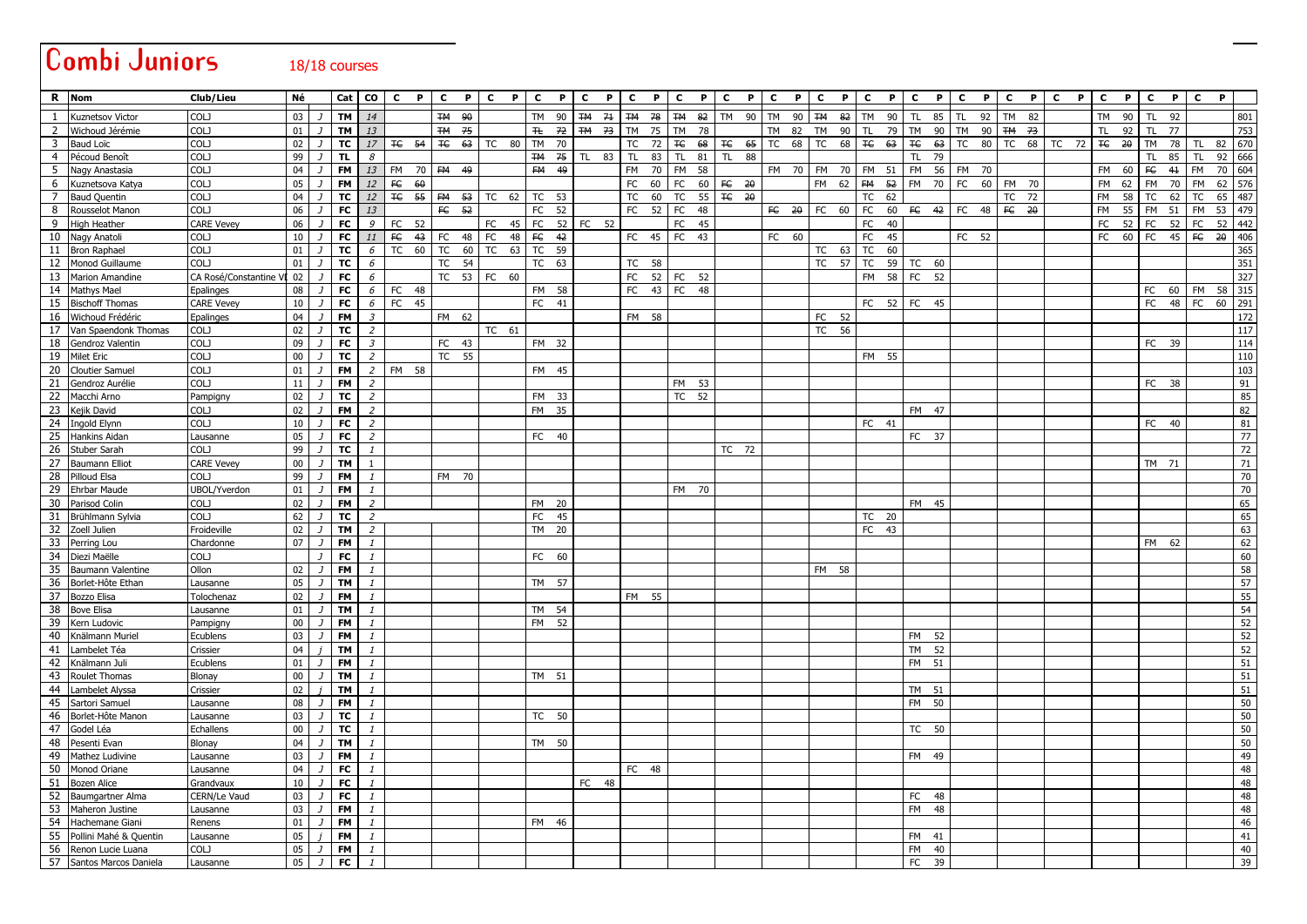|                | Combi Juniors                            |                                  |                 |                | 18/18 courses          |                         |            |                                                                                                                                                                                                        |                    |                    |                |                  |         |              |       |              |       |                 |    |                  |   |              |                    |       |              |                 |              |                              |           |       |                             |       |     |   |              |              |              |              |              |                 |            |
|----------------|------------------------------------------|----------------------------------|-----------------|----------------|------------------------|-------------------------|------------|--------------------------------------------------------------------------------------------------------------------------------------------------------------------------------------------------------|--------------------|--------------------|----------------|------------------|---------|--------------|-------|--------------|-------|-----------------|----|------------------|---|--------------|--------------------|-------|--------------|-----------------|--------------|------------------------------|-----------|-------|-----------------------------|-------|-----|---|--------------|--------------|--------------|--------------|--------------|-----------------|------------|
|                | R Nom                                    | Club/Lieu                        | Né              |                |                        | cat   CO                | C          | P I                                                                                                                                                                                                    | $\mathbf{c}$       | P C P              |                | $\mathbf{c}$     | P       | $\mathbf{c}$ | P     | $\mathbf{c}$ | P     | <b>C</b>        | P  | $\mathbf{c}$     | P | $\mathbf{C}$ | P.<br>$\mathbf{c}$ | P     | $\mathbf{C}$ | $\mathbf{P}$    | $\mathbf{c}$ | $\mathbf{P}$                 | C         | P     | $\mathbf{c}$                |       | P C | P | $\mathbf{c}$ | $\mathbf{P}$ | $\mathbf{c}$ | $\mathbf{P}$ | $\mathbf{c}$ | P.              |            |
|                | Kuznetsov Victor                         | COLJ                             | 03              | J              | TM I                   | 14                      |            |                                                                                                                                                                                                        | TM 90              |                    |                |                  |         | TM 90 TM 71  |       | <b>TM 78</b> |       | <b>TM 82</b>    |    | TM 90            |   | TM 90        |                    |       |              | TM 82 TM 90     | <b>TL</b>    | 85                           | TL.       | 92    | <b>TM</b>                   | 82    |     |   |              | TM 90        | TL           | 92           |              |                 | 801        |
| 2              | Wichoud Jérémie                          | COLJ                             | 01              | J              | <b>TM</b>              | 13                      |            |                                                                                                                                                                                                        | TM 75              |                    |                |                  | $TL$ 72 | <b>TM 73</b> |       |              |       | TM 75 TM 78     |    |                  |   |              | TM 82 TM 90 TL 79  |       |              |                 |              | TM 90 TM 90 <del>TM</del> 73 |           |       |                             |       |     |   | TL           | 92           |              | TL 77        |              |                 | 753        |
| $\overline{3}$ | <b>Baud Loïc</b>                         | COLJ                             | 02              |                | TC                     |                         | $17$ FC 54 |                                                                                                                                                                                                        |                    | <b>TC 63 TC 80</b> |                | TM 70            |         |              |       | TC           |       | 72 <b>TC</b> 68 |    | <del>TC</del> 65 |   | TC 68        | <b>TC</b>          |       |              | 68 <b>FC</b> 63 |              |                              |           |       |                             |       |     |   |              | $FC$ 20      |              | TM 78        |              | TL 82 670       |            |
| 4              | Pécoud Benoît                            | COLJ                             | 99              |                | TL.                    | 8                       |            |                                                                                                                                                                                                        |                    |                    |                |                  | TM 75   | TL 83        |       | TL.          | 83    | TL.             | 81 | TL 88            |   |              |                    |       |              |                 |              | TL 79                        |           |       |                             |       |     |   |              |              | TL.          | 85           | TL.          |                 | 92 666     |
| 5              | Nagy Anastasia                           | COLJ                             | 04              |                | <b>FM</b>              | 13                      |            | FM 70 FM 49                                                                                                                                                                                            |                    |                    |                |                  | FM 49   |              |       | FM           | 70 I  | <b>FM</b>       | 58 |                  |   | FM 70        | <b>FM</b>          |       |              | 70 FM 51        |              | FM 56 FM                     |           | 70    |                             |       |     |   | FM           | 60           | F C          | 41           | FM           |                 | 70 604     |
| 6              | Kuznetsova Katya                         | COLJ                             | 05              |                | <b>FM</b>              | 12                      |            | FC 60                                                                                                                                                                                                  |                    |                    |                |                  |         |              |       | FC           | 60 FC |                 | 60 | FC 20            |   |              |                    | FM 62 |              | FM 52           |              | FM 70                        | <b>FC</b> |       | 60 FM 70                    |       |     |   | <b>FM</b>    | 62           | <b>FM</b>    | 70           |              | FM 62 576       |            |
| $7^{\circ}$    | <b>Baud Quentin</b>                      | COLJ                             | 04              |                | TC                     | 12                      |            | $\left  \begin{array}{cc} \text{TE} & \text{55} \end{array} \right  \left. \text{FM} \right  \left. \begin{array}{cc} \text{53} \end{array} \right  \left. \text{TC} \right  \left. \text{62} \right $ |                    |                    |                | TC 53            |         |              |       | <b>TC</b>    | 60    | TC              | 55 | <b>TC</b> 20     |   |              |                    |       |              | TC 62           |              |                              |           |       |                             | TC 72 |     |   | <b>FM</b>    | 58           | TC           | 62           | <b>TC</b>    |                 | 65 487     |
| 8              | Rousselot Manon                          | COLJ                             | 06              | $\overline{1}$ | <b>FC</b>              | 13                      |            |                                                                                                                                                                                                        | FC 52              |                    |                | FC 52            |         |              |       |              |       | FC 52 FC 48     |    |                  |   |              | FC 20 FC 60        |       |              | FC 60           |              | $FC \quad 42$                |           |       | FC $48 \mid \text{FC}$ $20$ |       |     |   | <b>FM</b>    | 55           |              |              |              | FM 51 FM 53 479 |            |
| 9              | <b>High Heather</b>                      | <b>CARE Vevey</b>                | 06              |                | FC                     | 9                       |            | FC 52                                                                                                                                                                                                  |                    |                    | FC 45          |                  | FC 52   | FC 52        |       |              |       | FC 45           |    |                  |   |              |                    |       |              | FC 40           |              |                              |           |       |                             |       |     |   | FC           | 52           |              |              |              | FC 52 FC 52 442 |            |
| 10             | Nagy Anatoli                             | COLJ<br>COLJ                     | 10<br>01        |                | FC<br>TC               | 11<br>6                 | <b>TC</b>  | FC 43<br>60                                                                                                                                                                                            | FC 48<br><b>TC</b> | 60                 | FC 48<br>TC 63 | $FC$ 42<br>TC 59 |         |              |       |              | FC 45 | FC 43           |    |                  |   | FC 60        |                    | TC 63 |              | FC 45<br>TC 60  |              |                              |           | FC 52 |                             |       |     |   | FC           | 60           |              |              |              | FC $45$ FC $20$ | 406<br>365 |
| 12             | 11 Bron Raphael<br>Monod Guillaume       | COLJ                             | 01              |                | TC                     | 6                       |            |                                                                                                                                                                                                        | TC                 | 54                 |                | TC 63            |         |              |       |              | TC 58 |                 |    |                  |   |              |                    | TC 57 |              | TC 59           |              | TC 60                        |           |       |                             |       |     |   |              |              |              |              |              |                 | 351        |
|                | 13 Marion Amandine                       | CA Rosé/Constantine V            | 02              |                | <b>FC</b>              | 6                       |            |                                                                                                                                                                                                        |                    | TC 53              | FC 60          |                  |         |              |       |              |       | FC 52 FC 52     |    |                  |   |              |                    |       |              | FM 58           |              | FC 52                        |           |       |                             |       |     |   |              |              |              |              |              |                 | 327        |
| 14             | <b>Mathys Mael</b>                       | Epalinges                        | 08              |                | <b>FC</b>              | 6                       |            | FC 48                                                                                                                                                                                                  |                    |                    |                | FM 58            |         |              |       |              |       | FC 43 FC 48     |    |                  |   |              |                    |       |              |                 |              |                              |           |       |                             |       |     |   |              |              |              |              |              | FC 60 FM 58 315 |            |
| 15             | <b>Bischoff Thomas</b>                   | <b>CARE Vevey</b>                | 10              | $\overline{J}$ | FC                     | 6                       |            | FC 45                                                                                                                                                                                                  |                    |                    |                | FC               | 41      |              |       |              |       |                 |    |                  |   |              |                    |       |              | FC 52           | <b>FC</b>    | 45                           |           |       |                             |       |     |   |              |              | FC           | 48           | <b>FC</b>    | 60              | 291        |
| 16             | Wichoud Frédéric                         | Epalinges                        | 04              |                | <b>FM</b>              | $\overline{\mathbf{3}}$ |            |                                                                                                                                                                                                        | FM 62              |                    |                |                  |         |              |       | FM 58        |       |                 |    |                  |   |              |                    | FC 52 |              |                 |              |                              |           |       |                             |       |     |   |              |              |              |              |              |                 | 172        |
| 17             | Van Spaendonk Thomas                     | COLJ                             | 02              | $\overline{1}$ | TC                     | $\overline{2}$          |            |                                                                                                                                                                                                        |                    |                    | TC 61          |                  |         |              |       |              |       |                 |    |                  |   |              |                    | TC 56 |              |                 |              |                              |           |       |                             |       |     |   |              |              |              |              |              |                 | 117        |
| 18             | Gendroz Valentin                         | COLJ                             | 09              |                | FC                     | $\overline{3}$          |            |                                                                                                                                                                                                        | FC 43              |                    |                | FM 32            |         |              |       |              |       |                 |    |                  |   |              |                    |       |              |                 |              |                              |           |       |                             |       |     |   |              |              |              | FC 39        |              |                 | 114        |
| 19             | <b>Milet Eric</b>                        | COLJ                             | $00\,$          |                | TC                     | 2                       |            |                                                                                                                                                                                                        | TC 55              |                    |                |                  |         |              |       |              |       |                 |    |                  |   |              |                    |       |              | FM 55           |              |                              |           |       |                             |       |     |   |              |              |              |              |              |                 | 110        |
| 20             | Cloutier Samuel                          | COLJ                             | 01              |                | FM                     | $\overline{2}$          |            | FM 58                                                                                                                                                                                                  |                    |                    |                | FM 45            |         |              |       |              |       |                 |    |                  |   |              |                    |       |              |                 |              |                              |           |       |                             |       |     |   |              |              |              |              |              |                 | 103        |
| 21             | Gendroz Aurélie                          | COLJ                             | 11              | $\overline{1}$ | <b>FM</b>              | $\overline{2}$          |            |                                                                                                                                                                                                        |                    |                    |                |                  |         |              |       |              |       | FM 53           |    |                  |   |              |                    |       |              |                 |              |                              |           |       |                             |       |     |   |              |              |              | FC 38        |              |                 | 91         |
| 22             | Macchi Arno                              | Pampigny                         | 02              | $\overline{1}$ | TC                     | 2                       |            |                                                                                                                                                                                                        |                    |                    |                | FM 33            |         |              |       |              |       | TC 52           |    |                  |   |              |                    |       |              |                 |              |                              |           |       |                             |       |     |   |              |              |              |              |              |                 | 85         |
| 23             | Kejik David                              | COLJ                             | 02              |                | <b>FM</b>              | $\overline{2}$          |            |                                                                                                                                                                                                        |                    |                    |                | FM 35            |         |              |       |              |       |                 |    |                  |   |              |                    |       |              |                 |              | FM 47                        |           |       |                             |       |     |   |              |              |              |              |              |                 | 82         |
|                | 24 Ingold Elynn                          | COLJ                             | 10              | $\overline{1}$ | <b>FC</b>              | $\overline{2}$          |            |                                                                                                                                                                                                        |                    |                    |                |                  |         |              |       |              |       |                 |    |                  |   |              |                    |       |              | FC 41           |              |                              |           |       |                             |       |     |   |              |              |              | FC 40        |              |                 | 81         |
| 25             | Hankins Aidan                            | Lausanne                         | 05              |                | FC                     | $\overline{2}$          |            |                                                                                                                                                                                                        |                    |                    |                |                  | FC 40   |              |       |              |       |                 |    |                  |   |              |                    |       |              |                 |              | FC 37                        |           |       |                             |       |     |   |              |              |              |              |              |                 | 77         |
| 26             | Stuber Sarah                             | COLJ                             | 99              |                | TC                     | $\mathbf{1}$            |            |                                                                                                                                                                                                        |                    |                    |                |                  |         |              |       |              |       |                 |    | TC 72            |   |              |                    |       |              |                 |              |                              |           |       |                             |       |     |   |              |              |              |              |              |                 | 72         |
| 27             | <b>Baumann Elliot</b><br>28 Pilloud Elsa | <b>CARE Vevey</b><br><b>COLJ</b> | $00\,$<br>99    |                | <b>TM</b><br><b>FM</b> | $\mathbf{1}$            |            |                                                                                                                                                                                                        | FM 70              |                    |                |                  |         |              |       |              |       |                 |    |                  |   |              |                    |       |              |                 |              |                              |           |       |                             |       |     |   |              |              |              | TM 71        |              |                 | 71<br>70   |
| 29             | Ehrbar Maude                             | UBOL/Yverdon                     | 01              |                | <b>FM</b>              | $\mathbf{1}$            |            |                                                                                                                                                                                                        |                    |                    |                |                  |         |              |       |              |       | FM 70           |    |                  |   |              |                    |       |              |                 |              |                              |           |       |                             |       |     |   |              |              |              |              |              |                 | 70         |
| 30             | Parisod Colin                            | COLJ                             | 02              | $\overline{1}$ | <b>FM</b>              | $\overline{2}$          |            |                                                                                                                                                                                                        |                    |                    |                | FM 20            |         |              |       |              |       |                 |    |                  |   |              |                    |       |              |                 |              | FM 45                        |           |       |                             |       |     |   |              |              |              |              |              |                 | 65         |
| 31             | Brühlmann Sylvia                         | COLJ                             | 62              | $\overline{1}$ | TC                     | $\overline{2}$          |            |                                                                                                                                                                                                        |                    |                    |                | FC 45            |         |              |       |              |       |                 |    |                  |   |              |                    |       |              | TC 20           |              |                              |           |       |                             |       |     |   |              |              |              |              |              |                 | 65         |
| 32             | Zoell Julien                             | Froideville                      | 02              | $\overline{J}$ | <b>TM</b>              | $\overline{z}$          |            |                                                                                                                                                                                                        |                    |                    |                | TM 20            |         |              |       |              |       |                 |    |                  |   |              |                    |       |              | FC 43           |              |                              |           |       |                             |       |     |   |              |              |              |              |              |                 | 63         |
| 33             | Perring Lou                              | Chardonne                        | 07              |                | <b>FM</b>              | $\mathbf{1}$            |            |                                                                                                                                                                                                        |                    |                    |                |                  |         |              |       |              |       |                 |    |                  |   |              |                    |       |              |                 |              |                              |           |       |                             |       |     |   |              |              |              | FM 62        |              |                 | 62         |
|                | 34 Diezi Maëlle                          | COLJ                             |                 | $\overline{1}$ | <b>FC</b>              |                         |            |                                                                                                                                                                                                        |                    |                    |                |                  | FC 60   |              |       |              |       |                 |    |                  |   |              |                    |       |              |                 |              |                              |           |       |                             |       |     |   |              |              |              |              |              |                 | 60         |
| 35             | <b>Baumann Valentine</b>                 | Ollon                            | 02              |                | <b>FM</b>              |                         |            |                                                                                                                                                                                                        |                    |                    |                |                  |         |              |       |              |       |                 |    |                  |   |              |                    | FM 58 |              |                 |              |                              |           |       |                             |       |     |   |              |              |              |              |              |                 | 58         |
| 36             | Borlet-Hôte Ethan                        | Lausanne                         | 05              |                | <b>TM</b>              | $\mathbf{1}$            |            |                                                                                                                                                                                                        |                    |                    |                | TM 57            |         |              |       |              |       |                 |    |                  |   |              |                    |       |              |                 |              |                              |           |       |                             |       |     |   |              |              |              |              |              |                 | 57         |
| 37             | <b>Bozzo Elisa</b>                       | Tolochenaz                       | 02              | $\overline{J}$ | <b>FM</b>              | $\mathbf{1}$            |            |                                                                                                                                                                                                        |                    |                    |                |                  |         |              |       | FM 55        |       |                 |    |                  |   |              |                    |       |              |                 |              |                              |           |       |                             |       |     |   |              |              |              |              |              |                 | 55         |
| 38             | <b>Bove Elisa</b>                        | Lausanne                         | 01              | $\overline{1}$ | TM                     | $\mathbf{1}$            |            |                                                                                                                                                                                                        |                    |                    |                | TM 54            |         |              |       |              |       |                 |    |                  |   |              |                    |       |              |                 |              |                              |           |       |                             |       |     |   |              |              |              |              |              |                 | 54         |
| 39             | Kern Ludovic                             | Pampigny                         | $00-1$          | $\overline{J}$ | <b>FM</b>              | $\mathbf{1}$            |            |                                                                                                                                                                                                        |                    |                    |                | FM 52            |         |              |       |              |       |                 |    |                  |   |              |                    |       |              |                 |              |                              |           |       |                             |       |     |   |              |              |              |              |              |                 | 52         |
| 40             | Knälmann Muriel                          | Ecublens                         | 03              |                | <b>FM</b>              | $\mathbf{1}$            |            |                                                                                                                                                                                                        |                    |                    |                |                  |         |              |       |              |       |                 |    |                  |   |              |                    |       |              |                 |              | FM 52                        |           |       |                             |       |     |   |              |              |              |              |              |                 | 52         |
| 41             | Lambelet Téa<br>Knälmann Juli            | Crissier                         | 04              |                | <b>TM</b>              | $\mathbf{1}$            |            |                                                                                                                                                                                                        |                    |                    |                |                  |         |              |       |              |       |                 |    |                  |   |              |                    |       |              |                 |              | TM 52                        |           |       |                             |       |     |   |              |              |              |              |              |                 | 52         |
| 42<br>43       | Roulet Thomas                            | Ecublens<br>Blonay               | 01<br>$00\,$    |                | <b>FM</b><br>TM        | $\mathbf{1}$            |            |                                                                                                                                                                                                        |                    |                    |                | TM 51            |         |              |       |              |       |                 |    |                  |   |              |                    |       |              |                 |              | FM 51                        |           |       |                             |       |     |   |              |              |              |              |              |                 | 51<br>51   |
| 44             | Lambelet Alyssa                          | Crissier                         | 02              |                | TM                     | $\mathbf{1}$            |            |                                                                                                                                                                                                        |                    |                    |                |                  |         |              |       |              |       |                 |    |                  |   |              |                    |       |              |                 |              | TM 51                        |           |       |                             |       |     |   |              |              |              |              |              |                 | 51         |
| 45             | Sartori Samuel                           | Lausanne                         | 08              |                | <b>FM</b>              | $\mathbf{1}$            |            |                                                                                                                                                                                                        |                    |                    |                |                  |         |              |       |              |       |                 |    |                  |   |              |                    |       |              |                 |              | FM 50                        |           |       |                             |       |     |   |              |              |              |              |              |                 | 50         |
| 46             | Borlet-Hôte Manon                        | Lausanne                         | 03              | $\overline{1}$ | TC                     | $\mathbf{1}$            |            |                                                                                                                                                                                                        |                    |                    |                | TC 50            |         |              |       |              |       |                 |    |                  |   |              |                    |       |              |                 |              |                              |           |       |                             |       |     |   |              |              |              |              |              |                 | 50         |
| 47             | Godel Léa                                | Echallens                        | 00 <sub>1</sub> | J              | TC                     | $\mathbf{1}$            |            |                                                                                                                                                                                                        |                    |                    |                |                  |         |              |       |              |       |                 |    |                  |   |              |                    |       |              |                 |              | TC 50                        |           |       |                             |       |     |   |              |              |              |              |              |                 | 50         |
|                | 48 Pesenti Evan                          | Blonay                           | 04              |                | $J$ TM                 | $\mathbf{1}$            |            |                                                                                                                                                                                                        |                    |                    |                |                  | TM 50   |              |       |              |       |                 |    |                  |   |              |                    |       |              |                 |              |                              |           |       |                             |       |     |   |              |              |              |              |              |                 | 50         |
|                | 49 Mathez Ludivine                       | Lausanne                         | 03              | J              | <b>FM</b>              | $\mathbf{1}$            |            |                                                                                                                                                                                                        |                    |                    |                |                  |         |              |       |              |       |                 |    |                  |   |              |                    |       |              |                 |              | FM 49                        |           |       |                             |       |     |   |              |              |              |              |              |                 | 49         |
|                | 50 Monod Oriane                          | Lausanne                         | 04              | J              | FC                     | $\mathbf{1}$            |            |                                                                                                                                                                                                        |                    |                    |                |                  |         |              |       |              | FC 48 |                 |    |                  |   |              |                    |       |              |                 |              |                              |           |       |                             |       |     |   |              |              |              |              |              |                 | 48         |
| 51             | <b>Bozen Alice</b>                       | Grandvaux                        | 10              | J              | <b>FC</b>              | $\mathbf{1}$            |            |                                                                                                                                                                                                        |                    |                    |                |                  |         |              | FC 48 |              |       |                 |    |                  |   |              |                    |       |              |                 |              |                              |           |       |                             |       |     |   |              |              |              |              |              |                 | 48         |
|                | 52 Baumgartner Alma                      | CERN/Le Vaud                     | 03              | $\overline{J}$ | FC                     | $\mathbf{1}$            |            |                                                                                                                                                                                                        |                    |                    |                |                  |         |              |       |              |       |                 |    |                  |   |              |                    |       |              |                 |              | FC 48                        |           |       |                             |       |     |   |              |              |              |              |              |                 | 48         |
|                | 53 Maheron Justine                       | Lausanne                         | 03              | J              | FM                     | $\mathbf{1}$            |            |                                                                                                                                                                                                        |                    |                    |                |                  |         |              |       |              |       |                 |    |                  |   |              |                    |       |              |                 |              | FM 48                        |           |       |                             |       |     |   |              |              |              |              |              |                 | 48         |
|                | 54 Hachemane Giani                       | Renens                           | 01              |                | <b>FM</b>              | $\mathbf{1}$            |            |                                                                                                                                                                                                        |                    |                    |                | FM 46            |         |              |       |              |       |                 |    |                  |   |              |                    |       |              |                 |              |                              |           |       |                             |       |     |   |              |              |              |              |              |                 | 46         |
|                | 55 Pollini Mahé & Quentin                | Lausanne                         | 05              |                | FM                     | $\mathbf{1}$            |            |                                                                                                                                                                                                        |                    |                    |                |                  |         |              |       |              |       |                 |    |                  |   |              |                    |       |              |                 |              | FM 41                        |           |       |                             |       |     |   |              |              |              |              |              |                 | 41         |
|                | 56 Renon Lucie Luana                     | COLJ                             | 05              | $\overline{1}$ | <b>FM</b>              | $\mathbf{1}$            |            |                                                                                                                                                                                                        |                    |                    |                |                  |         |              |       |              |       |                 |    |                  |   |              |                    |       |              |                 |              | FM 40                        |           |       |                             |       |     |   |              |              |              |              |              |                 | 40         |
|                | 57 Santos Marcos Daniela                 | Lausanne                         | 05              | J              | FC                     | $\mathbf{1}$            |            |                                                                                                                                                                                                        |                    |                    |                |                  |         |              |       |              |       |                 |    |                  |   |              |                    |       |              |                 |              | FC 39                        |           |       |                             |       |     |   |              |              |              |              |              |                 | 39         |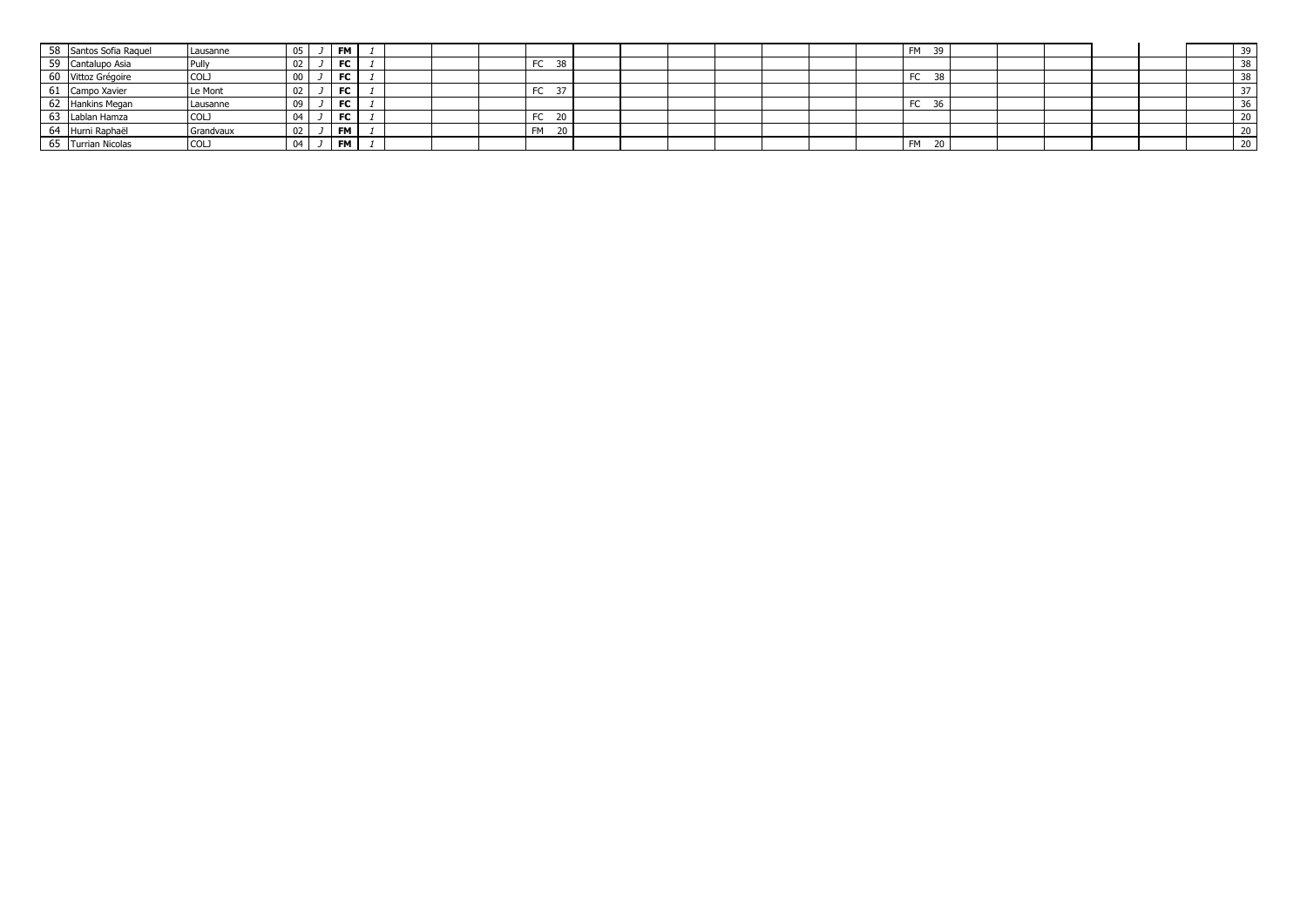| 58 Santos Sofia Raquel | Lausanne    | 05  |           | <b>FM</b> |  |  |           |  |  |  | <b>FM</b> | 39             |  |  |    |
|------------------------|-------------|-----|-----------|-----------|--|--|-----------|--|--|--|-----------|----------------|--|--|----|
| 59 Cantalupo Asia      | Pully       | 02  |           | FC        |  |  | FC<br>38  |  |  |  |           |                |  |  |    |
| 60 Vittoz Grégoire     | COL         | UU. | <u>لى</u> | <b>FC</b> |  |  |           |  |  |  | FC        | -38            |  |  |    |
| 61 Campo Xavier        | Le Mont     | 02  |           | <b>FC</b> |  |  | FC        |  |  |  |           |                |  |  |    |
| 62 Hankins Megan       | Lausanne    | 09  |           | <b>FC</b> |  |  |           |  |  |  | FC        | $\sim$<br>- 36 |  |  |    |
| 63 Lablan Hamza        | <b>COLJ</b> | 04  | <u>لى</u> | <b>FC</b> |  |  | FC<br>20  |  |  |  |           |                |  |  |    |
| 64 Hurni Raphaël       | Grandvaux   | 02  |           | <b>FM</b> |  |  | <b>FM</b> |  |  |  |           |                |  |  |    |
| 65 Turrian Nicolas     | <b>COLJ</b> | 04  | <u>J</u>  | I FM      |  |  |           |  |  |  | <b>FM</b> | - 20           |  |  | ZU |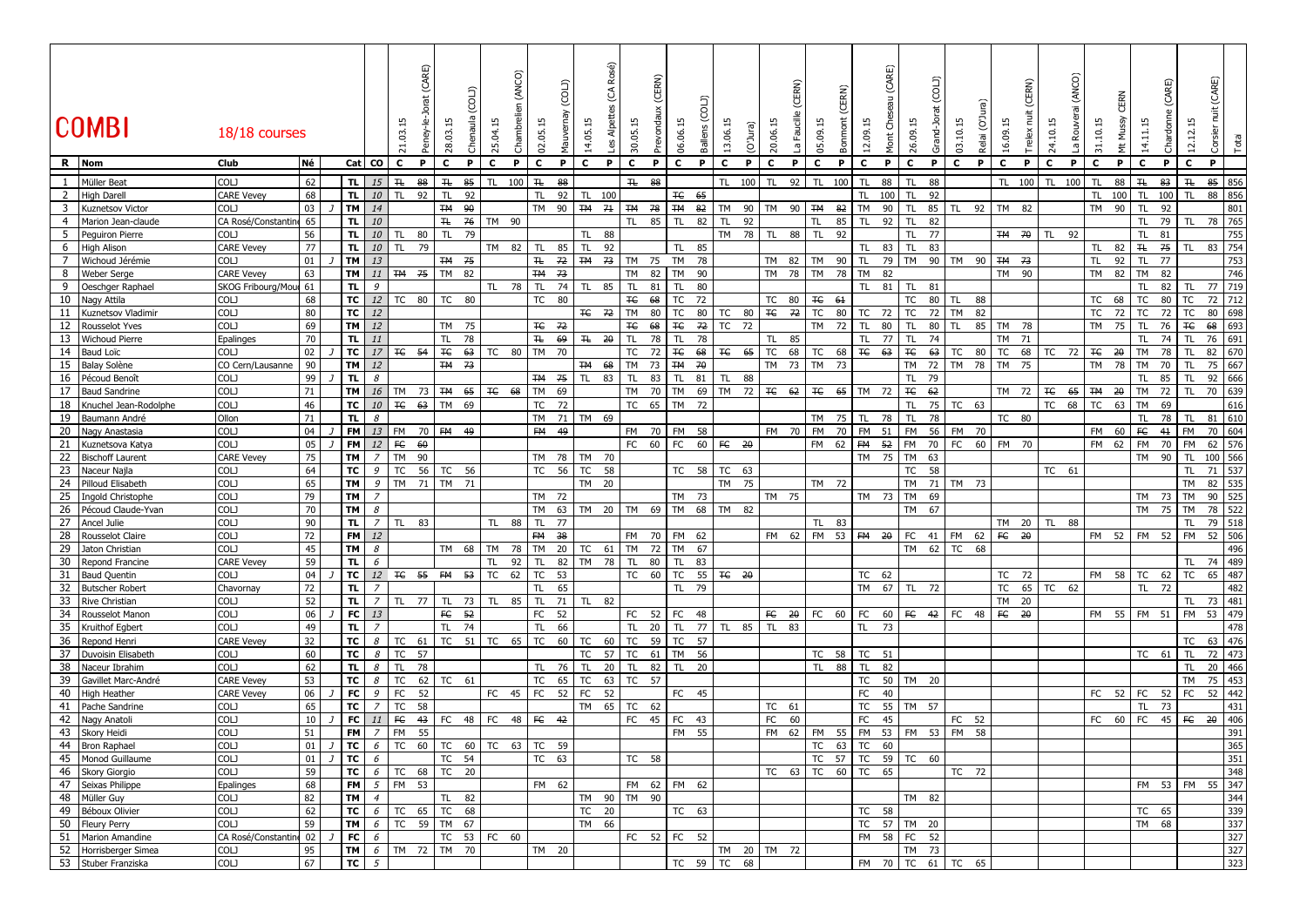|                | <b>COMBI</b>                                   | 18/18 courses             |          |                  |                     | 21.03.15          | (CARE)<br>Peney-le- | 28.03.                                   | Chenaula | 25.04.15      | (ANCO)<br>ambreli | 02.05.15     | (COL)    | 14.05.15               | Rosé)<br>E<br>Alpettes<br>Les | 30.05.              | (CERN) | 06.06.          | ุก<br>Ballens         | 13.06.15<br>(O'Jura)                                                                                                                                                                                                                                                                                                                                                         | 20.06.15  | (CERN)<br>Faucille<br>م<br>تا | 05.09.15        | (CERN)<br>Bonmont | (CARE)<br>12.09.15<br>Ğ<br>Mont | 26.09.          | (CDL)<br>Grand-Jo | 03.10.15  | (O'Jura)<br>Relai     | (CERN)<br>ä<br>16.09.15 | 24.10.15       | (ANCO) | 15<br>$\overline{5}$ | Σ<br>ξ |                 | (CARE)<br>ర్ | 12.12.15        | Corsier nuit (CARE) | Total      |
|----------------|------------------------------------------------|---------------------------|----------|------------------|---------------------|-------------------|---------------------|------------------------------------------|----------|---------------|-------------------|--------------|----------|------------------------|-------------------------------|---------------------|--------|-----------------|-----------------------|------------------------------------------------------------------------------------------------------------------------------------------------------------------------------------------------------------------------------------------------------------------------------------------------------------------------------------------------------------------------------|-----------|-------------------------------|-----------------|-------------------|---------------------------------|-----------------|-------------------|-----------|-----------------------|-------------------------|----------------|--------|----------------------|--------|-----------------|--------------|-----------------|---------------------|------------|
|                | R Nom                                          | Club                      | Νé       |                  | Cat CO              | C                 | P.                  | C                                        | P        | c             | P                 | c            | P        | $\mathbf{C}$           | P                             | c                   | P      | $\mathbf{C}$    | c<br><b>P</b>         | P                                                                                                                                                                                                                                                                                                                                                                            | c         | P                             | c               | P                 | c<br>P                          | c               | P                 | c         | P                     | C.<br>P                 | c              | P      | c                    | P      | $\mathbf{c}$    | P            | $\mathbf{c}$    | P                   |            |
| 1              | Müller Beat                                    | COLJ                      | 62       | TL.              | 15                  | #                 | 88                  | H                                        | 85       | TL            | 100               | #            | 88       |                        |                               | $H_{\rm{c}}$<br>88  |        |                 | TL                    | 100                                                                                                                                                                                                                                                                                                                                                                          | <b>TL</b> | 92                            | <b>TL</b>       | 100               | 88<br>TL <sub>1</sub>           | TI              | 88                |           |                       | 100<br>TL.              | TL.            | 100    | TL                   | 88     | 卍               | 83           | H               | 85                  | 856        |
| $\overline{2}$ | <b>High Darell</b>                             | <b>CARE Vevey</b>         | 68       | TL.              | 10                  | TL.               | 92                  | <b>TL</b>                                | 92       |               |                   | <b>TL</b>    | 92       | TL 100                 |                               |                     |        | Ŧ€<br>65        |                       |                                                                                                                                                                                                                                                                                                                                                                              |           |                               |                 |                   | TL.<br>100                      | <b>TL</b>       | 92                |           |                       |                         |                |        | TL 100               |        | TL.             | 100          | TL <sub></sub>  | 88                  | 856        |
| 3              | Kuznetsov Victor                               | COLJ                      | 03       | <b>TM</b>        | 14                  |                   |                     | <b>TM</b>                                | 90       |               |                   | <b>TM</b>    | 90       | <b>TM</b>              | 7 <sup>1</sup>                | <b>TM</b><br>- 78   |        | <b>TM</b><br>82 | <b>TM</b>             | 90                                                                                                                                                                                                                                                                                                                                                                           | <b>TM</b> | 90                            | <b>TM</b>       | 82                | <b>TM</b><br>90                 | <b>TL</b>       | 85 TL             | 92        | <b>TM</b>             | 82                      |                |        | TM 90                |        | <b>TL</b>       | 92           |                 |                     | 801        |
| $\overline{a}$ | Marion Jean-claude                             | CA Rosé/Constantin        | 65       | TL.              | 10                  |                   |                     | $\mp$                                    | 76       | TM 90         |                   |              |          |                        |                               | <b>TL</b>           | 85     | <b>TL</b><br>82 | <b>TL</b>             | 92                                                                                                                                                                                                                                                                                                                                                                           |           |                               | <b>TL</b>       | 85                | <b>TL</b><br>92                 | <b>TL</b>       | 82                |           |                       |                         |                |        |                      |        | TL.             | 79           | TL              | 78                  | 765        |
| 5              | Pequiron Pierre                                | COLJ                      | 56       | TL.              | 10                  | TL.               | 80                  | TL.                                      | 79       |               |                   |              |          | TL.                    | 88                            |                     |        |                 |                       | TM 78                                                                                                                                                                                                                                                                                                                                                                        | TL.       | 88                            | TL.             | 92                |                                 | TL.             | 77                |           |                       | <b>TM 70</b>            | TL.            | 92     |                      |        | TL.             | 81           |                 |                     | 755        |
| 6              | High Alison                                    | <b>CARE Vevey</b>         | 77       | TL.              | 10                  | TL.               | 79                  |                                          |          | TM 82         |                   | TL           | 85       | TL                     | 92                            |                     |        | TL.             | 85                    |                                                                                                                                                                                                                                                                                                                                                                              |           |                               |                 |                   | 83<br>TL                        | <b>TL</b>       | 83                |           |                       |                         |                |        | TL                   | 82     | H               | 75           | TL              | 83                  | 754        |
| $\overline{7}$ | Wichoud Jérémie                                | COLJ                      | 01       | <b>TM</b>        | 13                  |                   |                     | TM 75                                    |          |               |                   | H            | 72       | <del>TM</del> 73       |                               | TM 75               |        | TM 78           |                       |                                                                                                                                                                                                                                                                                                                                                                              |           | TM 82                         | TM              | 90                | TL.<br>79                       | <b>TM</b>       | 90 TM 90          |           |                       | TM 73                   |                |        | TL.                  | 92     | TL.             | 77           |                 |                     | 753        |
| 8              | <b>Weber Serge</b>                             | <b>CARE Vevey</b>         | 63       | <b>TM</b>        | 11                  |                   | TM 75               | TM                                       | 82       |               |                   | <b>TM</b>    | 73       |                        |                               | TM                  | 82     | TM<br>90        |                       |                                                                                                                                                                                                                                                                                                                                                                              | <b>TM</b> | 78                            | <b>TM</b>       | 78                | TM<br>82                        |                 |                   |           |                       | <b>TM</b><br>- 90       |                |        | TM 82                |        | TM              | 82           |                 |                     | 746        |
| 9              | Oeschger Raphael                               | SKOG Fribourg/Mou         | 61       | TL.              | 9                   |                   |                     |                                          |          | TL 78         |                   | TL           | 74       | TL                     | 85                            | TL.<br>81           |        | TL.<br>80       |                       |                                                                                                                                                                                                                                                                                                                                                                              |           |                               |                 |                   | TL.<br>81                       | TL.             | 81                |           |                       |                         |                |        |                      |        | TL.             | 82           | TL.             | 77                  | 719        |
| 10             | Nagy Attila                                    | COLJ                      | 68       | TC               | 12                  |                   | TC 80               | <b>TC</b>                                | 80       |               |                   | TC           | 80       |                        |                               | $F_{\rm eff}$<br>68 |        | TC<br>72        |                       |                                                                                                                                                                                                                                                                                                                                                                              |           | TC 80                         | $F_{\rm eff}$   | 61                |                                 | ТC              | 80   TL           |           | 88                    |                         |                |        | <b>TC</b>            | 68     | ТC              | 80           | TC              | 72                  | 712        |
| 11<br>12       | Kuznetsov Vladimir                             | COLJ<br>COLJ              | 80       | TC<br><b>TM</b>  | 12<br>12            |                   |                     | TM 75                                    |          |               |                   | <b>TC</b> 72 |          | <b>TC</b> 72           |                               | TM<br>$F_{\rm c}$   | 80     | TC<br>ŦC        | 80<br>72<br><b>TC</b> | TC<br>80<br>72                                                                                                                                                                                                                                                                                                                                                               |           | <del>TC</del> 72              | TC<br><b>TM</b> | 80<br>72          | <b>TC</b><br>72<br>TL.<br>80    | TC<br><b>TL</b> | 72<br>TL.         | <b>TM</b> | 82<br>85<br><b>TM</b> |                         |                |        | <b>TC</b><br>TM 75   | 72     | TC<br><b>TL</b> | 72<br>76     | TC<br>Ŧe        | 80<br>68            | 698<br>693 |
| 13             | <b>Rousselot Yves</b><br><b>Wichoud Pierre</b> | Epalinges                 | 69<br>70 | TL.              | 11                  |                   |                     | <b>TL</b>                                | 78       |               |                   | $\mp \! t$   | 69       | $H = 20$               |                               | 68<br><b>TL</b>     | 78     | <b>TL</b>       | 78                    |                                                                                                                                                                                                                                                                                                                                                                              | TL.       | 85                            |                 |                   | TL.<br>77                       | TL              | 80<br>74          |           | TM                    | 78<br>71                |                |        |                      |        | <b>TL</b>       | 74           | <b>TL</b>       | 76                  | 691        |
| 14             | <b>Baud Loïc</b>                               | COLJ                      | 02       | TC               | 17                  |                   | <b>TC 54</b>        | $F_{\rm c}$                              | 63       | TC 80         |                   | <b>TM</b>    | 70       |                        |                               | <b>TC</b><br>72     |        | #E<br>68        | Ŧ€                    | 65                                                                                                                                                                                                                                                                                                                                                                           | TC        | 68                            | TC              | 68                | E<br>63                         | Ŧe              | 63                | TC<br>80  | <b>TC</b>             | 68                      | TC             | 72     | Ŧ€                   | 20     | TM              | 78           | <b>TL</b>       | 82                  | 670        |
| 15             | <b>Balay Solène</b>                            | CO Cern/Lausanne          | 90       | <b>TM</b>        | 12                  |                   |                     | <b>TM 73</b>                             |          |               |                   |              |          | TM 68                  |                               | TM<br>73            |        | <b>TM</b><br>70 |                       |                                                                                                                                                                                                                                                                                                                                                                              |           | TM 73                         | TM              | - 73              |                                 | TМ              | 72                | TM<br>78  | <b>TM</b>             | 75                      |                |        | TM                   | 78     | TM              | 70           | <b>TL</b>       | 75                  | 667        |
| 16             | Pécoud Benoît                                  | COLJ                      | 99       | TL.              | 8                   |                   |                     |                                          |          |               |                   | TM 75        |          | TL.                    | 83                            | <b>TL</b>           | 83     | TL.<br>81       | TL.                   | 88                                                                                                                                                                                                                                                                                                                                                                           |           |                               |                 |                   |                                 | <b>TL</b>       | 79                |           |                       |                         |                |        |                      |        | TL.             | 85           | TL              | 92                  | 666        |
| 17             | <b>Baud Sandrine</b>                           | COLJ                      | 71       | <b>TM</b>        | 16                  | TM                | 73                  |                                          |          | TM 65 TC 68   |                   | TM           | 69       |                        |                               | <b>TM</b>           | 70     | TM              | 69                    | 72<br><b>TM</b>                                                                                                                                                                                                                                                                                                                                                              |           | <b>TC 62</b>                  | TC 65           |                   | TM 72                           | #E              | 62                |           |                       | TM 72                   | $E_{\text{H}}$ | 65     | $TH = 20$            |        | TM              | 72           | TL.             | 70                  | 639        |
| 18             | Knuchel Jean-Rodolphe                          | COLJ                      | 46       | тc               | 10                  |                   | <b>TC 63</b>        | TM                                       | 69       |               |                   | TC           | 72       |                        |                               | TC 65               |        | TM              | 72                    |                                                                                                                                                                                                                                                                                                                                                                              |           |                               |                 |                   |                                 | <b>TL</b>       | 75                | TC 63     |                       |                         | TC             | 68     | <b>TC</b>            | 63     | TM              | 69           |                 |                     | 616        |
| 19             | Baumann André                                  | Ollon                     | 71       | TL.              | 8                   |                   |                     |                                          |          |               |                   | TM           |          | 71 TM 69               |                               |                     |        |                 |                       |                                                                                                                                                                                                                                                                                                                                                                              |           |                               | TM              | 75                | TL<br>78                        | TL              | 78                |           |                       | TC 80                   |                |        |                      |        | <b>TL</b>       | 78           | TL              | 81                  | 610        |
| 20             | Nagy Anastasia                                 | COLJ                      | 04       | <b>FM</b>        | 13                  | FM                | 70                  | FM 49                                    |          |               |                   | FM 49        |          |                        |                               | FM -<br>70          |        | <b>FM</b><br>58 |                       |                                                                                                                                                                                                                                                                                                                                                                              |           | FM 70                         | FM              | 70                | FM<br>51                        | FM              | 56 FM             | 70        |                       |                         |                |        | FM                   | 60     | FE              | $4+$         | FM              | 70                  | 604        |
| 21             | Kuznetsova Katya                               | COLJ                      | 05       | <b>FM</b>        | 12                  | FE                | 60                  |                                          |          |               |                   |              |          |                        |                               | FC<br>60            |        | FC              | 60 FC                 | 20                                                                                                                                                                                                                                                                                                                                                                           |           |                               | FM              | 62                | <b>FM</b><br>$-52$              | FM              | 70 FC             |           | 60                    | FM 70                   |                |        | FM                   | 62     | FM              | 70           | FM              | 62                  | 576        |
| 22             | <b>Bischoff Laurent</b>                        | <b>CARE Vevey</b>         | 75       | TM               | $\overline{z}$      | <b>TM</b>         | 90                  |                                          |          |               |                   | TM 78        |          | TM 70                  |                               |                     |        |                 |                       |                                                                                                                                                                                                                                                                                                                                                                              |           |                               |                 |                   | TM 75                           | TM              | 63                |           |                       |                         |                |        |                      |        | TM              | 90           | <b>TL</b>       | 100 566             |            |
| 23             | Naceur Najla                                   | COLJ                      | 64       | TC               | 9                   | TC                |                     | 56 TC                                    | 56       |               |                   | TC           | 56       | TC                     | 58                            |                     |        |                 |                       | TC 58 TC 63                                                                                                                                                                                                                                                                                                                                                                  |           |                               |                 |                   |                                 | TC              | 58                |           |                       |                         |                | TC 61  |                      |        |                 |              | <b>TL</b>       | 71                  | 537        |
| 24             | Pilloud Elisabeth                              | <b>COLJ</b>               | 65       | <b>TM</b>        | 9                   |                   |                     | TM 71 TM 71                              |          |               |                   |              |          | TM 20                  |                               |                     |        |                 |                       | TM 75                                                                                                                                                                                                                                                                                                                                                                        |           |                               | TM 72           |                   |                                 | <b>TM</b>       | 71 TM 73          |           |                       |                         |                |        |                      |        |                 |              | <b>TM</b>       | 82                  | 535        |
| 25             | Ingold Christophe                              | COLJ                      | 79       | <b>TM</b>        | $\overline{z}$      |                   |                     |                                          |          |               |                   | TM 72        |          |                        |                               |                     |        | TM 73           |                       |                                                                                                                                                                                                                                                                                                                                                                              |           | TM 75                         |                 |                   | TM 73                           | <b>TM</b>       | 69                |           |                       |                         |                |        |                      |        | TM 73           |              | <b>TM</b>       | 90                  | 525        |
| 26<br>27       | Pécoud Claude-Yvan<br>Ancel Julie              | COLJ<br>COLJ              | 70<br>90 | <b>TM</b><br>TL. | 8<br>$\overline{z}$ | TL                | 83                  |                                          |          | TL 88         |                   | TM<br>TL     | 63<br>77 |                        |                               | TM 20 TM 69         |        | TM 68 TM        |                       | 82                                                                                                                                                                                                                                                                                                                                                                           |           |                               | TL 83           |                   |                                 | TM              | 67                |           |                       | TM 20                   |                | 88     |                      |        | TM 75           |              | <b>TM</b><br>TL | 78<br>79            | 522<br>518 |
| 28             | <b>Rousselot Claire</b>                        | COLJ                      | 72       | <b>FM</b>        | 12                  |                   |                     |                                          |          |               |                   | <b>FM</b>    | $-38$    |                        |                               | <b>FM</b>           | 70     | FM 62           |                       |                                                                                                                                                                                                                                                                                                                                                                              |           | FM 62                         | FM 53           |                   | $FM = 20$                       | FC              | 41 FM 62          |           |                       | $FE = 20$               | TL             |        | FM 52                |        | FM 52 FM        |              |                 | 52                  | 506        |
| 29             | Jaton Christian                                | COLJ                      | 45       | <b>TM</b>        | 8                   |                   |                     | TM 68                                    |          | TM            | 78                | TM           | 20       | TC 61                  |                               | TM                  | 72     | TM<br>67        |                       |                                                                                                                                                                                                                                                                                                                                                                              |           |                               |                 |                   |                                 | TM 62 TC        |                   | 68        |                       |                         |                |        |                      |        |                 |              |                 |                     | 496        |
| 30             | Repond Francine                                | <b>CARE Vevey</b>         | 59       | TL.              | 6                   |                   |                     |                                          |          | <b>TL</b>     | 92                | <b>TL</b>    | 82       | <b>TM</b>              | 78                            | <b>TL</b><br>80     |        | <b>TL</b><br>83 |                       |                                                                                                                                                                                                                                                                                                                                                                              |           |                               |                 |                   |                                 |                 |                   |           |                       |                         |                |        |                      |        |                 |              | TL.             | 74                  | 489        |
| 31             | <b>Baud Quentin</b>                            | COLJ                      | 04       | TC               | 12                  |                   | TC 55               | FM 53                                    |          | TC            | 62                | TC           | 53       |                        |                               | <b>TC</b>           | 60     | TC              |                       | $55$ $\overline{+}$ $\overline{+}$ $\overline{+}$ $\overline{+}$ $\overline{+}$ $\overline{+}$ $\overline{+}$ $\overline{+}$ $\overline{+}$ $\overline{+}$ $\overline{+}$ $\overline{+}$ $\overline{+}$ $\overline{+}$ $\overline{+}$ $\overline{+}$ $\overline{+}$ $\overline{+}$ $\overline{+}$ $\overline{+}$ $\overline{+}$ $\overline{+}$ $\overline{+}$ $\overline{+}$ |           |                               |                 |                   | TC 62                           |                 |                   |           |                       | TC<br>72                |                |        | FM 58                |        | TC              | 62           | TC              | 65                  | 487        |
| 32             | <b>Butscher Robert</b>                         | Chavornay                 | 72       | TL.              | $\overline{z}$      |                   |                     |                                          |          |               |                   | TL           | 65       |                        |                               |                     |        | 79<br>TL.       |                       |                                                                                                                                                                                                                                                                                                                                                                              |           |                               |                 |                   | TM 67                           | TL              | 72                |           | TC                    | 65                      | TC             | 62     |                      |        | TL.             | 72           |                 |                     | 482        |
| 33             | <b>Rive Christian</b>                          | COLJ                      | 52       | TL.              | $\overline{z}$      | TL                | 77                  | TL                                       | 73       | TL            | 85                | <b>TL</b>    | 71       | TL                     | 82                            |                     |        |                 |                       |                                                                                                                                                                                                                                                                                                                                                                              |           |                               |                 |                   |                                 |                 |                   |           | TM                    | 20                      |                |        |                      |        |                 |              | TL              | 73                  | 481        |
| 34             | Rousselot Manon                                | COLJ                      | 06       | FC               | 13                  |                   |                     | FC 52                                    |          |               |                   | FC 52        |          |                        |                               | FC 52               |        | FC 48           |                       |                                                                                                                                                                                                                                                                                                                                                                              |           | FC 20                         | FC 60 FC        |                   | 60                              | FC $42$ FC $48$ |                   |           |                       | FC 20                   |                |        | FM 55                |        | FM 51           |              | <b>FM</b>       | 53 479              |            |
| 35             | Kruithof Egbert                                | COLJ                      | 49       | TL.              | $\overline{7}$      |                   |                     | <b>TL</b>                                | 74       |               |                   | TL           | 66       |                        |                               | TL.<br>20           |        | TL.             | 77                    | TL 85                                                                                                                                                                                                                                                                                                                                                                        | TL.       | 83                            |                 |                   | <b>TL</b><br>73                 |                 |                   |           |                       |                         |                |        |                      |        |                 |              |                 |                     | 478        |
| 36             | Repond Henri                                   | <b>CARE Vevey</b>         | 32       | TC               | 8                   |                   | TC 61               |                                          |          | TC $51$ TC 65 |                   | TC           | 60       | TC                     | 60                            | <b>TC</b><br>59     |        | TC<br>57        |                       |                                                                                                                                                                                                                                                                                                                                                                              |           |                               |                 |                   |                                 |                 |                   |           |                       |                         |                |        |                      |        |                 |              | TC              | 63                  | 476        |
| 37             | Duvoisin Elisabeth                             | COLJ                      | 60       | TC               | 8                   | TC 57             |                     |                                          |          |               |                   |              |          | TC                     | 57                            | TC<br>61            |        | TM 56           |                       |                                                                                                                                                                                                                                                                                                                                                                              |           |                               | TC 58           |                   | TC 51                           |                 |                   |           |                       |                         |                |        |                      |        | TC 61           |              | <b>TL</b>       | 72                  | 473        |
| 38             | Naceur Ibrahim                                 | COLJ                      | 62       | TL.              | 8                   | TL                | 78                  |                                          |          |               |                   | <b>TL</b>    | 76       | TL.                    | 20                            | TL.                 | 82     | TL.             | 20                    |                                                                                                                                                                                                                                                                                                                                                                              |           |                               | TL              | 88                | TL.<br>82                       |                 |                   |           |                       |                         |                |        |                      |        |                 |              | TL              | 20                  | 466        |
| 39             | Gavillet Marc-André                            | <b>CARE Vevey</b>         | 53       | TC               | 8                   | <b>TC</b>         | 62                  | TC                                       | 61       |               |                   | ТC           | 65       | TC                     | 63                            | TC<br>57            |        |                 |                       |                                                                                                                                                                                                                                                                                                                                                                              |           |                               |                 |                   | <b>TC</b><br>50<br>40           | TM 20           |                   |           |                       |                         |                |        |                      |        |                 |              | TM              | 75                  | 453        |
| 40<br>41       | High Heather<br>Pache Sandrine                 | <b>CARE Vevey</b><br>COLJ | 06<br>65 | FC<br><b>TC</b>  | 9<br>$\overline{7}$ | FC<br><b>TC</b>   | 52<br>58            |                                          |          | FC            | 45                | FC           | 52       | <b>FC</b><br><b>TM</b> | 52<br>65                      | <b>TC</b><br>62     |        | FC 45           |                       |                                                                                                                                                                                                                                                                                                                                                                              |           | TC 61                         |                 |                   | FC<br><b>TC</b><br>55           | TM 57           |                   |           |                       |                         |                |        | FC 52                |        | FC<br><b>TL</b> | 52<br>73     | <b>FC</b>       | 52                  | 442<br>431 |
| 42             | Nagy Anatoli                                   | COLJ                      | 10       | FC               | 11                  | FE                | 43                  | FC                                       | 48 FC    |               | 48                | FC 42        |          |                        |                               | FC<br>45            |        | FC 43           |                       |                                                                                                                                                                                                                                                                                                                                                                              | FC        | 60                            |                 |                   | FC<br>45                        |                 |                   | FC<br>52  |                       |                         |                |        | FC                   | 60     | <b>FC</b>       | 45           | F C             | 20                  | 406        |
|                | 43 Skory Heidi                                 | <b>COLJ</b>               | 51       | <b>FM</b>        | $\overline{z}$      | FM                | 55                  |                                          |          |               |                   |              |          |                        |                               |                     |        | FM 55           |                       |                                                                                                                                                                                                                                                                                                                                                                              |           | FM 62                         |                 |                   | FM 55 FM 53                     | FM 53 FM        |                   |           | 58                    |                         |                |        |                      |        |                 |              |                 |                     | 391        |
|                | 44 Bron Raphael                                | COLJ                      |          |                  |                     |                   |                     | 01 J <b>TC</b> 6 TC 60 TC 60 TC 63 TC 59 |          |               |                   |              |          |                        |                               |                     |        |                 |                       |                                                                                                                                                                                                                                                                                                                                                                              |           |                               |                 |                   | TC 63 TC 60                     |                 |                   |           |                       |                         |                |        |                      |        |                 |              |                 |                     | 365        |
|                | 45 Monod Guillaume                             | COLJ                      | 01       | TC I             | $6\overline{6}$     |                   |                     | TC 54                                    |          |               |                   | TC 63        |          |                        |                               | TC 58               |        |                 |                       |                                                                                                                                                                                                                                                                                                                                                                              |           |                               |                 |                   | TC 57 TC 59 TC 60               |                 |                   |           |                       |                         |                |        |                      |        |                 |              |                 |                     | 351        |
|                | 46 Skory Giorgio                               | <b>COLJ</b>               | 59       |                  |                     |                   |                     | $TC$ $6$ $TC$ $68$ $TC$ $20$             |          |               |                   |              |          |                        |                               |                     |        |                 |                       |                                                                                                                                                                                                                                                                                                                                                                              |           | TC 63                         |                 |                   | TC 60 TC 65                     |                 |                   | TC 72     |                       |                         |                |        |                      |        |                 |              |                 |                     | 348        |
|                | 47 Seixas Philippe                             | Epalinges                 | 68       |                  |                     | <b>FM</b> 5 FM 53 |                     |                                          |          |               |                   | FM 62        |          |                        |                               | FM 62 FM 62         |        |                 |                       |                                                                                                                                                                                                                                                                                                                                                                              |           |                               |                 |                   |                                 |                 |                   |           |                       |                         |                |        |                      |        |                 |              | FM 53 FM 55 347 |                     |            |
|                | 48 Müller Guy                                  | <b>COLJ</b>               | 82       | $TM$ 4           |                     |                   |                     | TL 82                                    |          |               |                   |              |          |                        |                               | TM 90 TM 90         |        |                 |                       |                                                                                                                                                                                                                                                                                                                                                                              |           |                               |                 |                   |                                 | TM 82           |                   |           |                       |                         |                |        |                      |        |                 |              |                 |                     | 344        |
|                | 49 Béboux Olivier                              | COLJ                      | 62       |                  |                     |                   |                     | TC $6$ TC $65$ TC $68$                   |          |               |                   |              |          | TC 20                  |                               |                     |        | TC 63           |                       |                                                                                                                                                                                                                                                                                                                                                                              |           |                               |                 |                   | TC 58                           |                 |                   |           |                       |                         |                |        |                      |        | TC 65           |              |                 |                     | 339        |
|                | 50 Fleury Perry                                | COLJ                      | 59       | TM               | 6 <sup>1</sup>      |                   |                     | TC 59 TM 67                              |          |               |                   |              |          | TM 66                  |                               |                     |        |                 |                       |                                                                                                                                                                                                                                                                                                                                                                              |           |                               |                 |                   | TC 57 TM 20                     |                 |                   |           |                       |                         |                |        |                      |        | TM 68           |              |                 |                     | 337        |
|                | 51 Marion Amandine                             | CA Rosé/Constantine 02    |          | FC               | 6                   |                   |                     |                                          |          | TC 53 FC 60   |                   |              |          |                        |                               | FC 52 FC 52         |        |                 |                       |                                                                                                                                                                                                                                                                                                                                                                              |           |                               |                 |                   | FM 58 FC 52                     |                 |                   |           |                       |                         |                |        |                      |        |                 |              |                 |                     | 327        |
|                | 52 Horrisberger Simea                          | <b>COLJ</b>               | 95       |                  |                     |                   |                     | TM 6 TM 72 TM 70                         |          |               |                   | TM 20        |          |                        |                               |                     |        |                 |                       | TM 20 TM 72                                                                                                                                                                                                                                                                                                                                                                  |           |                               |                 |                   |                                 | TM 73           |                   |           |                       |                         |                |        |                      |        |                 |              |                 |                     | 327        |
|                | 53 Stuber Franziska                            | COLJ                      | 67       | TC               | $5^{\circ}$         |                   |                     |                                          |          |               |                   |              |          |                        |                               |                     |        |                 |                       | TC 59 TC 68                                                                                                                                                                                                                                                                                                                                                                  |           |                               |                 |                   | FM 70 TC 61 TC 65               |                 |                   |           |                       |                         |                |        |                      |        |                 |              |                 |                     | 323        |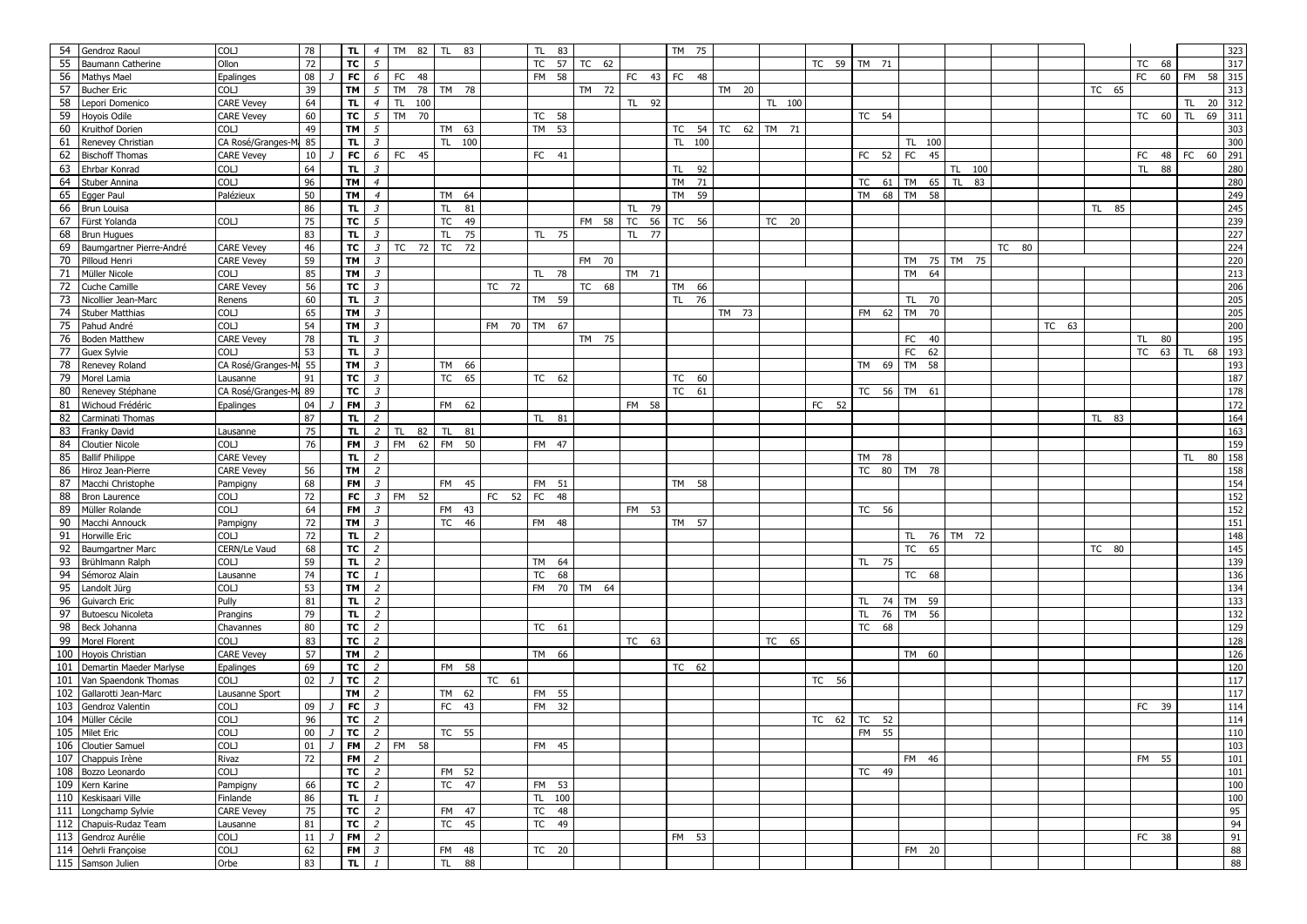|     | 54 Gendroz Raoul         | <b>COLJ</b>           | 78     | TL.       | $\overline{4}$          | TM 82           | <b>TL</b><br>83 |             | TL.       | 83 |             |                 | TM 75  |             |        |       |                 |                 |             |       |       |       |           |             | 323        |
|-----|--------------------------|-----------------------|--------|-----------|-------------------------|-----------------|-----------------|-------------|-----------|----|-------------|-----------------|--------|-------------|--------|-------|-----------------|-----------------|-------------|-------|-------|-------|-----------|-------------|------------|
| 55  | Baumann Catherine        | Ollon                 | 72     |           | $TC$ $5$                |                 |                 |             |           |    | TC 57 TC 62 |                 |        |             |        |       | TC 59 TM 71     |                 |             |       |       |       | TC<br>68  |             | 317        |
| 56  | Mathys Mael              | Epalinges             | 08     | <b>FC</b> | $\epsilon$              | FC<br>48        |                 |             | FM 58     |    |             | FC 43 FC 48     |        |             |        |       |                 |                 |             |       |       |       | FC 60 FM  |             | 58<br>315  |
| 57  | <b>Bucher Eric</b>       | COLJ                  | 39     | TM        | $5\overline{5}$         | TM 78           | TM 78           |             |           |    | TM 72       |                 |        | TM 20       |        |       |                 |                 |             |       |       | TC 65 |           |             | 313        |
| 58  | Lepori Domenico          | <b>CARE Vevey</b>     | 64     | TL.       | $\overline{4}$          | TL.<br>100      |                 |             |           |    |             | TL 92           |        |             | TL 100 |       |                 |                 |             |       |       |       |           | TL.         | 312<br>20  |
| 59  | Hoyois Odile             | <b>CARE Vevey</b>     | 60     | TC        | $5\overline{5}$         | TM 70           |                 |             | TC 58     |    |             |                 |        |             |        |       | TC 54           |                 |             |       |       |       | TC 60 TL  |             | 69<br>311  |
| 60  | Kruithof Dorien          | COLJ                  | 49     | TM        | $\sqrt{5}$              |                 | TM 63           |             | TM 53     |    |             |                 | TC 54  | TC 62 TM 71 |        |       |                 |                 |             |       |       |       |           |             | 303        |
| 61  |                          | CA Rosé/Granges-M     | 85     | TL.       | $\overline{\mathbf{3}}$ |                 | TL 100          |             |           |    |             |                 |        |             |        |       |                 | TL 100          |             |       |       |       |           |             | 300        |
|     | Renevey Christian        |                       |        |           |                         |                 |                 |             |           |    |             |                 | TL 100 |             |        |       |                 |                 |             |       |       |       |           |             | 291        |
| 62  | <b>Bischoff Thomas</b>   | <b>CARE Vevey</b>     | 10     | FC        | $6\overline{6}$         | FC<br>45        |                 |             | FC 41     |    |             |                 |        |             |        |       | FC 52           | <b>FC</b><br>45 |             |       |       |       |           | FC 48 FC 60 |            |
| 63  | Ehrbar Konrad            | COLJ                  | 64     | TL.       | $\overline{3}$          |                 |                 |             |           |    |             |                 | TL 92  |             |        |       |                 |                 | 100<br>TL   |       |       |       | TL.<br>88 |             | 280        |
| 64  | Stuber Annina            | <b>COLJ</b>           | 96     | TM        | $\overline{4}$          |                 |                 |             |           |    |             |                 | TM 71  |             |        |       | 61<br>TC        | <b>TM</b><br>65 | TL.<br>83   |       |       |       |           |             | 280        |
| 65  | Egger Paul               | Palézieux             | 50     | <b>TM</b> | $\overline{4}$          |                 | TM 64           |             |           |    |             |                 | TM 59  |             |        |       | TM 68           | TM 58           |             |       |       |       |           |             | 249        |
|     | 66 Brun Louisa           |                       | 86     | TL.       | $\overline{3}$          |                 | 81<br><b>TL</b> |             |           |    |             | TL<br>79        |        |             |        |       |                 |                 |             |       |       | TL 85 |           |             | 245        |
| 67  | Fürst Yolanda            | <b>COLJ</b>           | 75     | <b>TC</b> | $5\overline{5}$         |                 | TC 49           |             |           |    | FM 58       | <b>TC</b><br>56 | TC 56  |             | TC 20  |       |                 |                 |             |       |       |       |           |             | 239        |
| 68  | <b>Brun Hugues</b>       |                       | 83     | TL.       | $\overline{\mathbf{3}}$ |                 | 75<br>TL.       |             | TL 75     |    |             | TL 77           |        |             |        |       |                 |                 |             |       |       |       |           |             | 227        |
| 69  | Baumgartner Pierre-André | <b>CARE Vevey</b>     | 46     | <b>TC</b> | $\overline{\mathbf{3}}$ | TC 72           | TC 72           |             |           |    |             |                 |        |             |        |       |                 |                 |             | TC 80 |       |       |           |             |            |
| 70  | Pilloud Henri            | <b>CARE Vevey</b>     | 59     | TM        | $\overline{\mathbf{3}}$ |                 |                 |             |           |    | FM 70       |                 |        |             |        |       |                 |                 | TM 75 TM 75 |       |       |       |           |             | 224<br>220 |
| 71  | Müller Nicole            | COLJ                  | 85     | TM I      | $\overline{3}$          |                 |                 |             | TL 78     |    |             | TM 71           |        |             |        |       |                 | TM<br>64        |             |       |       |       |           |             | 213<br>206 |
| 72  | Cuche Camille            | <b>CARE Vevey</b>     | 56     | TC        | $\overline{\mathbf{3}}$ |                 |                 | TC 72       |           |    | TC 68       |                 | TM 66  |             |        |       |                 |                 |             |       |       |       |           |             |            |
| 73  | Nicollier Jean-Marc      | Renens                | 60     | TL.       | $\overline{3}$          |                 |                 |             | TM 59     |    |             |                 | TL 76  |             |        |       |                 | TL.<br>70       |             |       |       |       |           |             | 205        |
| 74  | <b>Stuber Matthias</b>   | COLJ                  | 65     | <b>TM</b> | $\overline{\mathbf{3}}$ |                 |                 |             |           |    |             |                 |        | TM 73       |        |       | FM 62           | <b>TM</b><br>70 |             |       |       |       |           |             | 205        |
| 75  | Pahud André              | COLJ                  | 54     | TM        | $\overline{\mathbf{3}}$ |                 |                 | FM 70       | TM 67     |    |             |                 |        |             |        |       |                 |                 |             |       | TC 63 |       |           |             | 200        |
| 76  | <b>Boden Matthew</b>     | <b>CARE Vevey</b>     | 78     | TL.       | $\overline{\mathbf{3}}$ |                 |                 |             |           |    | TM 75       |                 |        |             |        |       |                 | FC 40           |             |       |       |       | 80<br>TL  |             | 195        |
| 77  | Guex Sylvie              | COLJ                  | 53     | TL.       | $\overline{3}$          |                 |                 |             |           |    |             |                 |        |             |        |       |                 | FC<br>62        |             |       |       |       | TC 63     | <b>TL</b>   | 193<br>68  |
| 78  |                          | CA Rosé/Granges-Ma 55 |        | <b>TM</b> | $\overline{3}$          |                 | TM 66           |             |           |    |             |                 |        |             |        |       | TM 69 TM        |                 |             |       |       |       |           |             | 193        |
| 79  | Renevey Roland           |                       |        |           |                         |                 |                 |             |           |    |             |                 |        |             |        |       |                 | 58              |             |       |       |       |           |             |            |
|     | Morel Lamia              | Lausanne              | 91     | TC        | $\overline{\mathbf{3}}$ |                 | <b>TC</b><br>65 |             | TC 62     |    |             |                 | TC 60  |             |        |       |                 |                 |             |       |       |       |           |             | 187        |
| 80  | Renevey Stéphane         | CA Rosé/Granges-Mr 89 |        | TC        | $\overline{\mathbf{3}}$ |                 |                 |             |           |    |             |                 | TC 61  |             |        |       | TC 56 TM 61     |                 |             |       |       |       |           |             | 178        |
| 81  | Wichoud Frédéric         | Epalinges             | 04     | FM        | $\overline{\mathbf{3}}$ |                 | FM 62           |             |           |    |             | FM 58           |        |             |        | FC 52 |                 |                 |             |       |       |       |           |             | 172        |
| 82  | Carminati Thomas         |                       | 87     | TL.       | 2                       |                 |                 |             | TL 81     |    |             |                 |        |             |        |       |                 |                 |             |       |       | TL 83 |           |             | 164        |
| 83  | Franky David             | Lausanne              | 75     | TL.       | $\overline{z}$          | 82<br>TL.       | TL 81           |             |           |    |             |                 |        |             |        |       |                 |                 |             |       |       |       |           |             | 163        |
| 84  | <b>Cloutier Nicole</b>   | COLJ                  | 76     |           | $FM \mid 3$             | FM 62 FM 50     |                 |             | FM 47     |    |             |                 |        |             |        |       |                 |                 |             |       |       |       |           |             | 159        |
| 85  | <b>Ballif Philippe</b>   | <b>CARE Vevey</b>     |        | TL.       | $\overline{z}$          |                 |                 |             |           |    |             |                 |        |             |        |       | TM 78           |                 |             |       |       |       |           | TL.         | 80<br>158  |
| 86  | Hiroz Jean-Pierre        | <b>CARE Vevey</b>     | 56     | <b>TM</b> | $\overline{z}$          |                 |                 |             |           |    |             |                 |        |             |        |       |                 | TC 80 TM 78     |             |       |       |       |           |             | 158        |
| 87  | Macchi Christophe        | Pampigny              | 68     | <b>FM</b> | $\mathfrak{Z}$          |                 | FM 45           |             | FM 51     |    |             |                 | TM 58  |             |        |       |                 |                 |             |       |       |       |           |             | 154        |
| 88  | <b>Bron Laurence</b>     | COLJ                  | 72     | FC        | $\overline{\mathbf{3}}$ | 52<br><b>FM</b> |                 | FC 52 FC 48 |           |    |             |                 |        |             |        |       |                 |                 |             |       |       |       |           |             | 152        |
| 89  | Müller Rolande           | COLJ                  | 64     | FM        | $\overline{\mathbf{3}}$ |                 | FM 43           |             |           |    |             | FM 53           |        |             |        |       | TC 56           |                 |             |       |       |       |           |             | 152        |
| 90  | Macchi Annouck           | Pampigny              | 72     | <b>TM</b> | $\overline{3}$          |                 | TC 46           |             | FM 48     |    |             |                 | TM 57  |             |        |       |                 |                 |             |       |       |       |           |             | 151        |
| 91  | Horwille Eric            | COLJ                  | 72     | TL.       | $\overline{2}$          |                 |                 |             |           |    |             |                 |        |             |        |       |                 | TL 76           | TM 72       |       |       |       |           |             | 148        |
| 92  | Baumgartner Marc         | CERN/Le Vaud          | 68     | TC        | $\overline{c}$          |                 |                 |             |           |    |             |                 |        |             |        |       |                 | TC 65           |             |       |       | TC 80 |           |             | 145        |
| 93  | Brühlmann Ralph          | COLJ                  | 59     | TL.       | $\overline{2}$          |                 |                 |             | <b>TM</b> | 64 |             |                 |        |             |        |       | TL 75           |                 |             |       |       |       |           |             | 139        |
| 94  | Sémoroz Alain            | Lausanne              | 74     | TC        | $\mathbf{1}$            |                 |                 |             | TC        | 68 |             |                 |        |             |        |       |                 | TC 68           |             |       |       |       |           |             | 136        |
| 95  | Landolt Jürg             | COLJ                  | 53     | <b>TM</b> | $\overline{2}$          |                 |                 |             |           |    | FM 70 TM 64 |                 |        |             |        |       |                 |                 |             |       |       |       |           |             | 134        |
| 96  |                          | Pully                 | 81     | TL.       | $\overline{z}$          |                 |                 |             |           |    |             |                 |        |             |        |       | TL 74 TM 59     |                 |             |       |       |       |           |             |            |
|     | Guivarch Eric            |                       |        |           |                         |                 |                 |             |           |    |             |                 |        |             |        |       |                 |                 |             |       |       |       |           |             | 133        |
| 97  | <b>Butoescu Nicoleta</b> | Prangins              | 79     | TL.       | $\overline{z}$          |                 |                 |             |           |    |             |                 |        |             |        |       | TL 76           | TM 56           |             |       |       |       |           |             | 132        |
| 98  | Beck Johanna             | Chavannes             | 80     | TC        | $\overline{z}$          |                 |                 |             | TC 61     |    |             |                 |        |             |        |       | <b>TC</b><br>68 |                 |             |       |       |       |           |             | 129        |
| 99  | Morel Florent            | COLJ                  | 83     | TC        | $\overline{c}$          |                 |                 |             |           |    |             | TC 63           |        |             | TC 65  |       |                 |                 |             |       |       |       |           |             | 128        |
|     | 100 Hoyois Christian     | <b>CARE Vevey</b>     | 57     | <b>TM</b> | $\overline{2}$          |                 |                 |             | TM 66     |    |             |                 |        |             |        |       |                 | TM 60           |             |       |       |       |           |             | 126        |
| 101 | Demartin Maeder Marlyse  | Epalinges             | 69     | TC        | $\overline{2}$          |                 | FM 58           |             |           |    |             |                 | TC 62  |             |        |       |                 |                 |             |       |       |       |           |             | 120        |
|     | 101 Van Spaendonk Thomas | <b>COLJ</b>           | 02     | TC        | 2                       |                 |                 | TC 61       |           |    |             |                 |        |             |        | TC 56 |                 |                 |             |       |       |       |           |             | 117        |
| 102 | Gallarotti Jean-Marc     | Lausanne Sport        |        | TM        | $\overline{2}$          |                 | TM 62           |             | FM 55     |    |             |                 |        |             |        |       |                 |                 |             |       |       |       |           |             | 117        |
| 103 | Gendroz Valentin         | COLJ                  | 09     | <b>FC</b> | $\overline{3}$          |                 | FC 43           |             | FM 32     |    |             |                 |        |             |        |       |                 |                 |             |       |       |       | FC 39     |             | 114        |
|     | 104 Müller Cécile        | COLJ                  | 96     | TC        | $\overline{2}$          |                 |                 |             |           |    |             |                 |        |             |        | TC 62 | 52<br>TC        |                 |             |       |       |       |           |             | 114        |
|     | 105 Milet Eric           | COLJ                  | $00\,$ | TC        | $\overline{2}$          |                 | TC 55           |             |           |    |             |                 |        |             |        |       | <b>FM</b><br>55 |                 |             |       |       |       |           |             | 110        |
|     | 106 Cloutier Samuel      | COLJ                  | $01$ J |           |                         | FM 2 FM 58      |                 |             | FM 45     |    |             |                 |        |             |        |       |                 |                 |             |       |       |       |           |             | 103        |
|     | 107 Chappuis Irène       | Rivaz                 | 72     |           | $FM$ 2                  |                 |                 |             |           |    |             |                 |        |             |        |       |                 | FM 46           |             |       |       |       | FM 55     |             | 101        |
|     | 108 Bozzo Leonardo       | COLJ                  |        |           | $TC$   2                |                 | FM 52           |             |           |    |             |                 |        |             |        |       | TC 49           |                 |             |       |       |       |           |             | 101        |
|     | 109 Kern Karine          | Pampigny              | 66     |           | $TC$ 2                  |                 | TC 47           |             | FM 53     |    |             |                 |        |             |        |       |                 |                 |             |       |       |       |           |             | 100        |
|     | 110 Keskisaari Ville     | Finlande              | 86     |           | $TL$ $1$                |                 |                 |             | TL 100    |    |             |                 |        |             |        |       |                 |                 |             |       |       |       |           |             | 100        |
|     | 111 Longchamp Sylvie     | <b>CARE Vevey</b>     | 75     |           | $TC$ 2                  |                 | FM 47           |             | TC 48     |    |             |                 |        |             |        |       |                 |                 |             |       |       |       |           |             | 95         |
|     | 112 Chapuis-Rudaz Team   | Lausanne              | 81     |           | $TC$ 2                  |                 | TC 45           |             | TC 49     |    |             |                 |        |             |        |       |                 |                 |             |       |       |       |           |             | 94         |
|     | 113 Gendroz Aurélie      | COLJ                  | 11     |           | $FM$ 2                  |                 |                 |             |           |    |             |                 | FM 53  |             |        |       |                 |                 |             |       |       |       | FC 38     |             | 91         |
|     | 114 Oehrli Françoise     | COLJ                  | 62     |           | $FM \mid 3$             |                 | FM 48           |             | TC 20     |    |             |                 |        |             |        |       |                 | FM 20           |             |       |       |       |           |             | 88         |
|     | 115 Samson Julien        | Orbe                  | 83     | TL        | $\mathbf{1}$            |                 | TL 88           |             |           |    |             |                 |        |             |        |       |                 |                 |             |       |       |       |           |             | 88         |
|     |                          |                       |        |           |                         |                 |                 |             |           |    |             |                 |        |             |        |       |                 |                 |             |       |       |       |           |             |            |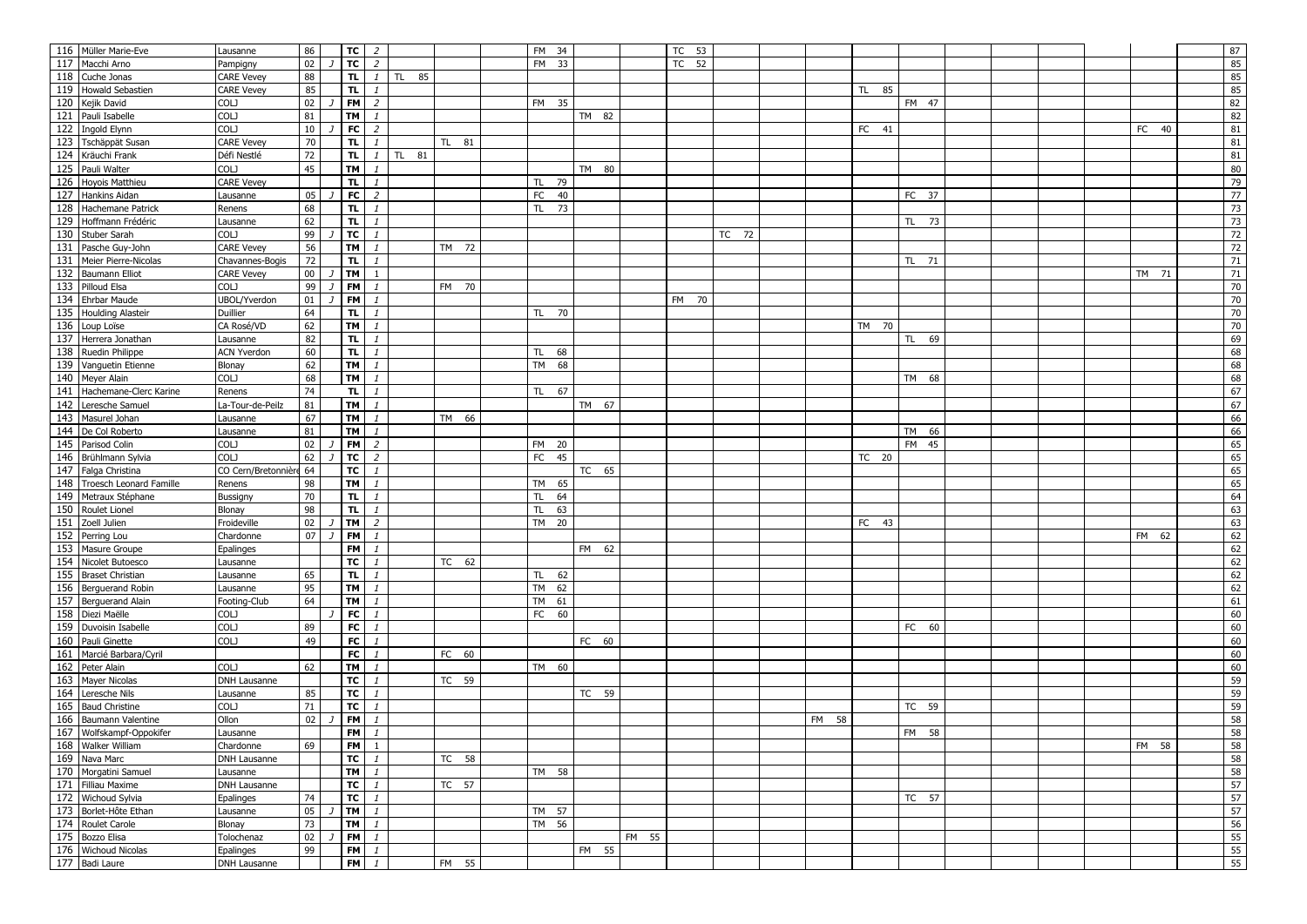|     | 116 Müller Marie-Eve        | Lausanne               | 86               | $TC$ 2                  |                              |           |       | FM 34           |       |       | TC 53 |       |       |                 |       |  |  |       | 87              |
|-----|-----------------------------|------------------------|------------------|-------------------------|------------------------------|-----------|-------|-----------------|-------|-------|-------|-------|-------|-----------------|-------|--|--|-------|-----------------|
|     | 117 Macchi Arno             | Pampigny               | 02               |                         | $TC$ 2                       |           |       | FM 33           |       |       | TC 52 |       |       |                 |       |  |  |       | 85              |
|     | 118 Cuche Jonas             | <b>CARE Vevey</b>      | 88               | TL                      | $\mathbf{1}$                 | 85<br>TL. |       |                 |       |       |       |       |       |                 |       |  |  |       | 85              |
|     | 119 Howald Sebastien        | <b>CARE Vevey</b>      | 85               | TL.                     | $\mathbf{1}$                 |           |       |                 |       |       |       |       |       | 85<br><b>TL</b> |       |  |  |       | 85              |
|     | 120 Kejik David             | COLJ                   | 02               | FM                      | $\overline{z}$               |           |       | FM 35           |       |       |       |       |       |                 | FM 47 |  |  |       | 82              |
|     | 121 Pauli Isabelle          | COLJ                   | 81               | TM                      | $\mathbf{1}$                 |           |       |                 | TM 82 |       |       |       |       |                 |       |  |  |       | 82              |
|     | 122 Ingold Elynn            | COLJ                   | 10 <sup>10</sup> | <b>FC</b>               | $\overline{z}$               |           |       |                 |       |       |       |       |       | FC 41           |       |  |  | FC 40 | ${\bf 81}$      |
|     | 123 Tschäppät Susan         | <b>CARE Vevey</b>      | 70               | TL.                     | $\mathbf{1}$                 |           | TL 81 |                 |       |       |       |       |       |                 |       |  |  |       | ${\bf 81}$      |
|     | 124 Kräuchi Frank           | Défi Nestlé            | 72               | TL.                     | $\mathbf{1}$                 | TL 81     |       |                 |       |       |       |       |       |                 |       |  |  |       | ${\bf 81}$      |
|     | 125 Pauli Walter            | <b>COLJ</b>            | 45               | <b>TM</b>               | $\mathbf{1}$                 |           |       |                 | TM 80 |       |       |       |       |                 |       |  |  |       | 80              |
|     | 126 Hoyois Matthieu         | <b>CARE Vevey</b>      |                  | TL.                     | $\mathbf{1}$                 |           |       | TL.<br>79       |       |       |       |       |       |                 |       |  |  |       | 79              |
|     | 127 Hankins Aidan           | Lausanne               | 05               | FC                      | $\overline{2}$               |           |       | FC<br>40        |       |       |       |       |       |                 | FC 37 |  |  |       | $\overline{77}$ |
|     | 128 Hachemane Patrick       | Renens                 | 68               | TL.                     | $\mathbf{1}$                 |           |       | TL.<br>73       |       |       |       |       |       |                 |       |  |  |       | 73              |
|     | 129 Hoffmann Frédéric       | Lausanne               | 62               | TL.                     | $\mathbf{1}$                 |           |       |                 |       |       |       |       |       |                 | TL 73 |  |  |       | 73              |
|     | 130 Stuber Sarah            | COLJ                   | 99               | TC                      | $\mathbf{1}$                 |           |       |                 |       |       |       | TC 72 |       |                 |       |  |  |       |                 |
|     |                             |                        | 56               |                         |                              |           |       |                 |       |       |       |       |       |                 |       |  |  |       | 72              |
|     | 131 Pasche Guy-John         | <b>CARE Vevey</b>      | 72               | <b>TM</b>               | $\mathbf{1}$<br>$\mathbf{1}$ |           | TM 72 |                 |       |       |       |       |       |                 |       |  |  |       | 72              |
|     | 131 Meier Pierre-Nicolas    | Chavannes-Bogis        |                  | TL.                     |                              |           |       |                 |       |       |       |       |       |                 | TL 71 |  |  |       | 71              |
|     | 132 Baumann Elliot          | <b>CARE Vevey</b>      | $00\,$           | <b>TM</b>               | $\overline{1}$               |           |       |                 |       |       |       |       |       |                 |       |  |  | TM 71 | $71\,$          |
|     | 133 Pilloud Elsa            | COLJ                   | 99               | <b>FM</b>               | $\mathbf{1}$                 |           | FM 70 |                 |       |       |       |       |       |                 |       |  |  |       | 70              |
|     | 134 Ehrbar Maude            | UBOL/Yverdon           | 01               | <b>FM</b>               | $\mathbf{1}$                 |           |       |                 |       |       | FM 70 |       |       |                 |       |  |  |       | $70\,$          |
|     | 135 Houlding Alasteir       | Duillier               | 64               | TL.                     | $\mathbf{1}$                 |           |       | TL 70           |       |       |       |       |       |                 |       |  |  |       | 70              |
|     | 136 Loup Loïse              | CA Rosé/VD             | 62               | <b>TM</b>               | $\mathbf{1}$                 |           |       |                 |       |       |       |       |       | TM 70           |       |  |  |       | 70              |
|     | 137 Herrera Jonathan        | Lausanne               | 82               | TL.                     | $\mathbf{1}$                 |           |       |                 |       |       |       |       |       |                 | TL 69 |  |  |       | 69              |
|     | 138 Ruedin Philippe         | <b>ACN Yverdon</b>     | 60               | TL.                     | $\mathbf{1}$                 |           |       | TL 68           |       |       |       |       |       |                 |       |  |  |       | 68              |
|     | 139 Vanguetin Etienne       | Blonay                 | 62               | <b>TM</b>               | $\mathbf{1}$                 |           |       | <b>TM</b><br>68 |       |       |       |       |       |                 |       |  |  |       | 68              |
|     | 140 Meyer Alain             | COLJ                   | 68               | TM                      | $\mathbf{1}$                 |           |       |                 |       |       |       |       |       |                 | TM 68 |  |  |       | 68              |
|     | 141 Hachemane-Clerc Karine  | Renens                 | 74               | TL.                     | $\mathbf{1}$                 |           |       | TL 67           |       |       |       |       |       |                 |       |  |  |       | 67              |
|     | 142 Leresche Samuel         | La-Tour-de-Peilz       | 81               | TM                      | $\mathbf{1}$                 |           |       |                 | TM 67 |       |       |       |       |                 |       |  |  |       | 67              |
|     | 143 Masurel Johan           | Lausanne               | 67               | <b>TM</b>               | $\mathbf{1}$                 |           | TM 66 |                 |       |       |       |       |       |                 |       |  |  |       | 66              |
|     | 144 De Col Roberto          | Lausanne               | 81               | TM                      | $\mathbf{1}$                 |           |       |                 |       |       |       |       |       |                 | TM 66 |  |  |       | 66              |
|     | 145 Parisod Colin           | COLJ                   | 02               | FM                      | $\overline{z}$               |           |       | FM 20           |       |       |       |       |       |                 | FM 45 |  |  |       | 65              |
|     | 146 Brühlmann Sylvia        | COLJ                   | 62               | <b>TC</b>               | $\overline{c}$               |           |       | FC 45           |       |       |       |       |       | TC 20           |       |  |  |       | 65              |
|     | 147 Falga Christina         | CO Cern/Bretonnière 64 |                  | TC                      | $\mathbf{1}$                 |           |       |                 | TC 65 |       |       |       |       |                 |       |  |  |       | 65              |
|     | 148 Troesch Leonard Famille | Renens                 | 98               | <b>TM</b>               | $\mathbf{1}$                 |           |       | TM 65           |       |       |       |       |       |                 |       |  |  |       | 65              |
|     | 149 Metraux Stéphane        | Bussigny               | 70               | TL.                     | $\mathbf{1}$                 |           |       | <b>TL</b><br>64 |       |       |       |       |       |                 |       |  |  |       | 64              |
|     | 150 Roulet Lionel           | Blonay                 | 98               | TL.                     | $\mathbf{1}$                 |           |       | TL.<br>63       |       |       |       |       |       |                 |       |  |  |       | 63              |
| 151 | Zoell Julien                | Froideville            | 02               | <b>TM</b>               | $\overline{2}$               |           |       | TM 20           |       |       |       |       |       | FC 43           |       |  |  |       | 63              |
|     | 152 Perring Lou             | Chardonne              | 07               | <b>FM</b>               | $\mathbf{1}$                 |           |       |                 |       |       |       |       |       |                 |       |  |  | FM 62 | 62              |
|     | 153 Masure Groupe           | Epalinges              |                  | FM                      | $\mathbf{1}$                 |           |       |                 | FM 62 |       |       |       |       |                 |       |  |  |       | 62              |
|     | 154 Nicolet Butoesco        | Lausanne               |                  | тc                      | $\mathbf{1}$                 |           | TC 62 |                 |       |       |       |       |       |                 |       |  |  |       | 62              |
|     | 155 Braset Christian        | Lausanne               | 65               | TL.                     | $\mathbf{1}$                 |           |       | TL.<br>62       |       |       |       |       |       |                 |       |  |  |       | 62              |
|     | 156 Berguerand Robin        | Lausanne               | 95               | <b>TM</b>               | $\mathbf{1}$                 |           |       | 62<br><b>TM</b> |       |       |       |       |       |                 |       |  |  |       | 62              |
|     | 157 Berguerand Alain        | Footing-Club           | 64               | <b>TM</b>               | $\mathbf{1}$                 |           |       | <b>TM</b><br>61 |       |       |       |       |       |                 |       |  |  |       | 61              |
|     | 158 Diezi Maëlle            | COLJ                   |                  | <b>FC</b>               | $\mathbf{1}$                 |           |       | FC 60           |       |       |       |       |       |                 |       |  |  |       | 60              |
|     | 159 Duvoisin Isabelle       | COLJ                   | 89               | FC                      | $\mathbf{1}$                 |           |       |                 |       |       |       |       |       |                 | FC 60 |  |  |       | 60              |
|     | 160 Pauli Ginette           | COLJ                   | 49               | <b>FC</b>               | $\mathbf{1}$                 |           |       |                 | FC 60 |       |       |       |       |                 |       |  |  |       | 60              |
|     | 161 Marcié Barbara/Cyril    |                        |                  | FC                      | $\mathbf{1}$                 |           | FC 60 |                 |       |       |       |       |       |                 |       |  |  |       | 60              |
|     | 162 Peter Alain             | COLJ                   | 62               | <b>TM</b>               | $\mathbf{1}$                 |           |       | TM 60           |       |       |       |       |       |                 |       |  |  |       | 60              |
|     | 163 Mayer Nicolas           | DNH Lausanne           |                  | TC                      | $\mathbf{1}$                 |           | TC 59 |                 |       |       |       |       |       |                 |       |  |  |       | 59              |
|     | 164 Leresche Nils           | Lausanne               | 85               | TC                      | $\mathbf{1}$                 |           |       |                 | TC 59 |       |       |       |       |                 |       |  |  |       | 59              |
|     | 165 Baud Christine          | <b>COLJ</b>            | 71               | TC                      | $\mathbf{1}$                 |           |       |                 |       |       |       |       |       |                 | TC 59 |  |  |       | 59              |
|     | 166 Baumann Valentine       | Ollon                  | 02               | <b>FM</b>               | $\mathbf{1}$                 |           |       |                 |       |       |       |       | FM 58 |                 |       |  |  |       | 58              |
|     | 167 Wolfskampf-Oppokifer    | Lausanne               |                  | <b>FM</b>               | $\mathbf{1}$                 |           |       |                 |       |       |       |       |       |                 | FM 58 |  |  |       | 58              |
|     | 168 Walker William          | Chardonne              | 69               |                         | $FM$ 1                       |           |       |                 |       |       |       |       |       |                 |       |  |  | FM 58 | 58              |
|     | 169 Nava Marc               | DNH Lausanne           |                  | $\overline{\mathsf{r}}$ | $\mathbf{1}$                 |           | TC 58 |                 |       |       |       |       |       |                 |       |  |  |       | 58              |
|     | 170 Morgatini Samuel        | Lausanne               |                  | $TM$ $1$                |                              |           |       | TM 58           |       |       |       |       |       |                 |       |  |  |       | 58              |
|     | 171 Filliau Maxime          | DNH Lausanne           |                  |                         | $TC$ $1$                     |           | TC 57 |                 |       |       |       |       |       |                 |       |  |  |       | 57              |
|     | 172 Wichoud Sylvia          | Epalinges              | 74               |                         | $TC$ $1$                     |           |       |                 |       |       |       |       |       |                 | TC 57 |  |  |       | 57              |
|     | 173 Borlet-Hôte Ethan       | Lausanne               | 05               |                         | $TM$ $1$                     |           |       | TM 57           |       |       |       |       |       |                 |       |  |  |       | 57              |
|     | 174 Roulet Carole           | Blonay                 | 73               |                         | TM $\vert$ 1                 |           |       | TM 56           |       |       |       |       |       |                 |       |  |  |       | 56              |
|     | 175 Bozzo Elisa             | Tolochenaz             | 02               | $FM$ $1$                |                              |           |       |                 |       | FM 55 |       |       |       |                 |       |  |  |       | 55              |
|     | 176 Wichoud Nicolas         | Epalinges              | 99               |                         | $FM$ $1$                     |           |       |                 | FM 55 |       |       |       |       |                 |       |  |  |       | 55              |
|     | 177 Badi Laure              | DNH Lausanne           |                  |                         | $FM$ $1$                     |           | FM 55 |                 |       |       |       |       |       |                 |       |  |  |       | 55              |
|     |                             |                        |                  |                         |                              |           |       |                 |       |       |       |       |       |                 |       |  |  |       |                 |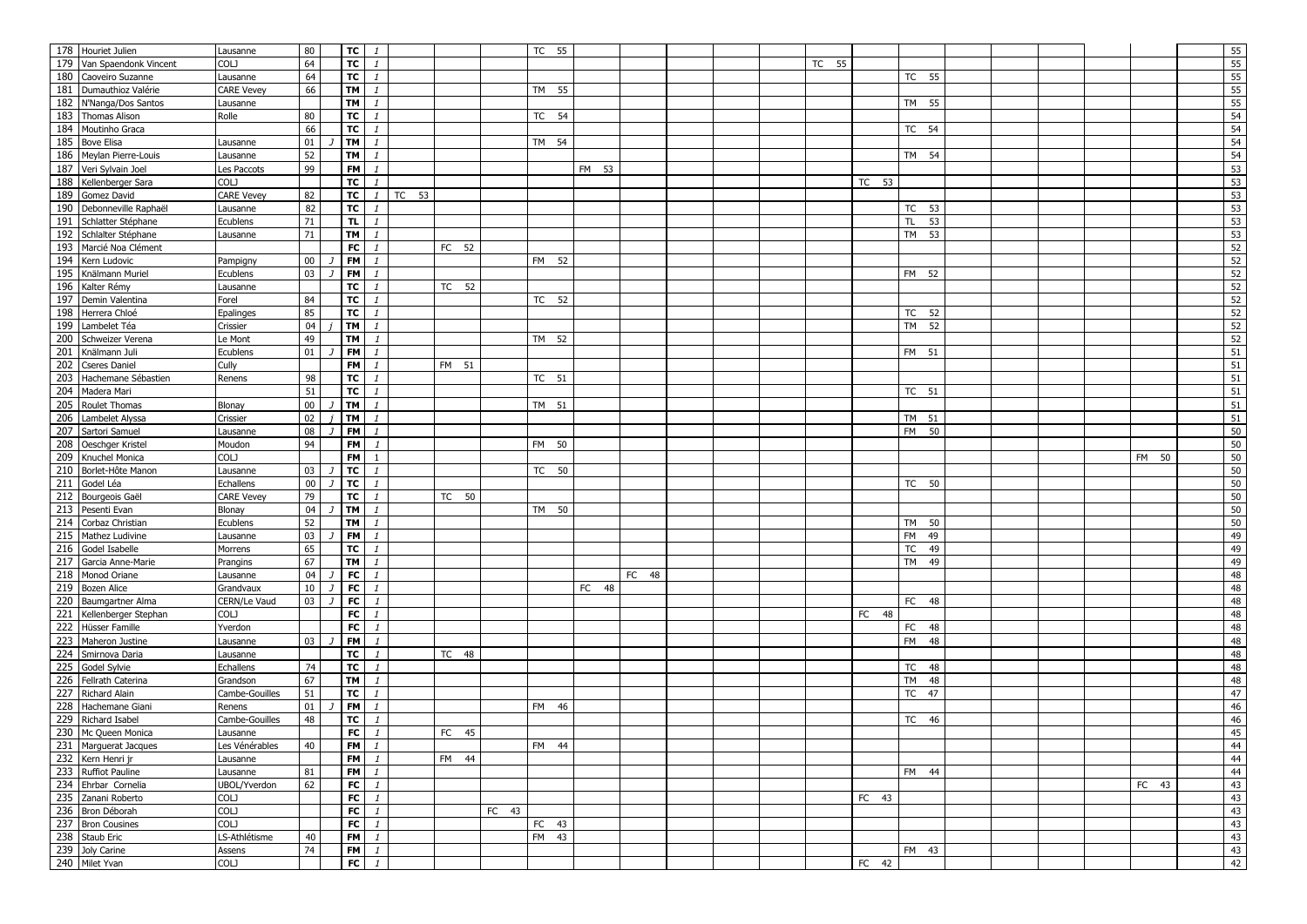|     | 178 Houriet Julien                | Lausanne           | 80     | TC                       | $\mathbf{1}$         |                    |          |       | TC 55 |       |          |  |       |       |                 |  |  |       | 55       |
|-----|-----------------------------------|--------------------|--------|--------------------------|----------------------|--------------------|----------|-------|-------|-------|----------|--|-------|-------|-----------------|--|--|-------|----------|
|     | 179 Van Spaendonk Vincent         | COLJ               | 64     |                          | $TC$ $1$             |                    |          |       |       |       |          |  | TC 55 |       |                 |  |  |       | 55       |
|     | 180 Caoveiro Suzanne              | Lausanne           | 64     | TC                       | $\mathbf{1}$         |                    |          |       |       |       |          |  |       |       | TC 55           |  |  |       | 55       |
|     | 181 Dumauthioz Valérie            | <b>CARE Vevey</b>  | 66     | <b>TM</b>                | $\mathbf{1}$         |                    |          |       | TM 55 |       |          |  |       |       |                 |  |  |       | 55       |
|     | 182 N'Nanga/Dos Santos            | Lausanne           |        | TM                       | $\mathbf{1}$         |                    |          |       |       |       |          |  |       |       | TM 55           |  |  |       | 55       |
|     | 183 Thomas Alison                 | Rolle              | 80     | TC                       | $\mathbf{1}$         |                    |          |       | TC 54 |       |          |  |       |       |                 |  |  |       | 54       |
|     | 184 Moutinho Graca                |                    | 66     | $\overline{\mathsf{TC}}$ | $\mathbf{1}$         |                    |          |       |       |       |          |  |       |       | TC 54           |  |  |       | 54       |
|     | 185 Bove Elisa                    | Lausanne           | 01     | <b>TM</b>                | $\mathbf{1}$         |                    |          |       | TM 54 |       |          |  |       |       |                 |  |  |       | 54       |
|     | 186 Meylan Pierre-Louis           | Lausanne           | 52     | TM                       | $\mathbf{1}$         |                    |          |       |       |       |          |  |       |       | TM 54           |  |  |       | 54       |
|     | 187 Veri Sylvain Joel             |                    | 99     | <b>FM</b>                | $\mathbf{1}$         |                    |          |       |       | FM 53 |          |  |       |       |                 |  |  |       | 53       |
|     |                                   | es Paccots<br>COLJ |        |                          | $\mathbf{1}$         |                    |          |       |       |       |          |  |       | TC 53 |                 |  |  |       |          |
|     | 188 Kellenberger Sara             |                    |        | тc                       |                      |                    |          |       |       |       |          |  |       |       |                 |  |  |       | 53       |
|     | 189 Gomez David                   | <b>CARE Vevey</b>  | 82     | TC                       | $\mathbf{1}$         | $\overline{TC}$ 53 |          |       |       |       |          |  |       |       |                 |  |  |       | 53       |
|     | 190 Debonneville Raphaël          | Lausanne           | 82     | TC                       | $\mathbf{1}$         |                    |          |       |       |       |          |  |       |       | TC 53           |  |  |       | 53       |
|     | 191 Schlatter Stéphane            | Ecublens           | 71     | TL.                      | $\mathbf{1}$         |                    |          |       |       |       |          |  |       |       | <b>TL</b><br>53 |  |  |       | 53       |
|     | 192 Schlalter Stéphane            | Lausanne           | 71     | TM                       | $\mathbf{1}$         |                    |          |       |       |       |          |  |       |       | TM 53           |  |  |       | 53       |
|     | 193 Marcié Noa Clément            |                    |        | <b>FC</b>                | $\mathbf{1}$         |                    | FC 52    |       |       |       |          |  |       |       |                 |  |  |       | 52       |
|     | 194 Kern Ludovic                  | Pampigny           | $00\,$ | FM                       | $\mathbf{1}$         |                    |          |       | FM 52 |       |          |  |       |       |                 |  |  |       | 52       |
|     | 195 Knälmann Muriel               | Ecublens           | 03     | <b>FM</b>                | $\mathbf{1}$         |                    |          |       |       |       |          |  |       |       | FM 52           |  |  |       | 52       |
|     | 196 Kalter Rémy                   | Lausanne           |        | TC                       | $\mathbf{1}$         |                    | TC 52    |       |       |       |          |  |       |       |                 |  |  |       | 52       |
|     | 197 Demin Valentina               | Forel              | 84     | TC                       | $\mathbf{1}$         |                    |          |       | TC 52 |       |          |  |       |       |                 |  |  |       | 52       |
|     | 198 Herrera Chloé                 | Epalinges          | 85     | <b>TC</b>                | $\mathbf{1}$         |                    |          |       |       |       |          |  |       |       | TC 52           |  |  |       | 52       |
| 199 | Lambelet Téa                      | Crissier           | 04     | TM                       | $\mathbf{1}$         |                    |          |       |       |       |          |  |       |       | TM<br>52        |  |  |       | 52       |
|     | 200 Schweizer Verena              | Le Mont            | 49     | TM                       | $\mathbf{1}$         |                    |          |       | TM 52 |       |          |  |       |       |                 |  |  |       | 52       |
|     | 201 Knälmann Juli                 | Ecublens           | 01     | FM                       | $\mathbf{1}$         |                    |          |       |       |       |          |  |       |       | FM 51           |  |  |       | 51       |
| 202 | <b>Cseres Daniel</b>              | Cully              |        | <b>FM</b>                | $\mathbf{1}$         |                    | FM 51    |       |       |       |          |  |       |       |                 |  |  |       | 51       |
| 203 | Hachemane Sébastien               | Renens             | 98     | TC                       | $\mathbf{1}$         |                    |          |       | TC 51 |       |          |  |       |       |                 |  |  |       | 51       |
| 204 | Madera Mari                       |                    | 51     | TC                       | $\mathbf{1}$         |                    |          |       |       |       |          |  |       |       | TC 51           |  |  |       | $51\,$   |
|     | 205 Roulet Thomas                 | Blonay             | $00\,$ | TM                       | $\mathbf{1}$         |                    |          |       | TM 51 |       |          |  |       |       |                 |  |  |       | $51\,$   |
|     | 206 Lambelet Alyssa               | Crissier           | 02     | TM                       | $\mathbf{1}$         |                    |          |       |       |       |          |  |       |       | TM 51           |  |  |       | 51       |
|     | 207 Sartori Samuel                | Lausanne           | 08     | <b>FM</b>                | $\mathbf{1}$         |                    |          |       |       |       |          |  |       |       | <b>FM</b><br>50 |  |  |       | 50       |
|     | 208 Oeschger Kristel              | Moudon             | 94     | <b>FM</b>                | $\mathbf{1}$         |                    |          |       | FM 50 |       |          |  |       |       |                 |  |  |       | 50       |
|     | 209 Knuchel Monica                | COLJ               |        | FM                       | $\overline{1}$       |                    |          |       |       |       |          |  |       |       |                 |  |  | FM 50 | 50       |
|     | 210 Borlet-Hôte Manon             | ausanne            | 03     | TC                       | $\mathbf{1}$         |                    |          |       | TC 50 |       |          |  |       |       |                 |  |  |       | 50       |
|     |                                   |                    |        |                          |                      |                    |          |       |       |       |          |  |       |       |                 |  |  |       |          |
|     |                                   |                    |        |                          |                      |                    |          |       |       |       |          |  |       |       |                 |  |  |       |          |
| 211 | Godel Léa                         | Echallens          | $00\,$ | <b>TC</b>                | $\mathbf{1}$         |                    |          |       |       |       |          |  |       |       | TC 50           |  |  |       | 50       |
|     | 212 Bourgeois Gaël                | <b>CARE Vevey</b>  | 79     | TC                       | $\mathbf{1}$         |                    | TC 50    |       |       |       |          |  |       |       |                 |  |  |       | 50       |
|     | 213 Pesenti Evan                  | Blonay             | 04     | <b>TM</b>                | $\mathbf{1}$         |                    |          |       | TM 50 |       |          |  |       |       |                 |  |  |       | 50       |
| 214 | Corbaz Christian                  | Ecublens           | 52     | TM                       | $\mathbf{1}$         |                    |          |       |       |       |          |  |       |       | TM 50           |  |  |       | 50       |
|     | 215 Mathez Ludivine               | Lausanne           | 03     | <b>FM</b>                | $\mathbf{1}$         |                    |          |       |       |       |          |  |       |       | FM<br>49        |  |  |       | 49       |
|     | 216 Godel Isabelle                | Morrens            | 65     | TC                       | $\mathbf{1}$         |                    |          |       |       |       |          |  |       |       | <b>TC</b><br>49 |  |  |       | 49       |
| 217 | Garcia Anne-Marie                 | Prangins           | 67     | <b>TM</b>                | $\mathbf{1}$         |                    |          |       |       |       |          |  |       |       | TM<br>49        |  |  |       | 49       |
|     | 218 Monod Oriane                  | Lausanne           | 04     | FC                       | $\mathbf{1}$         |                    |          |       |       |       | FC<br>48 |  |       |       |                 |  |  |       | 48       |
|     | 219 Bozen Alice                   | Grandvaux          | 10     | FC                       | $\mathbf{1}$         |                    |          |       |       | FC 48 |          |  |       |       |                 |  |  |       | 48       |
|     | 220 Baumgartner Alma              | CERN/Le Vaud       | 03     | ${\sf FC}$               | $\mathbf{1}$         |                    |          |       |       |       |          |  |       |       | FC 48           |  |  |       | 48       |
| 221 | Kellenberger Stephan              | COLJ               |        | FC                       | $\mathbf{1}$         |                    |          |       |       |       |          |  |       | FC 48 |                 |  |  |       | 48       |
| 222 | Hüsser Famille                    | Yverdon            |        | FC                       | $\mathbf{1}$         |                    |          |       |       |       |          |  |       |       | FC 48           |  |  |       | 48       |
|     | 223 Maheron Justine               | Lausanne           | 03     | FM                       | $\mathbf{1}$         |                    |          |       |       |       |          |  |       |       | FM 48           |  |  |       | 48       |
| 224 | Smirnova Daria                    | Lausanne           |        | тc                       | $\mathbf{1}$         |                    | TC 48    |       |       |       |          |  |       |       |                 |  |  |       | 48       |
| 225 | Godel Sylvie                      | Echallens          | 74     | TC                       | $\mathbf{1}$         |                    |          |       |       |       |          |  |       |       | TC 48           |  |  |       | 48       |
| 226 | Fellrath Caterina                 | Grandson           | 67     | TM                       | $\mathbf{1}$         |                    |          |       |       |       |          |  |       |       | TM<br>48        |  |  |       |          |
|     | 227 Richard Alain                 | Cambe-Gouilles     | 51     | TC                       | $\mathbf{1}$         |                    |          |       |       |       |          |  |       |       | <b>TC</b><br>47 |  |  |       | 48<br>47 |
|     | 228 Hachemane Giani               | Renens             | 01     | <b>FM</b>                | $\mathbf{1}$         |                    |          |       | FM 46 |       |          |  |       |       |                 |  |  |       |          |
|     | 229 Richard Isabel                | Cambe-Gouilles     | 48     | ТC                       | $\mathbf{1}$         |                    |          |       |       |       |          |  |       |       | TC 46           |  |  |       | 46       |
|     | 230 Mc Queen Monica               | Lausanne           |        | F <sub>C</sub>           | $\mathbf{1}$         |                    | FC<br>45 |       |       |       |          |  |       |       |                 |  |  |       | 46<br>45 |
|     |                                   |                    | 40     |                          |                      |                    |          |       |       |       |          |  |       |       |                 |  |  |       |          |
|     | 231 Marguerat Jacques             | Les Vénérables     |        |                          | $FM$ $1$             |                    |          |       | FM 44 |       |          |  |       |       |                 |  |  |       | 44       |
|     | 232 Kern Henri jr                 | Lausanne           |        |                          | FM $\overline{1}$    |                    | FM 44    |       |       |       |          |  |       |       |                 |  |  |       | 44       |
|     | 233 Ruffiot Pauline               | Lausanne           | 81     |                          | $FM$ $1$             |                    |          |       |       |       |          |  |       |       | FM 44           |  |  |       | 44       |
|     | 234 Ehrbar Cornelia               | UBOL/Yverdon       | 62     |                          | $FC$ $1$             |                    |          |       |       |       |          |  |       |       |                 |  |  | FC 43 | 43       |
|     | 235 Zanani Roberto                | COLJ               |        | FC                       | $\mathbf{1}$         |                    |          |       |       |       |          |  |       | FC 43 |                 |  |  |       | 43       |
|     | 236 Bron Déborah                  | COLJ               |        | FC                       | $\mathbf{1}$         |                    |          | FC 43 |       |       |          |  |       |       |                 |  |  |       | 43       |
|     | 237 Bron Cousines                 | COLJ               |        |                          | $FC$ $1$             |                    |          |       | FC 43 |       |          |  |       |       |                 |  |  |       | 43       |
|     | 238 Staub Eric                    | LS-Athlétisme      | 40     |                          | $FM$ $1$             |                    |          |       | FM 43 |       |          |  |       |       |                 |  |  |       | 43       |
|     | 239 Joly Carine<br>240 Milet Yvan | Assens<br>COLJ     | 74     |                          | $FM$ $1$<br>$FC$ $1$ |                    |          |       |       |       |          |  |       | FC 42 | FM 43           |  |  |       | 43<br>42 |